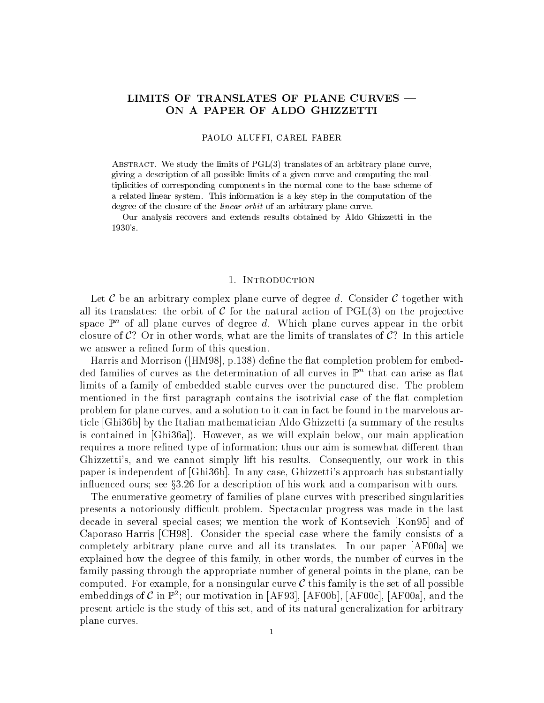# LIMITS OF TRANSLATES OF PLANE CURVES -ON A PAPER OF ALDO GHIZZETTI

#### PAOLO ALUFFI, CAREL FABER

ABSTRACT. We study the limits of  $PGL(3)$  translates of an arbitrary plane curve, giving a description of all possible limits of a given curve and computing the multiplicities of corresponding components in the normal cone to the base scheme of a related linear system. This information is a key step in the computation of the degree of the closure of the *linear orbit* of an arbitrary plane curve.

Our analysis recovers and extends results obtained by Aldo Ghizzetti in the 1930's.

### 1. INTRODUCTION

Let C be an arbitrary complex plane curve of degree d. Consider C together with all its translates: the orbit of C for the natural action of  $PGL(3)$  on the projective space  $\mathbb{P}^n$  of all plane curves of degree d. Which plane curves appear in the orbit closure of  $C$ ? Or in other words, what are the limits of translates of  $C$ ? In this article we answer a refined form of this question.

Harris and Morrison ([HM98], p.138) define the flat completion problem for embed- $\alpha$ ed families of curves as the determination of all curves in  $\mathbb F$  -that can arise as hat limits of a family of embedded stable curves over the punctured disc. The problem mentioned in the first paragraph contains the isotrivial case of the flat completion problem for plane curves, and a solution to it can in fact be found in the marvelous article [Ghi36b] by the Italian mathematician Aldo Ghizzetti (a summary of the results is contained in [Ghi36a]). However, as we will explain below, our main application requires a more refined type of information; thus our aim is somewhat different than Ghizzetti's, and we cannot simply lift his results. Consequently, our work in this paper is independent of [Ghi36b]. In any case, Ghizzetti's approach has substantially influenced ours; see §3.26 for a description of his work and a comparison with ours.

The enumerative geometry of families of plane curves with prescribed singularities presents a notoriously difficult problem. Spectacular progress was made in the last decade in several special cases; we mention the work of Kontsevich [Kon95] and of Caporaso-Harris [CH98]. Consider the special case where the family consists of a completely arbitrary plane curve and all its translates. In our paper [AF00a] we explained how the degree of this family, in other words, the number of curves in the family passing through the appropriate number of general points in the plane, can be computed. For example, for a nonsingular curve  $\mathcal C$  this family is the set of all possible embeddings of C in F<sup>2</sup>; our motivation in [AF93], [AF00b], [AF00c], [AF00a], and the present article is the study of this set, and of its natural generalization for arbitrary plane curves.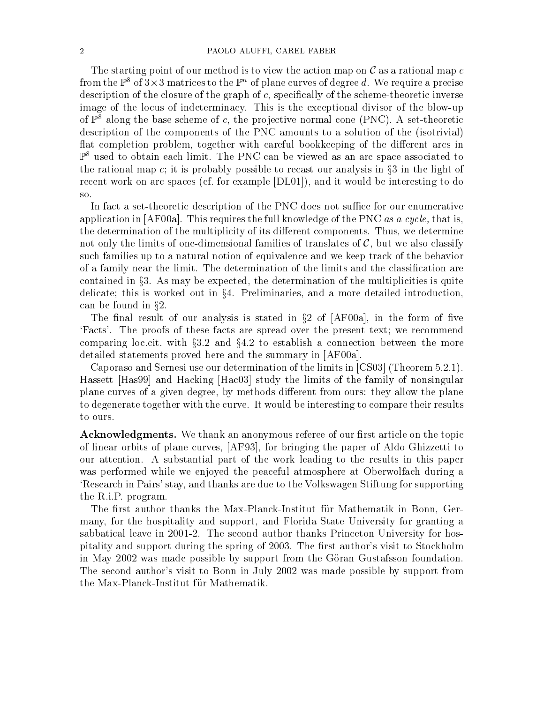The starting point of our method is to view the action map on  $\mathcal C$  as a rational map  $c$ from the  $\mathbb{P}^s$  of 3-x-3 matrices to the  $\mathbb{P}^n$  of plane curves of degree  $a$ . We require a precise description of the closure of the graph of  $c$ , specifically of the scheme-theoretic inverse image of the locus of indeterminacy. This is the exceptional divisor of the blow-up of  $\mathbb{P}^8$  along the base scheme of c, the projective normal cone (PNC). A set-theoretic description of the components of the PNC amounts to a solution of the (isotrivial) flat completion problem, together with careful bookkeeping of the different arcs in  $\mathbb{P}^8$  used to obtain each limit. The PNC can be viewed as an arc space associated to the rational map c; it is probably possible to recast our analysis in  $\S3$  in the light of recent work on arc spaces (cf. for example [DL01]), and it would be interesting to do so.

In fact a set-theoretic description of the PNC does not suffice for our enumerative application in  $[AF00a]$ . This requires the full knowledge of the PNC *as a cycle*, that is, the determination of the multiplicity of its different components. Thus, we determine not only the limits of one-dimensional families of translates of  $\mathcal{C}$ , but we also classify such families up to a natural notion of equivalence and we keep track of the behavior of a family near the limit. The determination of the limits and the classication are contained in  $\S$ . As may be expected, the determination of the multiplicities is quite delicate; this is worked out in  $\S 4$ . Preliminaries, and a more detailed introduction, can be found in  $\S 2$ .

The final result of our analysis is stated in  $\S 2$  of [AF00a], in the form of five `Facts'. The proofs of these facts are spread over the present text; we recommend comparing loc.cit. with  $\S 3.2$  and  $\S 4.2$  to establish a connection between the more detailed statements proved here and the summary in [AF00a].

Caporaso and Sernesi use our determination of the limits in [CS03] (Theorem 5.2.1). Hassett [Has99] and Hacking [Hac03] study the limits of the family of nonsingular plane curves of a given degree, by methods different from ours: they allow the plane to degenerate together with the curve. It would be interesting to compare their results to ours.

**Acknowledgments.** We thank an anonymous referee of our first article on the topic of linear orbits of plane curves, [AF93], for bringing the paper of Aldo Ghizzetti to our attention. A substantial part of the work leading to the results in this paper was performed while we enjoyed the peaceful atmosphere at Oberwolfach during a `Research in Pairs' stay, and thanks are due to the Volkswagen Stiftung for supporting the R.i.P. program.

The first author thanks the Max-Planck-Institut für Mathematik in Bonn, Germany, for the hospitality and support, and Florida State University for granting a sabbatical leave in 2001-2. The second author thanks Princeton University for hospitality and support during the spring of 2003. The first author's visit to Stockholm in May 2002 was made possible by support from the Göran Gustafsson foundation. The second author's visit to Bonn in July 2002 was made possible by support from the Max-Planck-Institut fur Mathematik.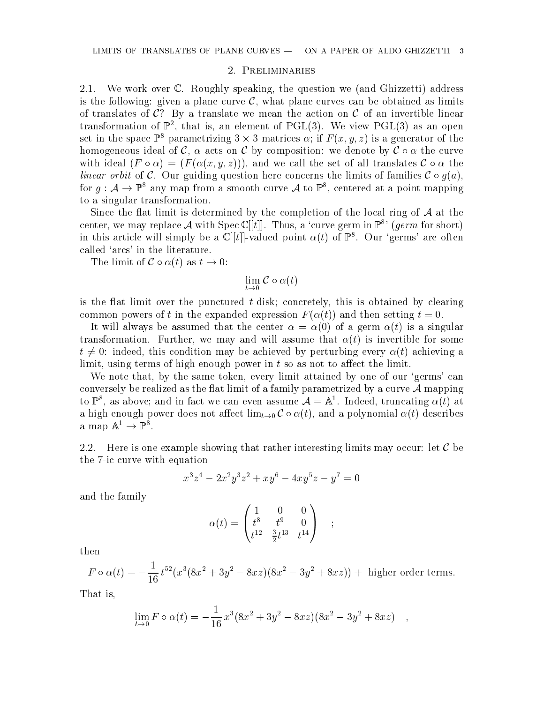### 2. Preliminaries

2.1. We work over C. Roughly speaking, the question we (and Ghizzetti) address is the following: given a plane curve  $\mathcal{C}$ , what plane curves can be obtained as limits of translates of  $C$ ? By a translate we mean the action on C of an invertible linear transformation of  $\mathbb{P}^2$ , that is, an element of  $\mathcal{PGL}(3)$ . We view  $\mathcal{PGL}(3)$  as an open set in the space  $\mathbb{P}^*$  parametrizing 3  $\times$  3 matrices  $\alpha$ ; if  $F$  (x, y, z) is a generator of the homogeneous ideal of C,  $\alpha$  acts on C by composition: we denote by  $\mathcal{C} \circ \alpha$  the curve with ideal  $(F \circ \alpha) = (F(\alpha(x, y, z)))$ , and we call the set of all translates  $C \circ \alpha$  the linear orbit of C. Our guiding question here concerns the limits of families  $\mathcal{C} \circ q(a)$ , for  $q: \mathcal{A} \to \mathbb{F}^*$  any map from a smooth curve  $\mathcal{A}$  to  $\mathbb{F}^*$ , centered at a point mapping to a singular transformation.

Since the flat limit is determined by the completion of the local ring of  $A$  at the center, we may replace A with Spec C||t||. Thus, a 'curve germ in  $\mathbb{P}^s$ ' (germ for short) in this article will simply be a  $\mathbb{C}(|t|$ -valued point  $\alpha(t)$  of  $\mathbb{P}^8$ . Our 'germs' are often called `arcs' in the literature.

The limit of  $C \circ \alpha(t)$  as  $t \to 0$ :

$$
\lim_{t \to 0} \mathcal{C} \circ \alpha(t)
$$

is the flat limit over the punctured  $t$ -disk; concretely, this is obtained by clearing common powers of t in the expanded expression  $F(\alpha(t))$  and then setting  $t = 0$ .

It will always be assumed that the center  $\alpha = \alpha(0)$  of a germ  $\alpha(t)$  is a singular transformation. Further, we may and will assume that  $\alpha(t)$  is invertible for some  $t \neq 0$ : indeed, this condition may be achieved by perturbing every  $\alpha(t)$  achieving a limit, using terms of high enough power in  $t$  so as not to affect the limit.

We note that, by the same token, every limit attained by one of our 'germs' can conversely be realized as the flat limit of a family parametrized by a curve  $\mathcal A$  mapping to  $\mathbb{P}^{\ast}$ , as above; and in fact we can even assume  $\mathcal{A} = \mathbb{A}^{\ast}$ . Indeed, truncating  $\alpha(t)$  at a high enough power does not affect  $\lim_{t\to 0} C \circ \alpha(t)$ , and a polynomial  $\alpha(t)$  describes a map A  $\Gamma$   $\rightarrow$   $\Gamma$  .

2.2. Here is one example showing that rather interesting limits may occur: let  $\mathcal C$  be the 7-ic curve with equation

$$
x^3z^4 - 2x^2y^3z^2 + xy^6 - 4xy^5z - y^7 = 0
$$

and the family

$$
\alpha(t) = \begin{pmatrix} 1 & 0 & 0 \\ t^8 & t^9 & 0 \\ t^{12} & \frac{3}{2}t^{13} & t^{14} \end{pmatrix} ;
$$

then

$$
F \circ \alpha(t) = -\frac{1}{16} t^{52} (x^3 (8x^2 + 3y^2 - 8xz)(8x^2 - 3y^2 + 8xz)) +
$$
 higher order terms.

That is,

$$
\lim_{t \to 0} F \circ \alpha(t) = -\frac{1}{16} x^3 (8x^2 + 3y^2 - 8xz)(8x^2 - 3y^2 + 8xz) ,
$$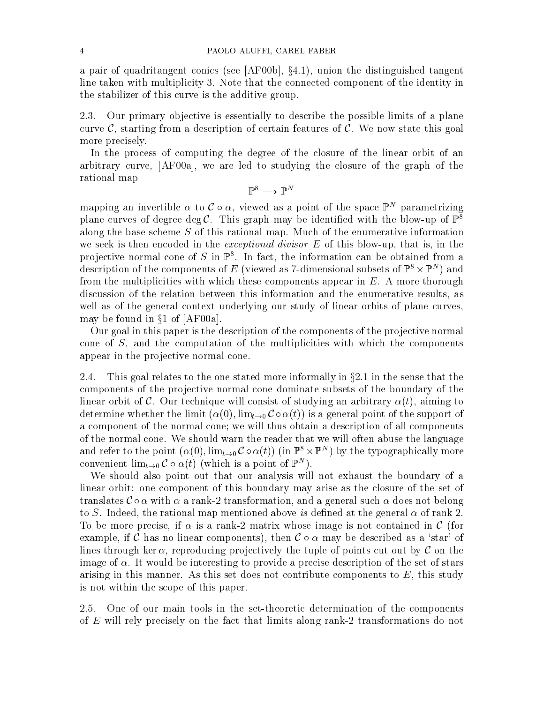a pair of quadritangent conics (see [AF00b],  $\S 4.1$ ), union the distinguished tangent line taken with multiplicity 3. Note that the connected component of the identity in the stabilizer of this curve is the additive group.

2.3. Our primary objective is essentially to describe the possible limits of a plane curve  $\mathcal{C}$ , starting from a description of certain features of  $\mathcal{C}$ . We now state this goal more precisely.

In the process of computing the degree of the closure of the linear orbit of an arbitrary curve, [AF00a], we are led to studying the closure of the graph of the rational map

 $\mathbb{P}^{\mathbb{P}} \dashrightarrow \mathbb{P}^{\mathbb{P}}$ 

mapping an invertible  $\alpha$  to  $\epsilon \circ \alpha$ , viewed as a point of the space  $\mathbb F$  -parametrizing plane curves of degree deg C. This graph may be identified with the blow-up of  $\mathbb{P}^8$ along the base scheme S of this rational map. Much of the enumerative information we seek is then encoded in the *exceptional divisor*  $E$  of this blow-up, that is, in the projective normal cone of S in Fe. In fact, the information can be obtained from a description of the components of  $E$  (viewed as 7-dimensional subsets of  $\mathbb{P}^* \times \mathbb{P}^*$  ) and from the multiplicities with which these components appear in  $E$ . A more thorough discussion of the relation between this information and the enumerative results, as well as of the general context underlying our study of linear orbits of plane curves, may be found in  $\S1$  of [AF00a].

Our goal in this paper is the description of the components of the projective normal cone of S, and the computation of the multiplicities with which the components appear in the projective normal cone.

2.4. This goal relates to the one stated more informally in  $\S 2.1$  in the sense that the components of the projective normal cone dominate subsets of the boundary of the linear orbit of C. Our technique will consist of studying an arbitrary  $\alpha(t)$ , aiming to determine whether the limit  $(\alpha(0), \lim_{t\to 0} C \circ \alpha(t))$  is a general point of the support of a component of the normal cone; we will thus obtain a description of all components of the normal cone. We should warn the reader that we will often abuse the language and refer to the point  $(\alpha(0),\lim_{t\to 0} \zeta\circ\alpha(t))$  (in  $\mathbb{P}^s\times\mathbb{P}^s$  ) by the typographically more convenient  $\lim_{t\to 0}C\circ \alpha(t)$  (which is a point of F<sub>1</sub>).

We should also point out that our analysis will not exhaust the boundary of a linear orbit: one component of this boundary may arise as the closure of the set of translates  $\mathcal{C} \circ \alpha$  with  $\alpha$  a rank-2 transformation, and a general such  $\alpha$  does not belong to S. Indeed, the rational map mentioned above is defined at the general  $\alpha$  of rank 2. To be more precise, if  $\alpha$  is a rank-2 matrix whose image is not contained in C (for example, if C has no linear components), then  $C \circ \alpha$  may be described as a 'star' of lines through ker  $\alpha$ , reproducing projectively the tuple of points cut out by  $\mathcal C$  on the image of  $\alpha$ . It would be interesting to provide a precise description of the set of stars arising in this manner. As this set does not contribute components to  $E$ , this study is not within the scope of this paper.

2.5. One of our main tools in the set-theoretic determination of the components of E will rely precisely on the fact that limits along rank-2 transformations do not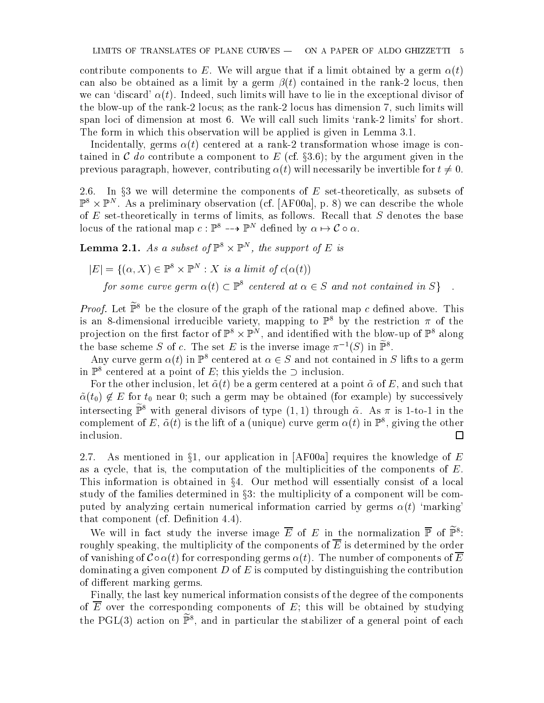contribute components to E. We will argue that if a limit obtained by a germ  $\alpha(t)$ can also be obtained as a limit by a germ  $\beta(t)$  contained in the rank-2 locus, then we can 'discard'  $\alpha(t)$ . Indeed, such limits will have to lie in the exceptional divisor of the blow-up of the rank-2 locus; as the rank-2 locus has dimension 7, such limits will span loci of dimension at most 6. We will call such limits 'rank-2 limits' for short. The form in which this observation will be applied is given in Lemma 3.1.

Incidentally, germs  $\alpha(t)$  centered at a rank-2 transformation whose image is contained in C do contribute a component to E (cf.  $\S 3.6$ ); by the argument given in the previous paragraph, however, contributing  $\alpha(t)$  will necessarily be invertible for  $t \neq 0$ .

2.6. In  $\S$ 3 we will determine the components of E set-theoretically, as subsets of  $\mathbb{P}^* \times \mathbb{P}^*$  . As a prefiminary observation (cf. [AF00a], p. 8) we can describe the whole of  $E$  set-theoretically in terms of limits, as follows. Recall that  $S$  denotes the base locus of the rational map  $c: \mathbb{F}^* \dashrightarrow \mathbb{F}^*$  defined by  $\alpha \mapsto c \circ \alpha$ .

**Lemma 2.1.** As a subset of  $\mathbb{P}^1 \times \mathbb{P}^2$ , the support of E is

$$
|E| = \{ (\alpha, X) \in \mathbb{P}^8 \times \mathbb{P}^N : X \text{ is a limit of } c(\alpha(t))
$$
  
for some curve germ  $\alpha(t) \subset \mathbb{P}^8$  centered at  $\alpha \in S$  and not contained in S}

*Proof.* Let  $\widetilde{\mathbb{P}}^8$  be the closure of the graph of the rational map c defined above. This is an 8-dimensional irreducible variety, mapping to  $\mathbb{P}^8$  by the restriction  $\pi$  of the projection on the first factor of  $\mathbb{P}^*\times\mathbb{P}^*$  , and identified with the blow-up of  $\mathbb{P}^*$  along the base scheme  $S$  of c. The set E is the inverse image  $\pi^{-1}(S)$  in  $\mathbb{P}^{\ast}$ .

Any curve germ  $\alpha(t)$  in  $\mathbb{P}^8$  centered at  $\alpha \in S$  and not contained in S lifts to a germ in  $\mathbb{P}^8$  centered at a point of E; this yields the  $\supset$  inclusion.

For the other inclusion, let  $\tilde{\alpha}(t)$  be a germ centered at a point  $\tilde{\alpha}$  of E, and such that ~(t0) <sup>62</sup> E for t0 near 0; such <sup>a</sup> germ may be obtained (for example) by successively intersecting  $\widetilde{\mathbb{P}}^8$  with general divisors of type  $(1,1)$  through  $\tilde{\alpha}$ . As  $\pi$  is 1-to-1 in the complement of  $E$  ,  $\alpha(t)$  is the fift of a (unique) curve germ  $\alpha(t)$  in F  $^{\circ}$  , giving the other inclusion.  $\Box$ 

2.7. As mentioned in  $\S1$ , our application in [AF00a] requires the knowledge of E as a cycle, that is, the computation of the multiplicities of the components of  $E$ . This information is obtained in  $\S4$ . Our method will essentially consist of a local study of the families determined in  $\S3$ : the multiplicity of a component will be computed by analyzing certain numerical information carried by germs  $\alpha(t)$  'marking' that component (cf. Definition  $4.4$ ).

We will in fact study the inverse image  $E$  of  $E$  in the normalization  $\mathbb{F}$  of  $\mathbb{F}^*$ : roughly speaking, the multiplicity of the components of  $\overline{E}$  is determined by the order of vanishing of  $\mathcal{C} \circ \alpha(t)$  for corresponding germs  $\alpha(t)$ . The number of components of  $\overline{E}$ dominating a given component  $D$  of  $E$  is computed by distinguishing the contribution of different marking germs.

Finally, the last key numerical information consists of the degree of the components of E over the corresponding components of  $E$ ; this will be obtained by studying the  $P$ GL(3) action on  $\mathbb{P}^*$ , and in particular the stabilizer of a general point of each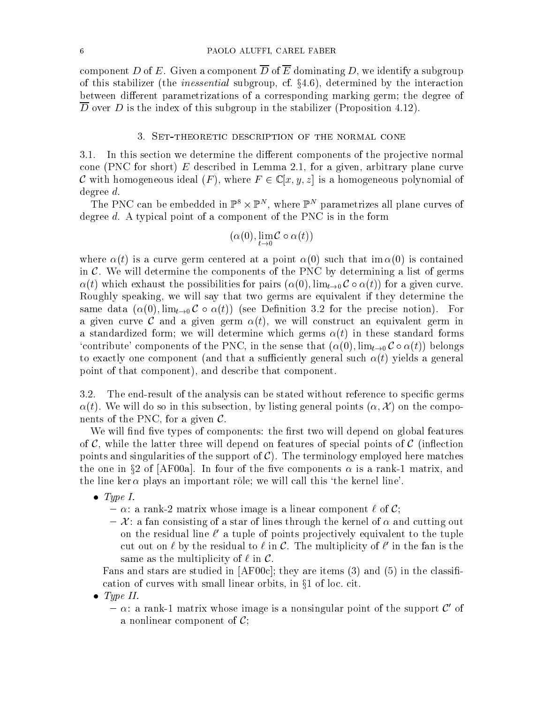component D of E. Given a component  $\overline{D}$  of  $\overline{E}$  dominating D, we identify a subgroup of this stabilizer (the *inessential* subgroup, cf.  $\S 4.6$ ), determined by the interaction between different parametrizations of a corresponding marking germ; the degree of  $\overline{D}$  over D is the index of this subgroup in the stabilizer (Proposition 4.12).

## 3. Set-theoretic description of the normal cone

3.1. In this section we determine the different components of the projective normal cone (PNC for short) E described in Lemma 2.1, for a given, arbitrary plane curve C with homogeneous ideal  $(F)$ , where  $F \in \mathbb{C}[x, y, z]$  is a homogeneous polynomial of degree d.

Ine PNC can be embedded in  $\mathbb{P}^* \times \mathbb{P}^*$ , where  $\mathbb{P}^*$  parametrizes all plane curves of degree  $d$ . A typical point of a component of the PNC is in the form

$$
(\alpha(0), \lim_{t \to 0} C \circ \alpha(t))
$$

where  $\alpha(t)$  is a curve germ centered at a point  $\alpha(0)$  such that im  $\alpha(0)$  is contained in  $\mathcal{C}$ . We will determine the components of the PNC by determining a list of germs  $\alpha(t)$  which exhaust the possibilities for pairs  $(\alpha(0), \lim_{t\to 0} C \circ \alpha(t))$  for a given curve. Roughly speaking, we will say that two germs are equivalent if they determine the same data  $(\alpha(0), \lim_{t\to 0} \mathcal{C} \circ \alpha(t))$  (see Definition 3.2 for the precise notion). For a given curve C and a given germ  $\alpha(t)$ , we will construct an equivalent germ in a standardized form; we will determine which germs  $\alpha(t)$  in these standard forms 'contribute' components of the PNC, in the sense that  $(\alpha(0), \lim_{t\to 0} C \circ \alpha(t))$  belongs to exactly one component (and that a sufficiently general such  $\alpha(t)$  yields a general point of that component), and describe that component.

3.2. The end-result of the analysis can be stated without reference to specific germs  $\alpha(t)$ . We will do so in this subsection, by listing general points  $(\alpha, \mathcal{X})$  on the components of the PNC, for a given  $\mathcal{C}$ .

We will find five types of components: the first two will depend on global features of  $\mathcal{C}$ , while the latter three will depend on features of special points of  $\mathcal{C}$  (inflection points and singularities of the support of  $\mathcal{C}$ ). The terminology employed here matches the one in §2 of [AF00a]. In four of the five components  $\alpha$  is a rank-1 matrix, and the line ker  $\alpha$  plays an important rôle; we will call this 'the kernel line'.

- $\bullet$  Type I.
	- ${\rm -}\alpha$ : a rank-2 matrix whose image is a linear component  $\ell$  of C;
	- ${\cal X}$ : a fan consisting of a star of lines through the kernel of  $\alpha$  and cutting out on the residual line  $\ell$  a tuple of points projectively equivalent to the tuple  $\ell$ cut out on  $\ell$  by the residual to  $\ell$  in  $C$ . The multiplicity of  $\ell$  in the fan is the same as the multiplicity of  $\ell$  in  $\mathcal{C}$ .

Fans and stars are studied in  $[AF00c]$ ; they are items (3) and (5) in the classification of curves with small linear orbits, in  $\S1$  of loc. cit.

- $\bullet$  Type II.
	- ${\sim}$  a rank-1 matrix whose image is a nonsingular point of the support C' of a nonlinear component of  $\mathcal{C}$ :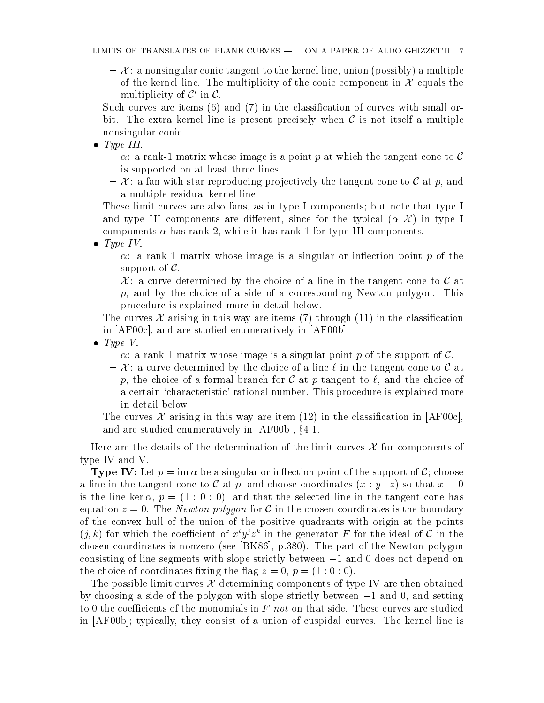${\cal X}$ : a nonsingular conic tangent to the kernel line, union (possibly) a multiple of the kernel line. The multiplicity of the conic component in  $\mathcal X$  equals the multiplicity of  $\mathcal{C}'$  in  $\mathcal{C}$ .

Such curves are items  $(6)$  and  $(7)$  in the classification of curves with small orbit. The extra kernel line is present precisely when  $\mathcal C$  is not itself a multiple nonsingular conic.

- $\bullet$  Type III.
	- ${\rm -}\alpha$ : a rank-1 matrix whose image is a point p at which the tangent cone to C is supported on at least three lines;
	- ${\cal X}$ : a fan with star reproducing projectively the tangent cone to C at p, and a multiple residual kernel line.

These limit curves are also fans, as in type I components; but note that type I and type III components are different, since for the typical  $(\alpha, \mathcal{X})$  in type I components  $\alpha$  has rank 2, while it has rank 1 for type III components.

- Type IV.
	- ${\alpha}$ : a rank-1 matrix whose image is a singular or inflection point p of the support of  $\mathcal{C}$ .
	- ${\cal X}$ : a curve determined by the choice of a line in the tangent cone to C at  $p$ , and by the choice of a side of a corresponding Newton polygon. This procedure is explained more in detail below.

The curves  $\mathcal X$  arising in this way are items (7) through (11) in the classification in [AF00c], and are studied enumeratively in [AF00b].

- $\bullet$  Type V.
	- ${\sim}$  a rank-1 matrix whose image is a singular point p of the support of C.
	- ${\cal X}$  a curve determined by the choice of a line  $\ell$  in the tangent cone to C at p, the choice of a formal branch for  $\mathcal C$  at p tangent to  $\ell$ , and the choice of a certain 'characteristic' rational number. This procedure is explained more in detail below.

The curves X arising in this way are item (12) in the classification in [AF00c], and are studied enumeratively in  $[AF00b]$ ,  $§4.1$ .

Here are the details of the determination of the limit curves  $\mathcal X$  for components of type IV and V.

**Type IV:** Let  $p = \text{im } \alpha$  be a singular or inflection point of the support of C; choose a line in the tangent cone to C at p, and choose coordinates  $(x : y : z)$  so that  $x = 0$ is the line ker  $\alpha$ ,  $p = (1:0:0)$ , and that the selected line in the tangent cone has equation  $z = 0$ . The *Newton polygon* for C in the chosen coordinates is the boundary of the convex hull of the union of the positive quadrants with origin at the points  $(j, \kappa)$  for which the coefficient of  $x^{\cdot}y^{\cdot}z^{\cdot}$  in the generator  $F$  for the ideal of C in the chosen coordinates is nonzero (see [BK86], p.380). The part of the Newton polygon consisting of line segments with slope strictly between  $-1$  and 0 does not depend on the choice of coordinates fixing the flag  $z = 0$ ,  $p = (1:0:0)$ .

The possible limit curves  $\mathcal X$  determining components of type IV are then obtained by choosing a side of the polygon with slope strictly between  $-1$  and  $0$ , and setting to 0 the coefficients of the monomials in F not on that side. These curves are studied in [AF00b]; typically, they consist of a union of cuspidal curves. The kernel line is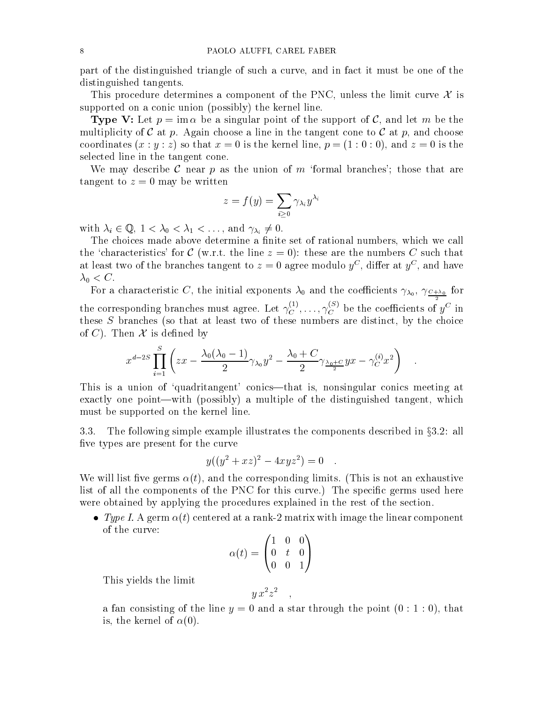part of the distinguished triangle of such a curve, and in fact it must be one of the distinguished tangents.

This procedure determines a component of the PNC, unless the limit curve  $\mathcal X$  is supported on a conic union (possibly) the kernel line.

**Type V:** Let  $p = \text{im } \alpha$  be a singular point of the support of C, and let m be the multiplicity of C at p. Again choose a line in the tangent cone to C at p, and choose coordinates  $(x : y : z)$  so that  $x = 0$  is the kernel line,  $p = (1 : 0 : 0)$ , and  $z = 0$  is the selected line in the tangent cone.

We may describe C near p as the union of m 'formal branches'; those that are tangent to  $z = 0$  may be written

$$
z=f(y)=\sum_{i\geq 0}\gamma_{\lambda_i}y^{\lambda_i}
$$

with  $\lambda_i \in \mathbb{Q}, 1 < \lambda_0 < \lambda_1 < \ldots$ , and  $\gamma_{\lambda_i} \neq 0$ .

The choices made above determine a finite set of rational numbers, which we call the 'characteristics' for C (w.r.t. the line  $z = 0$ ): these are the numbers C such that at least two of the branches tangent to  $z = 0$  agree modulo  $y^{\perp}$ , differ at  $y^{\perp}$ , and have  $\sim$  0  $\sim$  0  $\sim$  0  $\sim$ 

For a characteristic C, the initial exponents 0 and the coecients 0 , C+0 for the corresponding branches must agree. Let  $\gamma_C^{\sim}$ ,  $\ldots, \gamma_C^{\sim}$  be the coefficients of  $y^\circ$  in these S branches (so that at least two of these numbers are distinct, by the choice of C). Then  $\mathcal X$  is defined by

$$
x^{d-2S}\prod_{i=1}^S\left(zx-\frac{\lambda_0(\lambda_0-1)}{2}\gamma_{\lambda_0}y^2-\frac{\lambda_0+C}{2}\gamma_{\frac{\lambda_0+C}{2}}yx-\gamma_C^{(i)}x^2\right)\quad.
$$

This is a union of 'quadritangent' conics—that is, nonsingular conics meeting at exactly one point—with (possibly) a multiple of the distinguished tangent, which must be supported on the kernel line.

3.3. The following simple example illustrates the components described in  $\S 3.2$ : all five types are present for the curve

$$
y((y^2 + xz)^2 - 4xyz^2) = 0
$$

We will list five germs  $\alpha(t)$ , and the corresponding limits. (This is not an exhaustive list of all the components of the PNC for this curve.) The specific germs used here were obtained by applying the procedures explained in the rest of the section.

• Type I. A germ  $\alpha(t)$  centered at a rank-2 matrix with image the linear component of the curve:

$$
\alpha(t)=\begin{pmatrix}1&0&0\\0&t&0\\0&0&1\end{pmatrix}
$$

This yields the limit

$$
y\,x^2z^2\quad,\quad
$$

a fan consisting of the line  $y = 0$  and a star through the point  $(0:1:0)$ , that is, the kernel of  $\alpha(0)$ .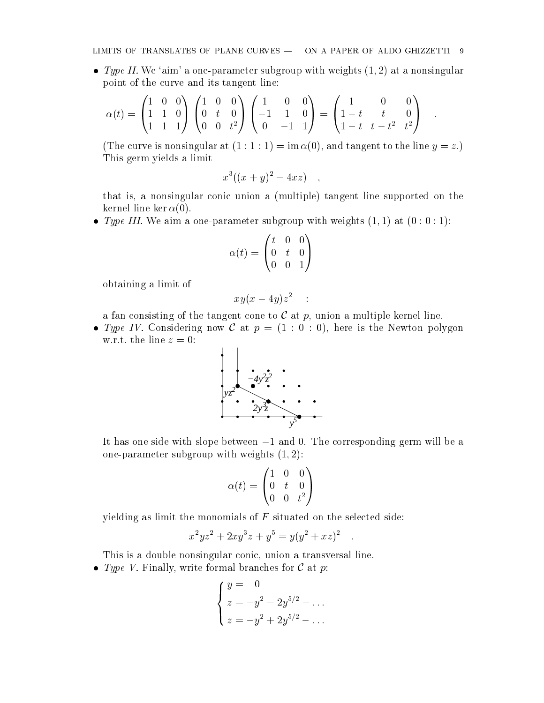• Type II. We 'aim' a one-parameter subgroup with weights  $(1, 2)$  at a nonsingular point of the curve and its tangent line:

$$
\alpha(t) = \begin{pmatrix} 1 & 0 & 0 \\ 1 & 1 & 0 \\ 1 & 1 & 1 \end{pmatrix} \begin{pmatrix} 1 & 0 & 0 \\ 0 & t & 0 \\ 0 & 0 & t^2 \end{pmatrix} \begin{pmatrix} 1 & 0 & 0 \\ -1 & 1 & 0 \\ 0 & -1 & 1 \end{pmatrix} = \begin{pmatrix} 1 & 0 & 0 \\ 1-t & t & 0 \\ 1-t & t-t^2 & t^2 \end{pmatrix} .
$$

(The curve is nonsingular at  $(1:1:1) = \text{im }\alpha(0)$ , and tangent to the line  $y = z$ .) This germ yields a limit

$$
x^3((x+y)^2-4xz) ,
$$

that is, a nonsingular conic union a (multiple) tangent line supported on the kernel line ker  $\alpha(0)$ .

• Type III. We aim a one-parameter subgroup with weights  $(1, 1)$  at  $(0:0:1)$ :

$$
\alpha(t)=\begin{pmatrix}t&0&0\\0&t&0\\0&0&1\end{pmatrix}
$$

obtaining a limit of

$$
xy(x-4y)z^2\quad :
$$

a fan consisting of the tangent cone to  $\mathcal C$  at p, union a multiple kernel line.

• Type IV. Considering now C at  $p = (1 : 0 : 0)$ , here is the Newton polygon w.r.t. the line  $z = 0$ :



It has one side with slope between  $-1$  and 0. The corresponding germ will be a one-parameter subgroup with weights  $(1, 2)$ :

$$
\alpha(t) = \begin{pmatrix} 1 & 0 & 0 \\ 0 & t & 0 \\ 0 & 0 & t^2 \end{pmatrix}
$$

yielding as limit the monomials of  $F$  situated on the selected side:

$$
x^2yz^2 + 2xy^3z + y^5 = y(y^2 + xz)^2
$$

This is a double nonsingular conic, union a transversal line.

• Type V. Finally, write formal branches for  $\mathcal C$  at  $p$ :

$$
\begin{cases}\ny = 0 \\
z = -y^2 - 2y^{5/2} - \dots \\
z = -y^2 + 2y^{5/2} - \dots\n\end{cases}
$$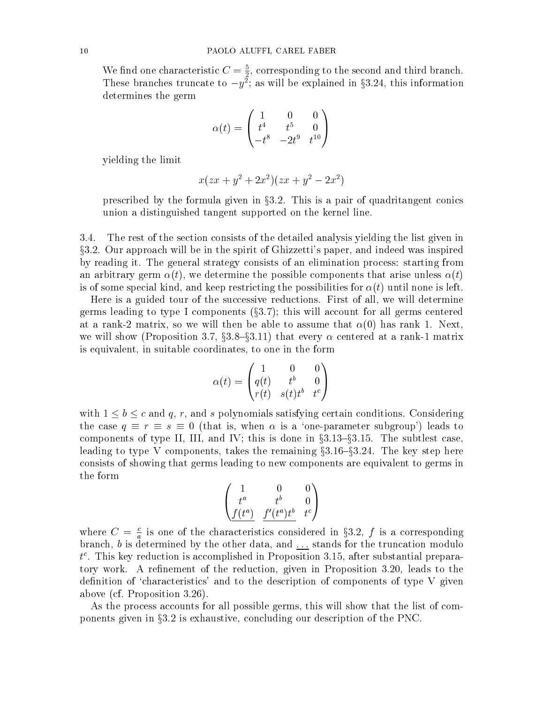We find one characteristic  $C=\frac{2}{2}$ , corresponding to the second and third branch. These pranches truncate to  $-y$ ; as will be explained in  $\delta$ 3.24, this information determines the germ

$$
\alpha(t) = \begin{pmatrix} 1 & 0 & 0 \\ t^4 & t^5 & 0 \\ -t^8 & -2t^9 & t^{10} \end{pmatrix}
$$

yielding the limit

$$
x(zx + y^2 + 2x^2)(zx + y^2 - 2x^2)
$$

prescribed by the formula given in  $\S 3.2$ . This is a pair of quadritangent conics union a distinguished tangent supported on the kernel line.

3.4. The rest of the section consists of the detailed analysis yielding the list given in x3.2. Our approach will be in the spirit of Ghizzetti's paper, and indeed was inspired by reading it. The general strategy consists of an elimination process: starting from an arbitrary germ  $\alpha(t)$ , we determine the possible components that arise unless  $\alpha(t)$ is of some special kind, and keep restricting the possibilities for  $\alpha(t)$  until none is left.

Here is a guided tour of the successive reductions. First of all, we will determine germs leading to type I components  $(\S3.7)$ ; this will account for all germs centered at a rank-2 matrix, so we will then be able to assume that  $\alpha(0)$  has rank 1. Next, we will show (Proposition 3.7,  $\S 3.8-\S 3.11$ ) that every  $\alpha$  centered at a rank-1 matrix is equivalent, in suitable coordinates, to one in the form

$$
\alpha(t)=\begin{pmatrix}1&0&0\\q(t)&t^b&0\\r(t)&s(t)t^b&t^c\end{pmatrix}
$$

with  $1 \le b \le c$  and q, r, and s polynomials satisfying certain conditions. Considering the case  $q \equiv r \equiv s \equiv 0$  (that is, when  $\alpha$  is a 'one-parameter subgroup') leads to components of type II, III, and IV; this is done in  $\S 3.13{\text -}S3.15$ . The subtlest case, leading to type V components, takes the remaining  $\S 3.16-\S 3.24$ . The key step here consists of showing that germs leading to new components are equivalent to germs in the form

$$
\begin{pmatrix} 1 & 0 & 0 \\ t^a & t^b & 0 \\ \frac{f(t^a)}{b} & \frac{f'(t^a)t^b}{b} & t^c \end{pmatrix}
$$

where  $C = \frac{2}{a}$  is one of the characteristics considered in 35.2, f is a corresponding branch, b is determined by the other data, and  $\dots$  stands for the truncation modulo  $\iota$  . This key reduction is accomplished in Proposition 5.15, after substantial preparatory work. A refinement of the reduction, given in Proposition 3.20, leads to the definition of 'characteristics' and to the description of components of type  $V$  given above (cf. Proposition 3.26).

As the process accounts for all possible germs, this will show that the list of components given in  $\S 3.2$  is exhaustive, concluding our description of the PNC.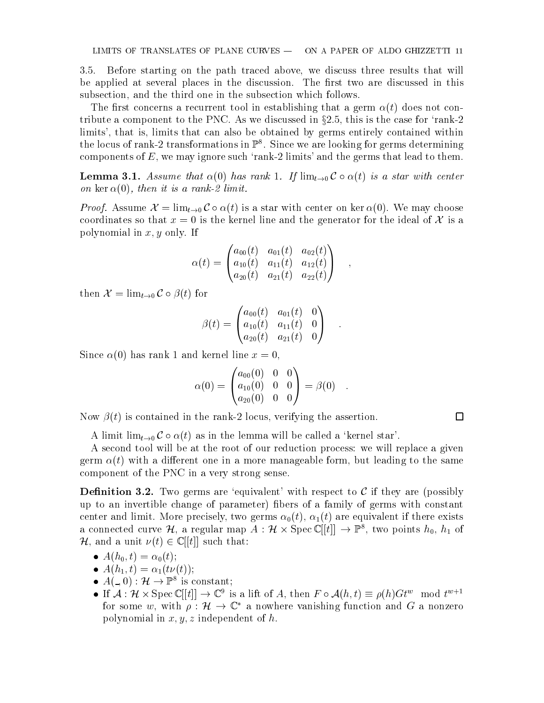3.5. Before starting on the path traced above, we discuss three results that will be applied at several places in the discussion. The first two are discussed in this subsection, and the third one in the subsection which follows.

The first concerns a recurrent tool in establishing that a germ  $\alpha(t)$  does not contribute a component to the PNC. As we discussed in  $\S 2.5$ , this is the case for 'rank-2 limits', that is, limits that can also be obtained by germs entirely contained within the locus of rank-2 transformations in  $\mathbb{P}^\circ$ . Since we are looking for germs determining components of  $E$ , we may ignore such 'rank-2 limits' and the germs that lead to them.

**Lemma 3.1.** Assume that  $\alpha(0)$  has rank 1. If  $\lim_{t\to 0} C \circ \alpha(t)$  is a star with center on ker  $\alpha(0)$ , then it is a rank-2 limit.

*Proof.* Assume  $\mathcal{X} = \lim_{t \to 0} C \circ \alpha(t)$  is a star with center on ker  $\alpha(0)$ . We may choose coordinates so that  $x = 0$  is the kernel line and the generator for the ideal of X is a polynomial in  $x, y$  only. If

$$
\alpha(t)=\begin{pmatrix} a_{00}(t) & a_{01}(t) & a_{02}(t) \\ a_{10}(t) & a_{11}(t) & a_{12}(t) \\ a_{20}(t) & a_{21}(t) & a_{22}(t) \end{pmatrix}\quad,
$$

then  $\mathcal{X} = \lim_{t \to 0} C \circ \beta(t)$  for

$$
\beta(t)=\begin{pmatrix} a_{00}(t) & a_{01}(t) & 0 \\ a_{10}(t) & a_{11}(t) & 0 \\ a_{20}(t) & a_{21}(t) & 0 \end{pmatrix}\quad.
$$

Since  $\alpha(0)$  has rank 1 and kernel line  $x = 0$ .

$$
\alpha(0) = \begin{pmatrix} a_{00}(0) & 0 & 0 \\ a_{10}(0) & 0 & 0 \\ a_{20}(0) & 0 & 0 \end{pmatrix} = \beta(0) .
$$

 $\Box$ 

Now  $\beta(t)$  is contained in the rank-2 locus, verifying the assertion.

A limit  $\lim_{t\to 0} C \circ \alpha(t)$  as in the lemma will be called a 'kernel star'.

A second tool will be at the root of our reduction process: we will replace a given germ  $\alpha(t)$  with a different one in a more manageable form, but leading to the same component of the PNC in a very strong sense.

**Definition 3.2.** Two germs are 'equivalent' with respect to  $\mathcal C$  if they are (possibly up to an invertible change of parameter) bers of a family of germs with constant center and limit. More precisely, two germs  $\alpha_0(t)$ ,  $\alpha_1(t)$  are equivalent if there exists a connected curve  $\mathcal{H}$ , a regular map  $A: \mathcal{H} \times \text{spec} \cup ||t|| \rightarrow \mathbb{F}$ , two points  $n_0, n_1$  of  $\mathcal{H}$ , and a unit  $\nu(t) \in \mathbb{C}[[t]]$  such that:

$$
\bullet \ \ A(h_0,t)=\alpha_0(t);
$$

- $A(h_1, t) = \alpha_1(t\nu(t));$
- $\bullet$   $A(\_,\cup)$ :  $\mathcal{H} \to \mathbb{F}^*$  is constant;
- If  $A : H \times \text{Spec } \mathbb{C}$  is a lift of A, then  $F \circ A(n, t) = \rho(n)Gt^{\infty}$  mod  $t^{\infty+1}$ for some w, with  $\rho$  :  $\pi \to \infty$  a nowhere vanishing function and G a nonzero polynomial in  $x, y, z$  independent of h.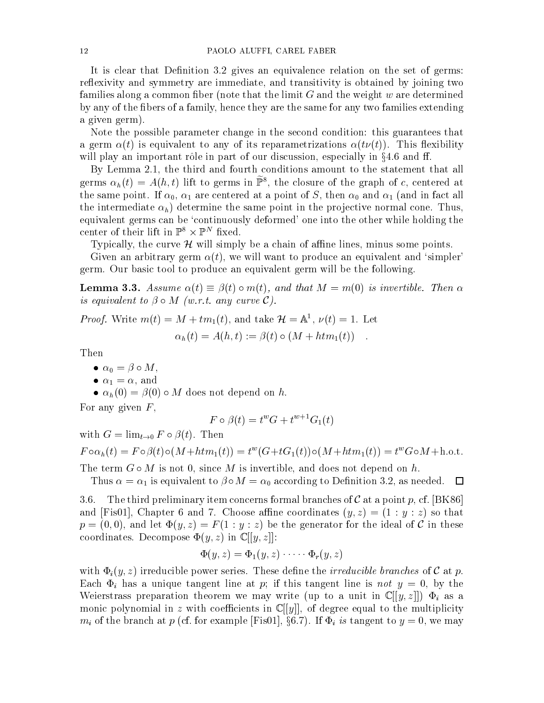It is clear that Definition 3.2 gives an equivalence relation on the set of germs: reflexivity and symmetry are immediate, and transitivity is obtained by joining two families along a common fiber (note that the limit  $G$  and the weight  $w$  are determined by any of the bers of a family, hence they are the same for any two families extending a given germ).

Note the possible parameter change in the second condition: this guarantees that a germ  $\alpha(t)$  is equivalent to any of its reparametrizations  $\alpha(t\nu(t))$ . This flexibility will play an important rôle in part of our discussion, especially in  $\S 4.6$  and ff.

By Lemma 2.1, the third and fourth conditions amount to the statement that all germs  $\alpha_h(t) = A(n, t)$  lift to germs in P<sub>s</sub>, the closure of the graph of c, centered at the same point  $\mathbf{u}$  are centered at a point of S, then  $\mathbf{u}$  and in fact all  $\mathbf{u}$ the intermediate  $\alpha_h$ ) determine the same point in the projective normal cone. Thus, equivalent germs can be 'continuously deformed' one into the other while holding the center of their lift in F  $\overline{\mathsf{x}}$  F  $\overline{\mathsf{x}}$  hxed.

Typically, the curve  $\mathcal H$  will simply be a chain of affine lines, minus some points.

Given an arbitrary germ  $\alpha(t)$ , we will want to produce an equivalent and 'simpler' germ. Our basic tool to produce an equivalent germ will be the following.

**Lemma 3.3.** Assume  $\alpha(t) \equiv \beta(t) \circ m(t)$ , and that  $M = m(0)$  is invertible. Then  $\alpha$ is equivalent to  $\beta \circ M$  (w.r.t. any curve C).

*Proof.* Write  $m(t) = M + t m_1(t)$ , and take  $\mathcal{H} = \mathbb{A}^T$ ,  $\nu(t) = 1$ . Let

$$
\alpha_h(t) = A(h,t) := \beta(t) \circ (M + \overline{htm_1(t)})
$$

Then

- and the contract of the contract of the contract of the contract of the contract of the contract of the contract of the contract of the contract of the contract of the contract of the contract of the contract of the contra
- $1$  and  $1$  and  $1$  and  $1$  and  $1$  and  $1$  and  $1$  and  $1$  and  $1$  and  $1$  and  $1$  and  $1$  and  $1$  and  $1$  and  $1$  and  $1$  and  $1$  and  $1$  and  $1$  and  $1$  and  $1$  and  $1$  and  $1$  and  $1$  and  $1$  and  $1$  and  $1$  and  $1$  a
- $\alpha_h(0) = \beta(0) \circ M$  does not depend on h.

For any given  $F$ ,

$$
F \circ \beta(t) = t^w G + t^{w+1} G_1(t)
$$

with  $G = \lim_{t \to 0} F \circ \beta(t)$ . Then

$$
F \circ \alpha_h(t) = F \circ \beta(t) \circ (M + \dots + t^w) = t^w(G + tG_1(t)) \circ (M + \dots + t^w) = t^w G \circ M + \dots + t^w
$$

The term  $G \circ M$  is not 0, since M is invertible, and does not depend on h.

Thus is a complete the contract to  $\mu$  . The condition  $\alpha$  is  $\alpha$  according to  $\alpha$  and  $\alpha$  as needed. The

3.6. The third preliminary item concerns formal branches of C at a point p, cf. [BK86] and [Fis01], Chapter 6 and 7. Choose affine coordinates  $(y, z) = (1 : y : z)$  so that  $p = (0, 0)$ , and let  $\Phi(y, z) = F(1 : y : z)$  be the generator for the ideal of C in these coordinates. Decompose  $\Phi(y, z)$  in  $\mathbb{C}[[y, z]]$ :

$$
\Phi(y, z) = \Phi_1(y, z) \cdot \cdots \cdot \Phi_r(y, z)
$$

with  $\Phi_i(y, z)$  irreducible power series. These define the *irreducible branches* of C at p. Each  $\Phi_i$  has a unique tangent line at p; if this tangent line is not  $y = 0$ , by the Weierstrass preparation theorem we may write (up to a unit in  $\mathbb{C}[[y,z]]$ )  $\Phi_i$  as a monic polynomial in z with coefficients in  $\mathbb{C}[[y]]$ , of degree equal to the multiplicity  $m_i$  of the branch at p (cf. for example [Fis01], §6.7). If  $\Phi_i$  is tangent to  $y = 0$ , we may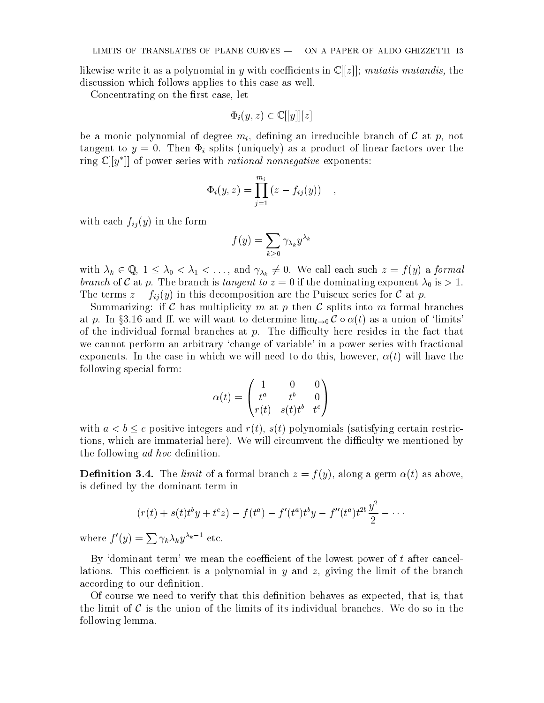likewise write it as a polynomial in y with coefficients in  $\mathbb{C}[[z]]$ ; mutatis mutandis, the discussion which follows applies to this case as well.

Concentrating on the first case, let

$$
\Phi_i(y, z) \in \mathbb{C}[[y]][z]
$$

be a monic polynomial of degree  $m_i$ , defining an irreducible branch of C at p, not tangent to  $y = 0$ . Then  $\Phi_i$  splits (uniquely) as a product of linear factors over the ring  $\cup$ [[y]] of power series with *rational nonnegative* exponents:

$$
\Phi_i(y, z) = \prod_{j=1}^{m_i} (z - f_{ij}(y)) ,
$$

with each  $f_{ij}(y)$  in the form

$$
f(y) = \sum_{k \geq 0} \gamma_{\lambda_k} y^{\lambda_k}
$$

with  $\lambda_k \in \mathbb{Q}$ ,  $1 \leq \lambda_0 < \lambda_1 < \ldots$ , and  $\gamma_{\lambda_k} \neq 0$ . We call each such  $z = f(y)$  a formal branch of C at p. The branch is tangent to zero. A if the domination will the dominate  $\sim 1.1$ The terms  $z - f_{ij}(y)$  in this decomposition are the Puiseux series for C at p.

Summarizing: if C has multiplicity m at p then C splits into m formal branches at p. In §3.16 and ff. we will want to determine  $\lim_{t\to 0} C \circ \alpha(t)$  as a union of 'limits' of the individual formal branches at  $p$ . The difficulty here resides in the fact that we cannot perform an arbitrary `change of variable' in a power series with fractional exponents. In the case in which we will need to do this, however,  $\alpha(t)$  will have the following special form:

$$
\alpha(t) = \begin{pmatrix} 1 & 0 & 0 \\ t^a & t^b & 0 \\ r(t) & s(t)t^b & t^c \end{pmatrix}
$$

with  $a < b \leq c$  positive integers and  $r(t)$ ,  $s(t)$  polynomials (satisfying certain restrictions, which are immaterial here). We will circumvent the difficulty we mentioned by the following *ad hoc* definition.

**Definition 3.4.** The *limit* of a formal branch  $z = f(y)$ , along a germ  $\alpha(t)$  as above, is defined by the dominant term in

$$
(r(t) + s(t)t^{b}y + t^{c}z) - f(t^{a}) - f'(t^{a})t^{b}y - f''(t^{a})t^{2b}\frac{y^{2}}{2} - \cdots
$$

where  $f'(y) = \sum \gamma_k \lambda_k y^{\lambda_k - 1}$  etc.

By 'dominant term' we mean the coefficient of the lowest power of  $t$  after cancellations. This coefficient is a polynomial in  $y$  and  $z$ , giving the limit of the branch according to our definition.

Of course we need to verify that this definition behaves as expected, that is, that the limit of  $\mathcal C$  is the union of the limits of its individual branches. We do so in the following lemma.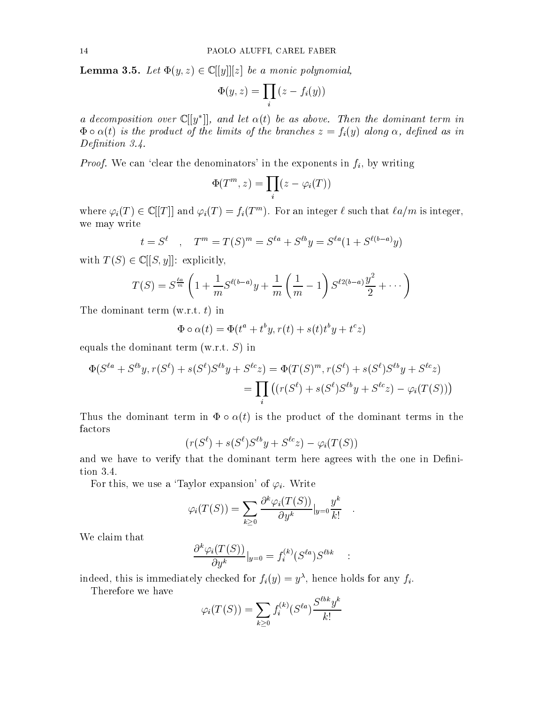**Lemma 3.5.** Let  $\Phi(y, z) \in \mathbb{C}[[y]][z]$  be a monic polynomial,

$$
\Phi(y,z) = \prod_i (z - f_i(y))
$$

a aecomposition over  $\cup$   $|y|$  , and let  $\alpha$ (t) be as above. Then the dominant term in  $\Phi \circ \alpha(t)$  is the product of the limits of the branches  $z = f_i(y)$  along  $\alpha$ , defined as in Definition 3.4.

*Proof.* We can 'clear the denominators' in the exponents in  $f_i$ , by writing

$$
\Phi(T^m, z) = \prod_i (z - \varphi_i(T))
$$

where  $\varphi_i(I_1) \in \mathbb{C}[[I_1]]$  and  $\varphi_i(I_-) = f_i(I_-^m)$ . For an integer  $\ell$  such that  $\ell a/m$  is integer, we may write

$$
t = S^{\ell}
$$
,  $T^{m} = T(S)^{m} = S^{\ell a} + S^{\ell b}y = S^{\ell a}(1 + S^{\ell(b-a)}y)$ 

with  $T(S) \in \mathbb{C}[[S, y]]$ : explicitly,

$$
T(S) = S^{\frac{\ell a}{m}} \left( 1 + \frac{1}{m} S^{\ell(b-a)} y + \frac{1}{m} \left( \frac{1}{m} - 1 \right) S^{\ell 2(b-a)} \frac{y^2}{2} + \cdots \right)
$$

The dominant term  $(w.r.t. t)$  in

$$
\Phi \circ \alpha(t) = \Phi(t^a + t^b y, r(t) + s(t)t^b y + t^c z)
$$

equals the dominant term  $(w.r.t. S)$  in

$$
\Phi(S^{\ell a} + S^{\ell b}y, r(S^{\ell}) + s(S^{\ell})S^{\ell b}y + S^{\ell c}z) = \Phi(T(S)^{m}, r(S^{\ell}) + s(S^{\ell})S^{\ell b}y + S^{\ell c}z)
$$
  
= 
$$
\prod_{i} ((r(S^{\ell}) + s(S^{\ell})S^{\ell b}y + S^{\ell c}z) - \varphi_{i}(T(S)))
$$

Thus the dominant term in  $\Phi \circ \alpha(t)$  is the product of the dominant terms in the factors

$$
(r(S^{\ell})+s(S^{\ell})S^{\ell b}y+S^{\ell c}z)-\varphi_i(T(S))
$$

and we have to verify that the dominant term here agrees with the one in Definition 3.4.

For this, we use a 'Taylor expansion' of  $\varphi_i$ . Write

$$
\varphi_i(T(S)) = \sum_{k \geq 0} \frac{\partial^k \varphi_i(T(S))}{\partial y^k} |_{y=0} \frac{y^k}{k!} \quad .
$$

We claim that

$$
\frac{\partial^k \varphi_i(T(S))}{\partial y^k}|_{y=0} = f_i^{(k)}(S^{\ell a})S^{\ell b k} \quad : \quad
$$

indeed, this is immediately checked for  $f_i(y) = y^{\alpha}$ , hence holds for any  $f_i$ .

Therefore we have

$$
\varphi_i(T(S)) = \sum_{k \ge 0} f_i^{(k)}(S^{\ell a}) \frac{S^{\ell b k} y^k}{k!}
$$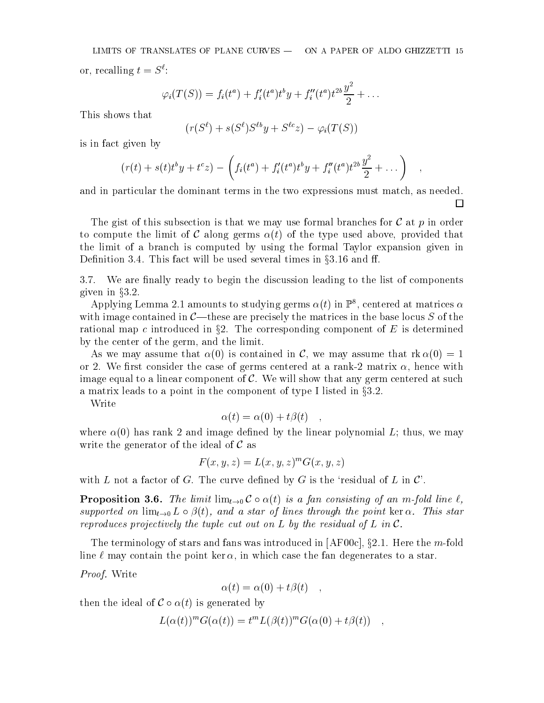LIMITS OF TRANSLATES OF PLANE CURVES - ON A PAPER OF ALDO GHIZZETTI 15 or, recalling  $t = S^{\ell}$ :

$$
\varphi_i(T(S)) = f_i(t^a) + f'_i(t^a) t^b y + f''_i(t^a) t^{2b} \frac{y^2}{2} + \ldots
$$

This shows that

$$
(r(S^{\ell})+s(S^{\ell})S^{\ell b}y+S^{\ell c}z)-\varphi_i(T(S))
$$

is in fact given by

$$
(r(t) + s(t)t^{b}y + t^{c}z) - \left(f_{i}(t^{a}) + f'_{i}(t^{a})t^{b}y + f''_{i}(t^{a})t^{2b}\frac{y^{2}}{2} + \dots\right) ,
$$

and in particular the dominant terms in the two expressions must match, as needed.  $\Box$ 

The gist of this subsection is that we may use formal branches for  $\mathcal C$  at p in order to compute the limit of C along germs  $\alpha(t)$  of the type used above, provided that the limit of a branch iscomputed by using the formal Taylor expansion given in Definition 3.4. This fact will be used several times in  $\S 3.16$  and ff.

 $3.7.$ We are finally ready to begin the discussion leading to the list of components given in  $\S 3.2$ .

Applying Lemma 2.1 amounts to studying germs  $\alpha(t)$  in  $\mathbb{P}^{\ast}$ , centered at matrices  $\alpha$ with image contained in  $C$ —these are precisely the matrices in the base locus S of the rational map c introduced in  $\S2$ . The corresponding component of E is determined by the center of the germ, and the limit.

As we may assume that  $\alpha(0)$  is contained in C, we may assume that  $\alpha(0) = 1$ or 2. We first consider the case of germs centered at a rank-2 matrix  $\alpha$ , hence with image equal to a linear component of  $\mathcal{C}$ . We will show that any germ centered at such a matrix leads to a point in the component of type I listed in  $\S 3.2$ .

Write

$$
\alpha(t) = \alpha(0) + t\beta(t) \quad ,
$$

where  $\alpha(0)$  has rank 2 and image defined by the linear polynomial L; thus, we may write the generator of the ideal of  $\mathcal C$  as

$$
F(x, y, z) = L(x, y, z)^m G(x, y, z)
$$

with L not a factor of G. The curve defined by G is the 'residual of L in  $\mathcal{C}'$ .

**Proposition 3.6.** The limit  $\lim_{t\to 0} C \circ \alpha(t)$  is a fan consisting of an m-fold line  $\ell$ , supported on  $\lim_{t\to 0} L \circ \beta(t)$ , and a star of lines through the point ker  $\alpha$ . This star reproduces projectively the tuple cut out on L by the residual of L in  $\mathcal C$ .

The terminology of stars and fans was introduced in  $[AF00c], §2.1$ . Here the m-fold line  $\ell$  may contain the point ker  $\alpha$ , in which case the fan degenerates to a star.

Proof. Write

$$
\alpha(t) = \alpha(0) + t\beta(t) \quad ,
$$

then the ideal of  $\mathcal{C} \circ \alpha(t)$  is generated by

$$
L(\alpha(t))^m G(\alpha(t)) = t^m L(\beta(t))^m G(\alpha(0) + t\beta(t)),
$$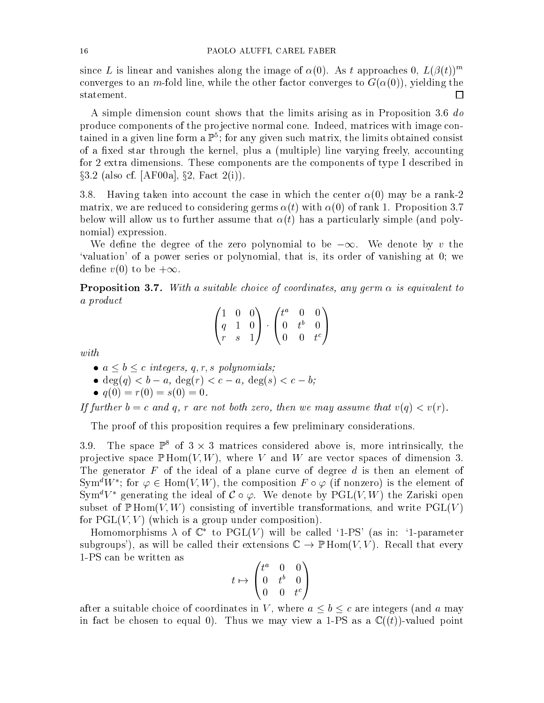since L is linear and vanishes along the image of  $\alpha(0)$ . As t approaches 0,  $L(\beta(t))^m$ converges to an m-fold line, while the other factor converges to  $G(\alpha(0))$ , yielding the statement.  $\Box$ 

A simple dimension count shows that the limits arising as in Proposition 3.6 do produce components of the projective normal cone. Indeed, matrices with image contained in a given line form a  $\mathbb{P}^*;$  for any given such matrix, the limits obtained consist of a fixed star through the kernel, plus a (multiple) line varying freely, accounting for 2 extra dimensions. These components are the components of type I described in  $\S 3.2$  (also cf. [AF00a],  $\S 2$ , Fact  $2(i)$ ).

3.8. Having taken into account the case in which the center  $\alpha(0)$  may be a rank-2 matrix, we are reduced to considering germs  $\alpha(t)$  with  $\alpha(0)$  of rank 1. Proposition 3.7 below will allow us to further assume that  $\alpha(t)$  has a particularly simple (and polynomial) expression.

We define the degree of the zero polynomial to be  $-\infty$ . We denote by v the `valuation' of a power series or polynomial, that is, its order of vanishing at 0; we define  $v(0)$  to be  $+\infty$ .

**Proposition 3.7.** With a suitable choice of coordinates, any germ  $\alpha$  is equivalent to a product

$$
\begin{pmatrix}\n1 & 0 & 0 \\
q & 1 & 0 \\
r & s & 1\n\end{pmatrix}\n\cdot\n\begin{pmatrix}\nt^a & 0 & 0 \\
0 & t^b & 0 \\
0 & 0 & t^c\n\end{pmatrix}
$$

with

- $a \le b \le c$  integers, q, r, s polynomials;
- $deg(q) < b a$ ,  $deg(r) < c a$ ,  $deg(s) < c b$ ;
- $q(0) = r(0) = s(0) = 0$ .

If further  $b = c$  and q, r are not both zero, then we may assume that  $v(q) < v(r)$ .

The proof of this proposition requires a few preliminary considerations.

3.9. The space  $\mathbb{P}^1$  of 3  $\times$  3 matrices considered above is, more intrinsically, the projective space  $\mathbb{P}$  Hom $(V, W)$ , where V and W are vector spaces of dimension 3. The generator  $F$  of the ideal of a plane curve of degree  $d$  is then an element of Sym<sup>®</sup>W '; for  $\varphi \in \text{Hom}(V,W)$ , the composition  $F \circ \varphi$  (if nonzero) is the element of Sym<sup>d</sup>V<sup>\*</sup> generating the ideal of  $\mathcal{C} \circ \varphi$ . We denote by PGL(V, W) the Zariski open subset of  $\mathbb{P} \text{Hom}(V,W)$  consisting of invertible transformations, and write  $\text{PGL}(V)$ for  $PGL(V, V)$  (which is a group under composition).

Homomorphisms  $\lambda$  of  $\mathbb{C}^*$  to PGL(V) will be called '1-PS' (as in: '1-parameter subgroups'), as will be called their extensions  $\mathbb{C} \to \mathbb{P}$  Hom $(V, V)$ . Recall that every 1-PS can be written as

$$
t\mapsto \begin{pmatrix} t^a & 0 & 0 \\ 0 & t^b & 0 \\ 0 & 0 & t^c \end{pmatrix}
$$

after a suitable choice of coordinates in V, where  $a \leq b \leq c$  are integers (and a may in fact be chosen to equal 0). Thus we may view a 1-PS as a  $\mathbb{C}((t))$ -valued point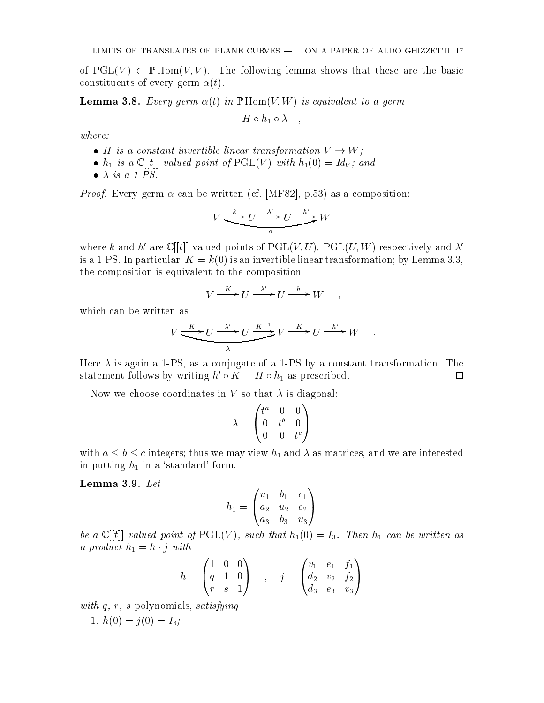of  $PGL(V) \subset \mathbb{P}$ Hom $(V, V)$ . The following lemma shows that these are the basic constituents of every germ  $\alpha(t)$ .

**Lemma 3.8.** Every germ  $\alpha(t)$  in  $\mathbb{P}$  Hom $(V, W)$  is equivalent to a germ

$$
H \circ h_1 \circ \lambda \quad ,
$$

where:

- $\bullet$  H is a constant invertible linear transformation  $V \rightarrow W$ ;
- h1 is <sup>a</sup> <sup>C</sup> [[t]]-valued point of PGL(V ) with h1(0) = IdV ; and
- $\bullet$   $\lambda$  is a 1-PS.

*Proof.* Every germ  $\alpha$  can be written (cf. [MF82], p.53) as a composition:

$$
V \xrightarrow{\phantom{X}k \phantom{X}} U \xrightarrow{\phantom{X} \phantom{X}l \phantom{X}} U \xrightarrow{\phantom{X}l \phantom{X}} W
$$

where k and h' are  $\mathbb{C}[[t]]$ -valued points of PGL(V, U), PGL(U, W) respectively and  $\lambda'$ is a 1-PS. In particular,  $K = k(0)$  is an invertible linear transformation; by Lemma 3.3, the composition is equivalent to the composition

$$
V \xrightarrow{K} U \xrightarrow{\lambda'} U \xrightarrow{h'} W \quad ,
$$

which can be written as

$$
V \xrightarrow{K} U \xrightarrow{\lambda'} U \xrightarrow{K^{-1}} V \xrightarrow{K} U \xrightarrow{h'} W \quad .
$$

Here  $\lambda$  is again a 1-PS, as a conjugate of a 1-PS by a constant transformation. The □ statement follows by writing  $h \circ \mathbf{A} = H \circ n_1$  as prescribed.

Now we choose coordinates in V so that  $\lambda$  is diagonal:

$$
\lambda = \begin{pmatrix} t^a & 0 & 0 \\ 0 & t^b & 0 \\ 0 & 0 & t^c \end{pmatrix}
$$

with a b contract  $\alpha$  integers; the matrices, and we are interested we are interested with  $\alpha$ in putting  $h_1$  in a 'standard' form.

Lemma 3.9. Let

$$
h_1=\begin{pmatrix}u_1&b_1&c_1\\a_2&u_2&c_2\\a_3&b_3&u_3\end{pmatrix}
$$

be a C internal point of PGL(V iii) such that his point of PGL(V iii)  $\sim$  II can be written as in be written as in the written as in the written as in the written as in the written as in the written as in the written as a product has  $\mathbf{1}$  and  $\mathbf{1}$  with  $\mathbf{1}$ 

$$
h = \begin{pmatrix} 1 & 0 & 0 \\ q & 1 & 0 \\ r & s & 1 \end{pmatrix} , \quad j = \begin{pmatrix} v_1 & e_1 & f_1 \\ d_2 & v_2 & f_2 \\ d_3 & e_3 & v_3 \end{pmatrix}
$$

with q, r, s polynomials, satisfying

1. 
$$
h(0) = j(0) = I_3;
$$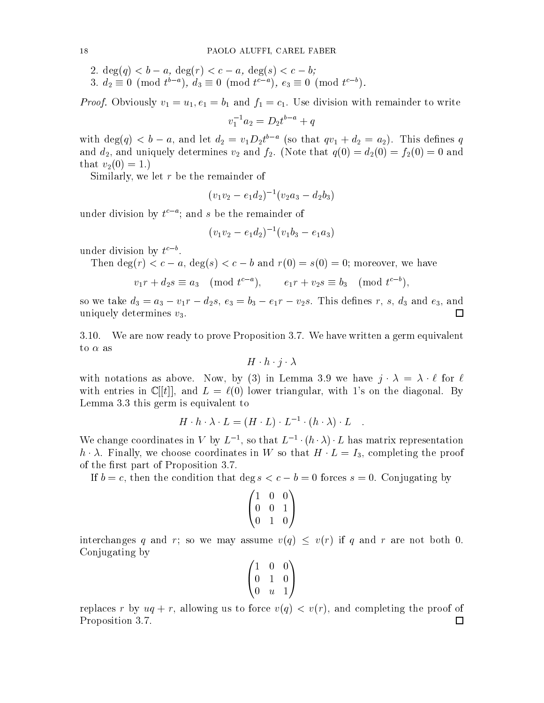- 2.  $\deg(q) < b a$ ,  $\deg(r) < c a$ ,  $\deg(s) < c b$ ;
- 3.  $a_2 = 0 \pmod{t 1}, a_3 = 0 \pmod{t 1}, e_3 = 0 \pmod{t 1}.$

Proof. Obviously values in the binary values of the binary contract of the contract of write  $\mu_1$  and  $\mu_2$  and  $\mu_3$ 

$$
v_1^{-1}a_2 = D_2t^{b-a} + q
$$

with  $\deg(q) < b - a$ , and let  $a_2 = v_1 D_2 t$  (so that  $qv_1 + a_2 = a_2$ ). This defines q and d2, and uniquely determines v2 and f2. (Note that q(0) = d2(0) = f2(0) = 0 and that  $v_2(0) = 1.$ 

Similarly, we let  $r$  be the remainder of

$$
(v_1v_2-e_1d_2)^{-1}(v_2a_3-d_2b_3)\\
$$

under division by  $\iota$  ; and  $s$  be the remainder of

$$
(v_1v_2-e_1d_2)^{-1}(v_1b_3-e_1a_3)\\
$$

under division by  $\iota^-$  .

Then  $\deg(r) < c - a$ ,  $\deg(s) < c - b$  and  $r(0) = s(0) = 0$ ; moreover, we have

$$
v_1r + d_2s \equiv a_3 \pmod{t^{c-a}}, \qquad e_1r + v_2s \equiv b_3 \pmod{t^{c-b}},
$$

 $s$  , and a v1r ii a3  $s$  and e3, and e3, and e3, and e3, and e3, and e3, and e3, and e3, and e3, and e3, and e3, and e3, and e3, and e3, and e3, and e3, and e3, and e3, and e3, and e3, and e3, and e3, and e3, and e3, and uniquely determines  $v_3$ .  $\Box$ 

3.10. We are now ready to prove Proposition 3.7. We have written a germ equivalent to  $\alpha$  as

$$
H\cdot h\cdot j\cdot \lambda
$$

with notations as above. Now, by (3) in Lemma 3.9 we have  $j \cdot \lambda = \lambda \cdot \ell$  for  $\ell$ with entries in  $\mathbb{C}[[t]]$ , and  $L = \ell(0)$  lower triangular, with 1's on the diagonal. By Lemma 3.3 this germ is equivalent to

$$
H \cdot h \cdot \lambda \cdot L = (H \cdot L) \cdot L^{-1} \cdot (h \cdot \lambda) \cdot L
$$

We change coordinates in V by L  $^{-}$ , so that  $L^{-}$   $\cdot$  ( $h \cdot \lambda$ )  $\cdot$  L has matrix representation  $h \cdot \lambda$ . Finally, we choose coordinates in W so that  $H \cdot L = I_3$ , completing the proof of the first part of Proposition 3.7.

If  $b = c$ , then the condition that deg  $s < c - b = 0$  forces  $s = 0$ . Conjugating by

$$
\begin{pmatrix} 1 & 0 & 0 \\ 0 & 0 & 1 \\ 0 & 1 & 0 \end{pmatrix}
$$

interchanges q and r; so we may assume  $v(q) \le v(r)$  if q and r are not both 0. Conjugating by

|  | $\begin{pmatrix} 1 & 0 & 0 \\ 0 & 1 & 0 \\ 0 & u & 1 \end{pmatrix}$ |  |
|--|---------------------------------------------------------------------|--|

replaces r by  $uq + r$ , allowing us to force  $v(q) \le v(r)$ , and completing the proof of Proposition 3.7. $\Box$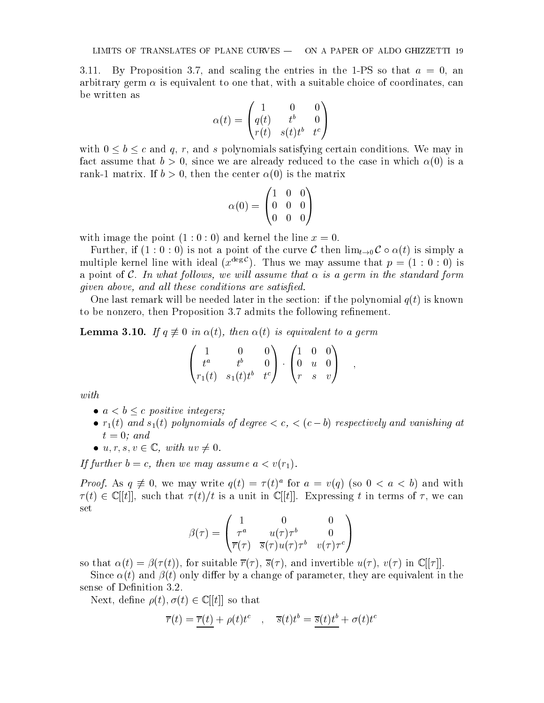3.11. By Proposition 3.7, and scaling the entries in the 1-PS so that  $a = 0$ , an arbitrary germ  $\alpha$  is equivalent to one that, with a suitable choice of coordinates, can be written as

$$
\alpha(t)=\begin{pmatrix}1&0&0\\q(t)&t^b&0\\r(t)&s(t)t^b&t^c\end{pmatrix}
$$

with  $0 \leq b \leq c$  and q, r, and s polynomials satisfying certain conditions. We may in fact assume that  $b > 0$ , since we are already reduced to the case in which  $\alpha(0)$  is a rank-1 matrix. If  $b > 0$ , then the center  $\alpha(0)$  is the matrix

$$
\alpha(0) = \begin{pmatrix} 1 & 0 & 0 \\ 0 & 0 & 0 \\ 0 & 0 & 0 \end{pmatrix}
$$

with image the point  $(1:0:0)$  and kernel the line  $x=0$ .

Further, if  $(1:0:0)$  is not a point of the curve C then  $\lim_{t\to 0} C \circ \alpha(t)$  is simply a multiple kernel line with ideal  $(x^{\deg \mathcal{C}})$ . Thus we may assume that  $p = (1 : 0 : 0)$  is a point of C. In what follows, we will assume that  $\alpha$  is a germ in the standard form given above, and all these conditions are satisfied.

One last remark will be needed later in the section: if the polynomial  $q(t)$  is known to be nonzero, then Proposition 3.7 admits the following refinement.

**Lemma 3.10.** If  $q \neq 0$  in  $\alpha(t)$ , then  $\alpha(t)$  is equivalent to a germ

$$
\begin{pmatrix} 1 & 0 & 0 \ t^a & t^b & 0 \ r_1(t) & s_1(t) t^b & t^c \end{pmatrix} \cdot \begin{pmatrix} 1 & 0 & 0 \ 0 & u & 0 \ r & s & v \end{pmatrix} ,
$$

with

- $a < b \leq c$  positive integers;
- $r_1(t)$  and  $s_1(t)$  polynomials of degree  $\lt c, \lt (c b)$  respectively and vanishing at  $t = 0$ ; and
- $u, r, s, v \in \mathbb{C}$ , with  $uv \neq 0$ .

If further  $b = c$ , then we may assume  $a < v(r_1)$ .

*Proof.* As  $q \neq 0$ , we may write  $q(t) = 7(t)$  for  $a = v(q)$  (so  $0 \leq a \leq v$ ) and with  $\tau(t) \in \mathbb{C}[[t]]$ , such that  $\tau(t)/t$  is a unit in  $\mathbb{C}[[t]]$ . Expressing t in terms of  $\tau$ , we can set

$$
\beta(\tau) = \begin{pmatrix} 1 & 0 & 0 \\ \tau^a & u(\tau)\tau^b & 0 \\ \overline{r}(\tau) & \overline{s}(\tau)u(\tau)\tau^b & v(\tau)\tau^c \end{pmatrix}
$$

so that  $\alpha(t) = \beta(\tau(t))$ , for suitable  $\overline{\tau}(\tau)$ ,  $\overline{s}(\tau)$ , and invertible  $u(\tau)$ ,  $v(\tau)$  in  $\mathbb{C}[\tau]$ .

Since  $\alpha(t)$  and  $\beta(t)$  only differ by a change of parameter, they are equivalent in the sense of Definition 3.2.

Next, define  $\rho(t), \sigma(t) \in \mathbb{C}[[t]]$  so that

$$
\overline{r}(t) = \overline{r}(t) + \rho(t)t^c \quad , \quad \overline{s}(t)t^b = \overline{s}(t)t^b + \sigma(t)t^c
$$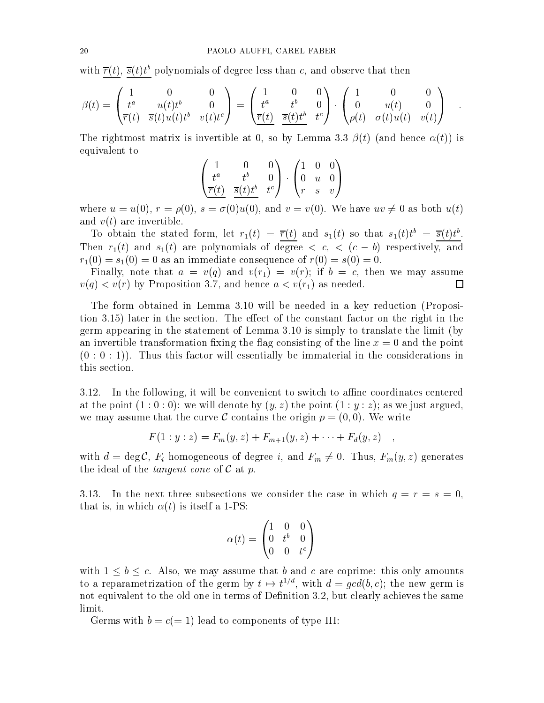with  $r(t)$ ,  $s(t)t^{\gamma}$  polynomials of degree less than c, and observe that then

$$
\beta(t) = \begin{pmatrix} 1 & 0 & 0 \\ t^a & u(t)t^b & 0 \\ \overline{r}(t) & \overline{s}(t)u(t)t^b & v(t)t^c \end{pmatrix} = \begin{pmatrix} 1 & 0 & 0 \\ t^a & t^b & 0 \\ \overline{r}(t) & \overline{s}(t)t^b & t^c \end{pmatrix} \cdot \begin{pmatrix} 1 & 0 & 0 \\ 0 & u(t) & 0 \\ \rho(t) & \sigma(t)u(t) & v(t) \end{pmatrix} .
$$

The rightmost matrix is invertible at 0, so by Lemma 3.3  $\beta(t)$  (and hence  $\alpha(t)$ ) is equivalent to

$$
\begin{pmatrix}\n1 & 0 & 0 \\
t^a & t^b & 0 \\
\overline{r}(t) & \overline{s}(t)t^b & t^c\n\end{pmatrix} \cdot \begin{pmatrix}\n1 & 0 & 0 \\
0 & u & 0 \\
r & s & v\n\end{pmatrix}
$$

where  $u = u(0)$ ,  $r = \rho(0)$ ,  $s = \sigma(0)u(0)$ , and  $v = v(0)$ . We have  $uv \neq 0$  as both  $u(t)$ and  $v(t)$  are invertible.

To obtain the stated form, let  $r_1(t) = r(t)$  and  $s_1(t)$  so that  $s_1(t)t = s(t)t$ . Then  $r_1(t)$  and  $s_1(t)$  are polynomials of degree  $\langle c, \langle (c - b) \rangle$  respectively, and  $r_1(0) = s_1(0) = 0$  as an immediate consequence of  $r(0) = s(0) = 0$ .

Finally, note that  $a = v(q)$  and  $v(r_1) = v(r)$ ; if  $b = c$ , then we may assume  $v(q) < v(r)$  by Proposition 3.7, and hence  $a < v(r_1)$  as needed.  $\Box$ 

The form obtained in Lemma 3.10 will be needed in a key reduction (Proposition 3.15) later in the section. The effect of the constant factor on the right in the germ appearing in the statement of Lemma 3.10 is simply to translate the limit (by an invertible transformation fixing the flag consisting of the line  $x=0$  and the point  $(0:0:1)$ . Thus this factor will essentially be immaterial in the considerations in this section.

 $3.12$ . In the following, it will be convenient to switch to affine coordinates centered at the point  $(1:0:0)$ : we will denote by  $(y, z)$  the point  $(1: y: z)$ ; as we just argued, we may assume that the curve C contains the origin  $p = (0, 0)$ . We write

$$
F(1:y:z) = F_m(y,z) + F_{m+1}(y,z) + \cdots + F_d(y,z) ,
$$

with  $d = \deg \mathcal{C}$ ,  $F_i$  homogeneous of degree i, and  $F_m \neq 0$ . Thus,  $F_m(y, z)$  generates the ideal of the *tangent* cone of  $\mathcal C$  at p.

3.13. In the next three subsections we consider the case in which  $q = r = s = 0$ , that is, in which  $\alpha(t)$  is itself a 1-PS:

$$
\alpha(t)=\begin{pmatrix}1&0&0\\0&t^b&0\\0&0&t^c\end{pmatrix}
$$

with  $1 \leq b \leq c$ . Also, we may assume that b and c are coprime: this only amounts to a reparametrization of the germ by  $t \mapsto t^{\gamma,*}$ , with  $a = qca(v, c)$ ; the new germ is not equivalent to the old one in terms of Definition 3.2, but clearly achieves the same limit.

Germs with  $b = c(= 1)$  lead to components of type III: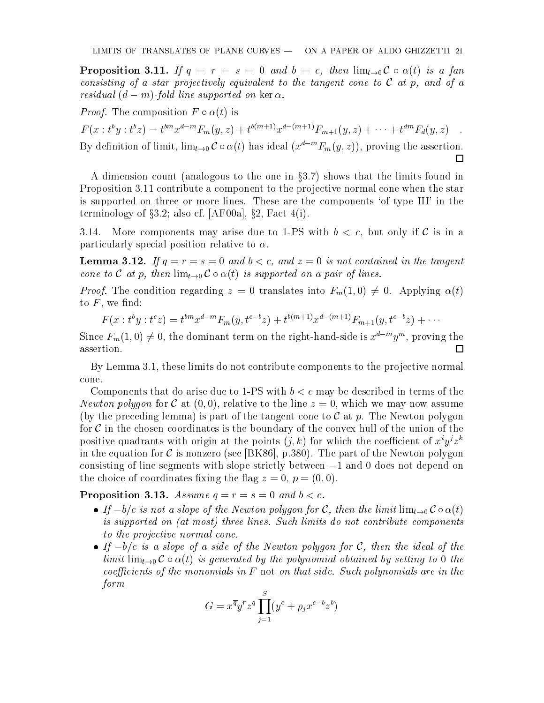**Proposition 3.11.** If  $q = r = s = 0$  and  $b = c$ , then  $\lim_{t\to 0} C \circ \alpha(t)$  is a fan consisting of a star projectively equivalent to the tangent cone to  $\mathcal C$  at p, and of a residual  $(d - m)$ -fold line supported on ker  $\alpha$ .

*Proof.* The composition  $F \circ \alpha(t)$  is

 $F(x : t y : t z) = t^{\cdots} x^{\cdots} F_m(y, z) + t^{\cdots + z} x^{\cdots} \cdots F_{m+1}(y, z) + \cdots + t^{\cdots} F_d(y, z)$ 

By definition of limit,  $\lim_{t\to 0} C \circ \alpha(t)$  has ideal  $(x^{d-m}F_m(y, z))$ , proving the assertion.  $\Box$ 

A dimension count (analogous to the one in  $\S 3.7$ ) shows that the limits found in Proposition 3.11 contribute a component to the projective normal cone when the star is supported on three or more lines. These are the components 'of type III' in the terminology of  $\S 3.2$ ; also cf. [AF00a],  $\S 2$ , Fact 4(i).

3.14. More components may arise due to 1-PS with  $b < c$ , but only if C is in a particularly special position relative to  $\alpha$ .

**Lemma 3.12.** If  $q = r = s = 0$  and  $b < c$ , and  $z = 0$  is not contained in the tangent cone to C at p, then  $\lim_{t\to 0} C \circ \alpha(t)$  is supported on a pair of lines.

*Proof.* The condition regarding  $z = 0$  translates into  $F_m(1,0) \neq 0$ . Applying  $\alpha(t)$ to  $F$ , we find:

$$
F(x : t^{b}y : t^{c}z) = t^{bm}x^{d-m}F_{m}(y, t^{c-b}z) + t^{b(m+1)}x^{d-(m+1)}F_{m+1}(y, t^{c-b}z) + \cdots
$$

Since  $r_m(1,0) \neq 0$ , the dominant term on the right-hand-side is  $x^{\ldots}$   $y^{\ldots}$ , proving the assertion.

By Lemma 3.1, these limits do not contribute components to the projective normal cone.

Components that do arise due to 1-PS with  $b < c$  may be described in terms of the Newton polygon for C at  $(0,0)$ , relative to the line  $z=0$ , which we may now assume (by the preceding lemma) is part of the tangent cone to  $\mathcal C$  at p. The Newton polygon for  $\mathcal C$  in the chosen coordinates is the boundary of the convex hull of the union of the positive quadrants with origin at the points  $(j, k)$  for which the coefficient of  $x^i y^j z^k$ in the equation for  $\mathcal C$  is nonzero (see [BK86], p.380). The part of the Newton polygon consisting of line segments with slope strictly between  $-1$  and 0 does not depend on the choice of coordinates fixing the flag  $z = 0$ ,  $p = (0, 0)$ .

**Proposition 3.13.** Assume  $q = r = s = 0$  and  $b < c$ .

- If  $-b/c$  is not a slope of the Newton polygon for C, then the limit  $\lim_{t\to 0} C \circ \alpha(t)$ is supported on (at most) three lines. Such limits do not contribute components to the projective normal cone.
- If  $-b/c$  is a slope of a side of the Newton polygon for C, then the ideal of the limit  $\lim_{t\to 0} C \circ \alpha(t)$  is generated by the polynomial obtained by setting to 0 the coefficients of the monomials in  $F$  not on that side. Such polynomials are in the form

$$
G = x^{\overline{q}} y^r z^q \prod_{j=1}^S (y^c + \rho_j x^{c-b} z^b)
$$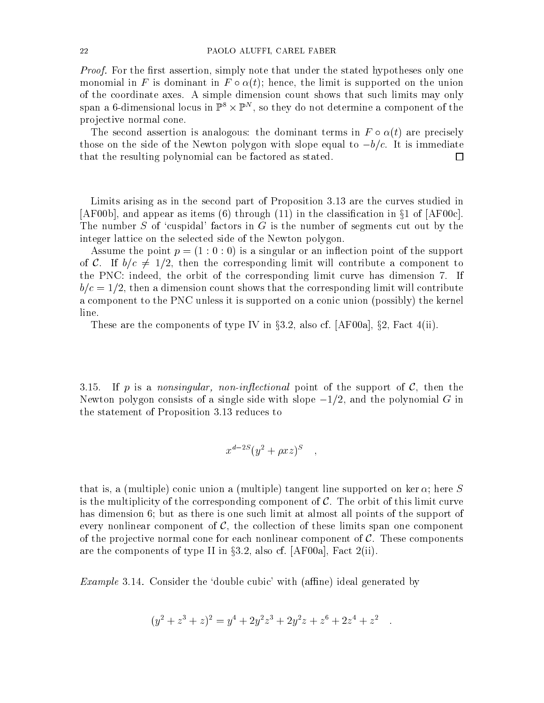Proof. For the first assertion, simply note that under the stated hypotheses only one monomial in F is dominant in  $F \circ \alpha(t)$ ; hence, the limit is supported on the union of the coordinate axes. A simple dimension count shows that such limits may only  $\mathop{\rm span}\nolimits$  a 0-dimensional locus in  $\mathbb{P}^*\times\mathbb{P}^*$  , so they do not determine a component of the pro jective normal cone.

The second assertion is analogous: the dominant terms in  $F \circ \alpha(t)$  are precisely those on the side of the Newton polygon with slope equal to  $-b/c$ . It is immediate that the resulting polynomial can be factored as stated.  $\Box$ 

Limits arising as in the second part of Proposition 3.13 are the curves studied in  $[AF00b]$ , and appear as items (6) through (11) in the classification in  $\S1$  of  $[AF00c]$ . The number S of 'cuspidal' factors in G is the number of segments cut out by the integer lattice on the selected side of the Newton polygon.

Assume the point  $p = (1:0:0)$  is a singular or an inflection point of the support of C. If  $b/c \neq 1/2$ , then the corresponding limit will contribute a component to the PNC: indeed, the orbit of the corresponding limit curve has dimension 7. If  $b/c = 1/2$ , then a dimension count shows that the corresponding limit will contribute a component to the PNC unless it is supported on a conic union (possibly) the kernel line.

These are the components of type IV in  $\S 3.2$ , also cf. [AF00a],  $\S 2$ , Fact 4(ii).

3.15. If p is a nonsingular, non-inflectional point of the support of  $\mathcal{C}$ , then the Newton polygon consists of a single side with slope  $-1/2$ , and the polynomial G in the statement of Proposition 3.13 reduces to

$$
x^{d-2S}(y^2+\rho x z)^S \quad ,
$$

that is, a (multiple) conic union a (multiple) tangent line supported on ker  $\alpha$ ; here S is the multiplicity of the corresponding component of  $\mathcal{C}$ . The orbit of this limit curve has dimension 6; but as there is one such limit at almost all points of the support of every nonlinear component of  $\mathcal{C}$ , the collection of these limits span one component of the projective normal cone for each nonlinear component of  $\mathcal{C}$ . These components are the components of type II in  $\S 3.2$ , also cf. [AF00a], Fact 2(ii).

*Example* 3.14. Consider the 'double cubic' with (affine) ideal generated by

$$
(y2 + z3 + z)2 = y4 + 2y2z3 + 2y2z + z6 + 2z4 + z2
$$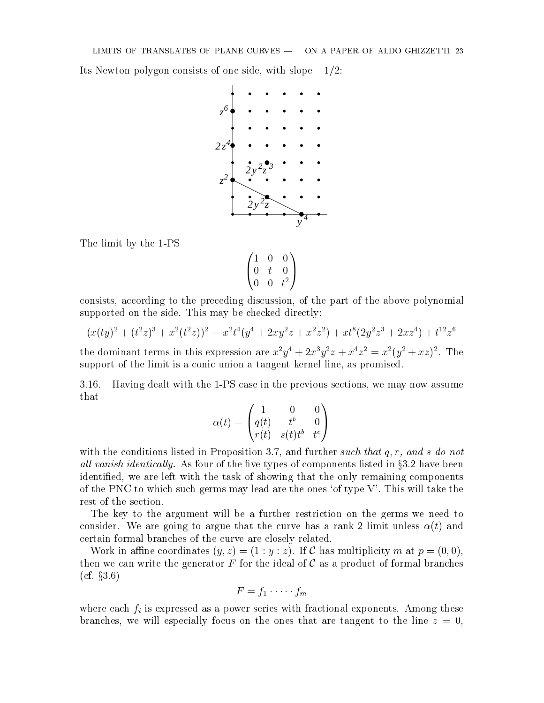Its Newton polygon consists of one side, with slope  $-1/2$ :



The limit by the 1-PS

$$
\begin{pmatrix}\n1 & 0 & 0 \\
0 & t & 0 \\
0 & 0 & t^2\n\end{pmatrix}
$$

consists, according to the preceding discussion, of the part of the above polynomial supported on the side. This may be checked directly:

$$
(x(ty)^2 + (t^2z)^3 + x^2(t^2z))^2 = x^2t^4(y^4 + 2xy^2z + x^2z^2) + xt^8(2y^2z^3 + 2xz^4) + t^{12}z^6
$$

the dominant terms in this expression are  $x^2y^2 + 2x^3y^2z + x^2z^2 = x^2(y^2 + xz)^2$ . The support of the limit is a conic union a tangent kernel line, as promised.

3.16. Having dealt with the 1-PS case in the previous sections, we may now assume that

$$
\alpha(t) = \begin{pmatrix} 1 & 0 & 0 \\ q(t) & t^b & 0 \\ r(t) & s(t)t^b & t^c \end{pmatrix}
$$

with the conditions listed in Proposition 3.7, and further such that  $q, r,$  and s do not all vanish identically. As four of the five types of components listed in  $\S 3.2$  have been identied, we are left with the task of showing that the only remaining components of the PNC to which such germs may lead are the ones 'of type  $V'$ . This will take the rest of the section.

The key to the argument will be a further restriction on the germs we need to consider. We are going to argue that the curve has a rank-2 limit unless  $\alpha(t)$  and certain formal branches of the curve are closely related.

Work in affine coordinates  $(y, z) = (1 : y : z)$ . If C has multiplicity m at  $p = (0, 0)$ , then we can write the generator  $F$  for the ideal of  $\mathcal C$  as a product of formal branches  $(cf. §3.6)$ 

$$
F=f_1\cdot\cdots\cdot f_m
$$

where each  $f_i$  is expressed as a power series with fractional exponents. Among these branches, we will especially focus on the ones that are tangent to the line  $z = 0$ .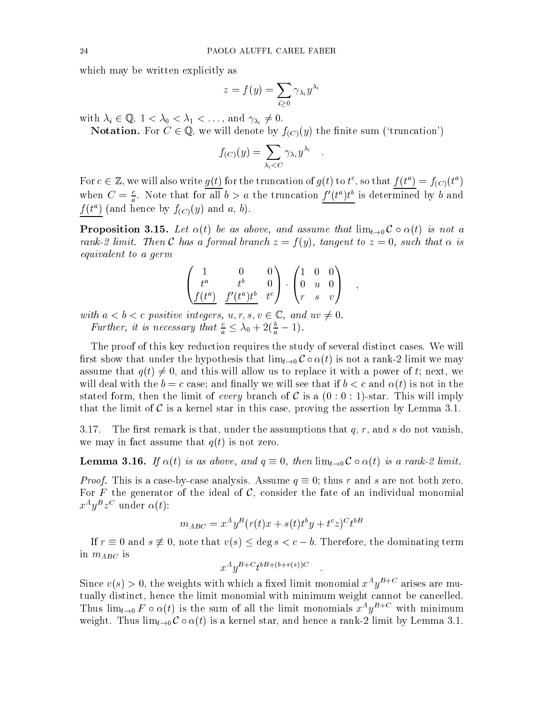which may be written explicitly as

$$
z=f(y)=\sum_{i\geq 0}\gamma_{\lambda_i}y^{\lambda_i}
$$

with  $\lambda_i \in \mathbb{Q}$ ,  $1 < \lambda_0 < \lambda_1 < \ldots$ , and  $\gamma_{\lambda_i} \neq 0$ .

**Notation.** For  $C \in \mathbb{Q}$ , we will denote by  $f_{(C)}(y)$  the finite sum ('truncation')

$$
f_{(C)}(y) = \sum_{\lambda_i < C} \gamma_{\lambda_i} y^{\lambda_i} \quad .
$$

For  $c \in \mathbb{Z}$ , we will also write  $g(t)$  for the truncation of  $g(t)$  to  $t^*$ , so that  $f(t^*) \equiv f_{(C)}(t^*)$ when  $C = \frac{1}{a}$ . Note that for all  $b > a$  the truncation  $f(t<sup>2</sup>)t<sup>2</sup>$  is determined by b and  $f(t^a)$  (and hence by  $f_{(C)}(y)$  and a, b).

**Proposition 3.15.** Let  $\alpha(t)$  be as above, and assume that  $\lim_{t\to 0} C \circ \alpha(t)$  is not a rank-2 limit. Then C has a formal branch  $z = f(y)$ , tangent to  $z = 0$ , such that  $\alpha$  is equivalent to a germ

$$
\begin{pmatrix}\n1 & 0 & 0 \\
t^a & t^b & 0 \\
\underline{f(t^a)} & \underline{f'(t^a)t^b} & t^c\n\end{pmatrix} \cdot \begin{pmatrix}\n1 & 0 & 0 \\
0 & u & 0 \\
r & s & v\n\end{pmatrix} ,
$$

with  $a < b < c$  positive integers,  $u, r, s, v \in \mathbb{C}$ , and  $uv \neq 0$ . Further, it is necessary that  $\frac{c}{a} \leq \lambda_0 + 2(\frac{b}{a} - 1)$ .

The proof of this key reduction requires the study of several distinct cases. We will first show that under the hypothesis that  $\lim_{t\to 0} C \circ \alpha(t)$  is not a rank-2 limit we may assume that  $q(t) \neq 0$ , and this will allow us to replace it with a power of t; next, we will deal with the  $b = c$  case; and finally we will see that if  $b < c$  and  $\alpha(t)$  is not in the stated form, then the limit of every branch of C is a  $(0:0:1)$ -star. This will imply that the limit of  $\mathcal C$  is a kernel star in this case, proving the assertion by Lemma 3.1.

3.17. The first remark is that, under the assumptions that  $q, r$ , and s do not vanish, we may in fact assume that  $q(t)$  is not zero.

**Lemma 3.16.** If  $\alpha(t)$  is as above, and  $q \equiv 0$ , then  $\lim_{t\to 0} C \circ \alpha(t)$  is a rank-2 limit.

*Proof.* This is a case-by-case analysis. Assume  $q \equiv 0$ ; thus r and s are not both zero. For F the generator of the ideal of  $\mathcal{C}$ , consider the fate of an individual monomial  $x - y = z - u$ nder  $\alpha(t)$ :

$$
m_{ABC} = x^A y^B (r(t)x + s(t)t^b y + t^c z)^C t^{bB}
$$

If  $r \equiv 0$  and  $s \not\equiv 0$ , note that  $v(s) \leq \deg s < c - b$ . Therefore, the dominating term in  $m_{ABC}$  is

$$
x^A y^{B+C} t^{bB+(b+v(s))C}
$$

Since  $v(s) > 0$ , the weights with which a fixed limit monomial  $x \cdot y$ <sup>-1</sup> arises are mutually distinct, hence the limit monomial with minimum weight cannot be cancelled. Thus  $\lim_{t\to 0} F \circ \alpha(t)$  is the sum of all the limit monomials  $x^{\alpha}y^{\alpha+\beta}$  with minimum weight. Thus  $\lim_{t\to 0} C \circ \alpha(t)$  is a kernel star, and hence a rank-2 limit by Lemma 3.1.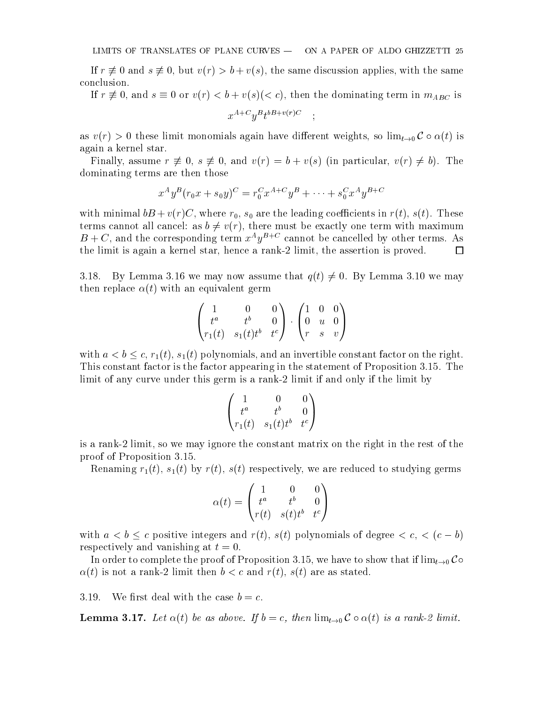If  $r \neq 0$  and  $s \neq 0$ , but  $v(r) > b + v(s)$ , the same discussion applies, with the same conclusion.

If  $r \neq 0$ , and  $s \equiv 0$  or  $v(r) < b + v(s)(< c)$ , then the dominating term in  $m_{ABC}$  is  $x$  and  $y$  is the vertex of  $\ddot{x}$  is the contract of  $y$  is the contract of  $y$  is the contract of  $y$  is the contract of  $y$  is the contract of  $y$  is the contract of  $y$  is the contract of  $y$  is the contract of  $y$ 

as  $v(r) > 0$  these limit monomials again have different weights, so  $\lim_{t\to 0} C \circ \alpha(t)$  is again a kernel star.

Finally, assume  $r \neq 0$ ,  $s \neq 0$ , and  $v(r) = b + v(s)$  (in particular,  $v(r) \neq b$ ). The dominating terms are then those

$$
x^A y^B (r_0 x + s_0 y)^C = r_0^C x^{A+C} y^B + \dots + s_0^C x^A y^{B+C}
$$

with minimal basic minimal coecients in redshift in redshift in redshift in redshift in redshift in redshift in redshift in redshift in redshift in redshift in redshift in redshift in redshift in redshift in redshift in r terms cannot all cancel: as  $b \neq v(r)$ , there must be exactly one term with maximum  $B + C$ , and the corresponding term  $x \gamma$  is cannot be cancelled by other terms. As the limit is again a kernel star, hence a rank-2 limit, the assertion is proved.  $\Box$ 

3.18. By Lemma 3.16 we may now assume that  $q(t) \neq 0$ . By Lemma 3.10 we may then replace  $\alpha(t)$  with an equivalent germ

$$
\begin{pmatrix} 1 & 0 & 0 \ t^a & t^b & 0 \ r_1(t) & s_1(t)t^b & t^c \end{pmatrix} \cdot \begin{pmatrix} 1 & 0 & 0 \ 0 & u & 0 \ r & s & v \end{pmatrix}
$$

with  $a < b \leq c$ ,  $r_1(t)$ ,  $s_1(t)$  polynomials, and an invertible constant factor on the right. This constant factor is the factor appearing in the statement of Proposition 3.15. The limit of any curve under this germ is a rank-2 limit if and only if the limit by

$$
\begin{pmatrix}\n1 & 0 & 0 \\
t^a & t^b & 0 \\
r_1(t) & s_1(t)t^b & t^c\n\end{pmatrix}
$$

is a rank-2 limit, so we may ignore the constant matrix on the right in the rest of the proof of Proposition 3.15.

Renaming  $r_1(t)$ ,  $s_1(t)$  by  $r(t)$ ,  $s(t)$  respectively, we are reduced to studying germs

$$
\alpha(t) = \begin{pmatrix} 1 & 0 & 0 \\ t^a & t^b & 0 \\ r(t) & s(t)t^b & t^c \end{pmatrix}
$$

with  $a < b \leq c$  positive integers and  $r(t)$ ,  $s(t)$  polynomials of degree  $\lt c, \lt (c - b)$ respectively and vanishing at  $t = 0$ .

In order to complete the proof of Proposition 3.15, we have to show that if  $\lim_{t\to 0}$  Co  $\alpha(t)$  is not a rank-2 limit then  $b < c$  and  $r(t)$ ,  $s(t)$  are as stated.

3.19. We first deal with the case  $b = c$ .

**Lemma 3.17.** Let  $\alpha(t)$  be as above. If  $b = c$ , then  $\lim_{t\to 0} C \circ \alpha(t)$  is a rank-2 limit.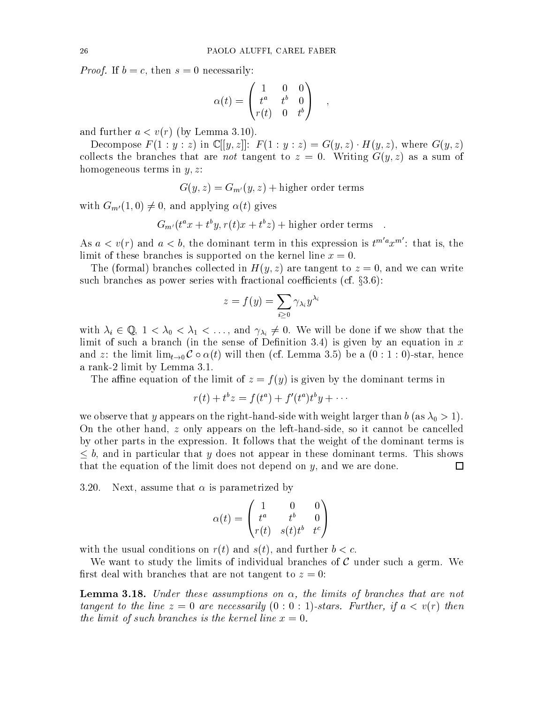*Proof.* If  $b = c$ , then  $s = 0$  necessarily:

$$
\alpha(t) = \begin{pmatrix} 1 & 0 & 0 \\ t^a & t^b & 0 \\ r(t) & 0 & t^b \end{pmatrix} ,
$$

and further  $a < v(r)$  (by Lemma 3.10).

Decompose  $F(1:y:z)$  in  $\mathbb{C}[[y,z]]: F(1:y:z) = G(y,z) \cdot H(y,z)$ , where  $G(y,z)$ collects the branches that are not tangent to  $z = 0$ . Writing  $G(y, z)$  as a sum of homogeneous terms in  $y, z$ :

$$
G(y, z) = G_{m'}(y, z) + \text{higher order terms}
$$

with  $G_{m'}(1,0) \neq 0$ , and applying  $\alpha(t)$  gives

$$
G_{m'}(t^a x + t^b y, r(t)x + t^b z) +
$$
higher order terms

As  $a < v(r)$  and  $a < b$ , the dominant term in this expression is  $t^{m' a} x^{m'}$ : that is, the limit of these branches is supported on the kernel line  $x = 0$ .

The (formal) branches collected in  $H(y, z)$  are tangent to  $z = 0$ , and we can write such branches as power series with fractional coefficients (cf.  $\S 3.6$ ):

$$
z=f(y)=\sum_{i\geq 0}\gamma_{\lambda_i}y^{\lambda_i}
$$

with  $\lambda_i \in \mathbb{Q}$ ,  $1 < \lambda_0 < \lambda_1 < \ldots$ , and  $\gamma_{\lambda_i} \neq 0$ . We will be done if we show that the limit of such a branch (in the sense of Definition 3.4) is given by an equation in  $x$ and z: the limit  $\lim_{t\to 0} C \circ \alpha(t)$  will then (cf. Lemma 3.5) be a  $(0:1:0)$ -star, hence a rank-2 limit by Lemma 3.1.

The affine equation of the limit of  $z = f(y)$  is given by the dominant terms in

$$
r(t) + t^b z = f(t^a) + f'(t^a)t^b y + \cdots
$$

we observe that y appears on the right-hand-side with  $\alpha$  as  $\alpha$  is  $\alpha$  is a 1  $\alpha$  is a 1  $\alpha$  is a 1  $\alpha$  is a 1  $\alpha$  is a 1  $\alpha$  is a 1  $\alpha$  is a 1  $\alpha$  is a 1  $\alpha$  is a 1  $\alpha$  is a 1  $\alpha$  is a 1  $\alpha$  is a 1  $\alpha$  is On the other hand, z only appears on the left-hand-side, so it cannot be cancelled by other parts in the expression. It follows that the weight of the dominant terms is  $\leq b$ , and in particular that y does not appear in these dominant terms. This shows that the equation of the limit does not depend on  $y$ , and we are done. 口

3.20. Next, assume that  $\alpha$  is parametrized by

$$
\alpha(t)=\begin{pmatrix} 1 & 0 & 0\\ t^a & t^b & 0\\ r(t) & s(t)t^b & t^c\end{pmatrix}
$$

with the usual conditions on  $r(t)$  and  $s(t)$ , and further  $b < c$ .

We want to study the limits of individual branches of  $\mathcal C$  under such a germ. We first deal with branches that are not tangent to  $z = 0$ :

**Lemma 3.18.** Under these assumptions on  $\alpha$ , the limits of branches that are not tangent to the line  $z = 0$  are necessarily  $(0:0:1)$ -stars. Further, if  $a < v(r)$  then the limit of such branches is the kernel line  $x = 0$ .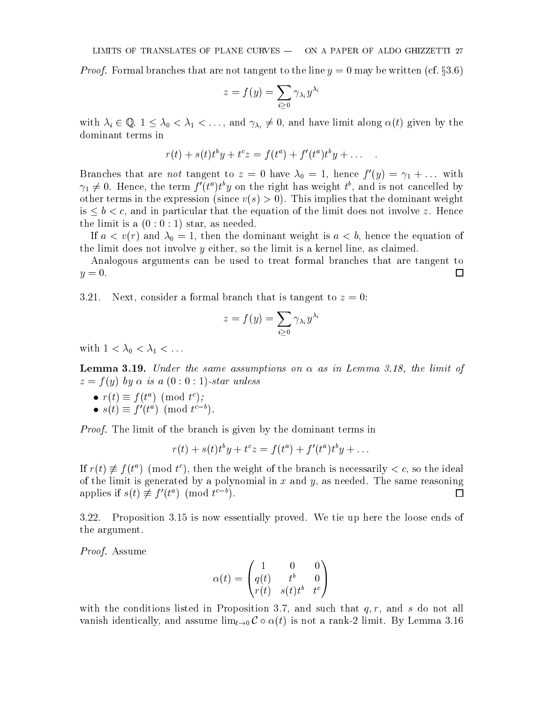*Proof.* Formal branches that are not tangent to the line  $y = 0$  may be written (cf.  $\S 3.6$ )

$$
z=f(y)=\sum_{i\geq 0}\gamma_{\lambda_i}y^{\lambda_i}
$$

with  $\lambda_i \in \mathbb{Q}$ ,  $1 \leq \lambda_0 < \lambda_1 < \ldots$ , and  $\gamma_{\lambda_i} \neq 0$ , and have limit along  $\alpha(t)$  given by the dominant terms in

$$
r(t) + s(t)t^{b}y + t^{c}z = f(t^{a}) + f'(t^{a})t^{b}y + \dots
$$

Dranches that are not tangent to  $z = 0$  have  $\lambda_0 = 1$ , hence  $f(y) = \gamma_1 + \ldots$  with  $\gamma_1 \neq 0$ . Hence, the term f  $\mu^* \mu^* y$  on the right has weight  $\iota^*$ , and is not cancelled by other terms in the expression (since  $v(s) > 0$ ). This implies that the dominant weight is  $\leq b \leq c$ , and in particular that the equation of the limit does not involve z. Hence the limit is a  $(0:0:1)$  star, as needed.

If and  $\mathbf{v}$  and  $\mathbf{v}$  and  $\mathbf{v}$  is a dominant weight is a dominant weight is a dominant weight is a dominant weight is a dominant weight is a dominant weight is a dominant weight is a dominant weight is a domina the limit does not involve  $y$  either, so the limit is a kernel line, as claimed.

Analogous arguments can be used to treat formal branches that are tangent to  $y=0.$ □

3.21. Next, consider a formal branch that is tangent to  $z = 0$ :

$$
z=f(y)=\sum_{i\geq 0}\gamma_{\lambda_i}y^{\lambda_i}
$$

with 1  $\sim$  1  $\sim$  1  $\sim$  1  $\sim$  1  $\sim$  1  $\sim$  1  $\sim$  1  $\sim$  1  $\sim$  1  $\sim$  1  $\sim$  1  $\sim$  1  $\sim$  1  $\sim$  1  $\sim$  1  $\sim$  1  $\sim$  1  $\sim$  1  $\sim$  1  $\sim$  1  $\sim$  1  $\sim$  1  $\sim$  1  $\sim$  1  $\sim$  1  $\sim$  1  $\sim$  1  $\sim$  1  $\sim$  1  $\sim$  1  $\sim$ 

**Lemma 3.19.** Under the same assumptions on  $\alpha$  as in Lemma 3.18, the limit of  $z = f(y)$  by  $\alpha$  is a  $(0:0:1)$ -star unless

- $\bullet$   $r(t) = t(t)$  (mod t );
- $\bullet$  s(t)  $\equiv$  1 (t<sup>e</sup>) (mod t<sup>--</sup>).

Proof. The limit of the branch is given by the dominant terms in

$$
r(t) + s(t)tby + tcz = f(ta) + f'(ta)tby + \dots
$$

If  $r(t) \neq f(t)$  (mod t), then the weight of the branch is necessarily  $\leq c$ , so the ideal of the limit is generated by a polynomial in x and y, as needed. The same reasoning  $\Box$ applies if  $s(t) \neq f(t^{\alpha})$  (mod  $t^{\alpha}$ ).

3.22. Proposition 3.15 is now essentially proved. We tie up here the loose ends of the argument.

Proof. Assume

$$
\alpha(t)=\begin{pmatrix}1&0&0\\q(t)&t^b&0\\r(t)&s(t)t^b&t^c\end{pmatrix}
$$

with the conditions listed in Proposition 3.7, and such that  $q, r$ , and s do not all vanish identically, and assume  $\lim_{t\to 0} C \circ \alpha(t)$  is not a rank-2 limit. By Lemma 3.16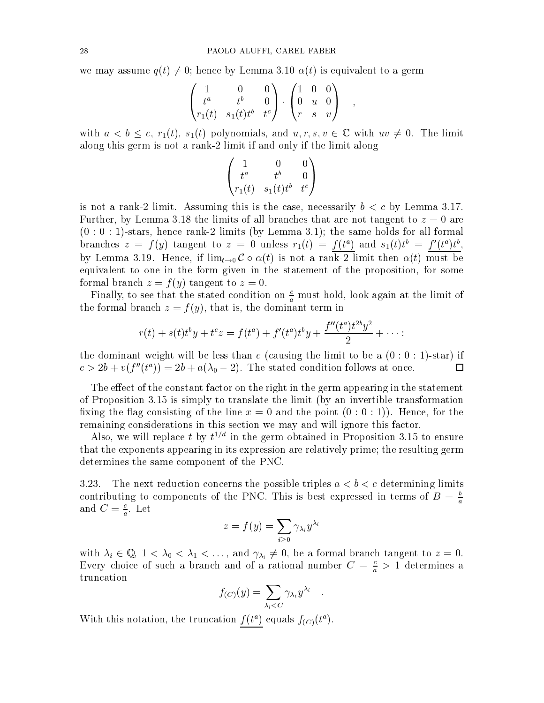we may assume  $q(t) \neq 0$ ; hence by Lemma 3.10  $\alpha(t)$  is equivalent to a germ

$$
\begin{pmatrix} 1 & 0 & 0 \ t^a & t^b & 0 \ r_1(t) & s_1(t)t^b & t^c \end{pmatrix} \cdot \begin{pmatrix} 1 & 0 & 0 \ 0 & u & 0 \ r & s & v \end{pmatrix} ,
$$

with  $a < b \leq c$ ,  $r_1(t)$ ,  $s_1(t)$  polynomials, and  $u, r, s, v \in \mathbb{C}$  with  $uv \neq 0$ . The limit along this germ is not a rank-2 limit if and only if the limit along

$$
\begin{pmatrix} 1 & 0 & 0 \\ t^a & t^b & 0 \\ r_1(t) & s_1(t)t^b & t^c \end{pmatrix}
$$

is not a rank-2 limit. Assuming this is the case, necessarily  $b < c$  by Lemma 3.17. Further, by Lemma 3.18 the limits of all branches that are not tangent to  $z = 0$  are  $(0:0:1)$ -stars, hence rank-2 limits (by Lemma 3.1); the same holds for all formal branches  $z = f(y)$  tangent to  $z = 0$  unless  $r_1(t) = f(t)$  and  $s_1(t)t = f(t)t$ , by Lemma 3.19. Hence, if  $\lim_{t\to 0} C \circ \alpha(t)$  is not a rank-2 limit then  $\alpha(t)$  must be equivalent to one in the form given in the statement of the proposition, for some formal branch  $z = f(y)$  tangent to  $z = 0$ .

Finally, to see that the stated condition on  $\frac{c}{a}$  must hold, look again at the limit of the formal branch  $z = f(y)$ , that is, the dominant term in

$$
r(t) + s(t)t^{b}y + t^{c}z = f(t^{a}) + f'(t^{a})t^{b}y + \frac{f''(t^{a})t^{2b}y^{2}}{2} + \cdots
$$

the dominant weight will be less than c (causing the limit to be a  $(0:0:1)$ -star) if  $\Box$  $c > 20 + v(f_-(t)) = 20 + a(\lambda_0 - 2)$ . The stated condition follows at once.

The effect of the constant factor on the right in the germ appearing in the statement of Proposition 3.15 is simply to translate the limit (by an invertible transformation fixing the flag consisting of the line  $x = 0$  and the point  $(0:0:1)$ ). Hence, for the remaining considerations in this section we may and will ignore this factor.

Also, we will replace  $\iota$  by  $\iota^{**}$  in the germ obtained in Proposition 3.15 to ensure that the exponents appearing in its expression are relatively prime; the resulting germ determines the same component of the PNC.

3.23. The next reduction concerns the possible triples  $a < b < c$  determining limits contributing to components of the PNC. This is best expressed in terms of  $B = \frac{b}{a}$ and  $C = \frac{1}{a}$ . Let

$$
z=f(y)=\sum_{i\geq 0}\gamma_{\lambda_i}y^{\lambda_i}
$$

with  $\lambda_i \in \mathbb{Q}$ ,  $1 < \lambda_0 < \lambda_1 < \ldots$ , and  $\gamma_{\lambda_i} \neq 0$ , be a formal branch tangent to  $z = 0$ . Every choice of such a branch and of a rational number  $C = \frac{c}{a} > 1$  determines a truncation

$$
f_{(C)}(y) = \sum_{\lambda_i < C} \gamma_{\lambda_i} y^{\lambda_i} \quad .
$$

With this notation, the truncation  $f(t^a)$  equals  $f_{(C)}(t^a)$ .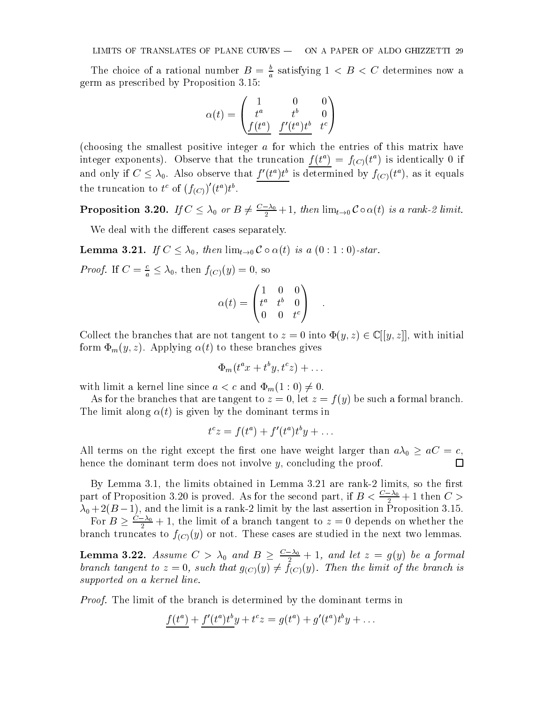The choice of a rational number  $B = \frac{b}{a}$  satisfying  $1 \lt B \lt C$  determines now a germ as prescribed by Proposition 3.15:

$$
\alpha(t) = \begin{pmatrix} 1 & 0 & 0 \\ t^a & t^b & 0 \\ \frac{f(t^a)}{a} & \frac{f'(t^a)t^b}{a} & t^c \end{pmatrix}
$$

(choosing the smallest positive integer a for which the entries of this matrix have integer exponents). Observe that the truncation  $f(t^a) = f_{(C)}(t^a)$  is identically 0 if and only if  $C \leq \lambda_0$ . Also observe that  $f(t)$  is determined by  $f(C)(t)$ , as it equals the truncation to  $t^c$  of  $(f_{(C)})$   $(t^u)t^v$ .

**Proposition 3.20.** If  $C \leq \lambda_0$  or  $B \neq \frac{1}{2}+1$ , then  $\lim_{t\to 0} C \circ \alpha(t)$  is a rank-2 limit.  $-$ 

We deal with the different cases separately.

**Lemma 3.21.** If  $C \leq \lambda_0$ , then  $\lim_{t \to 0} C \circ \alpha(t)$  is a  $(0 : 1 : 0)$ -star.

*Proof.* If  $C = \frac{c}{a} \leq \lambda_0$ , then  $f_{(C)}(y) = 0$ , so

$$
\alpha(t) = \begin{pmatrix} 1 & 0 & 0 \\ t^a & t^b & 0 \\ 0 & 0 & t^c \end{pmatrix} .
$$

Collect the branches that are not tangent to  $z = 0$  into  $\Phi(y, z) \in \mathbb{C}[[y, z]]$ , with initial form  $\Phi_m(y, z)$ . Applying  $\alpha(t)$  to these branches gives

$$
\Phi_m(t^a x + t^b y, t^c z) + \dots
$$

with limit a kernel line since  $a < c$  and  $\Phi_m(1:0) \neq 0$ .

As for the branches that are tangent to  $z = 0$ , let  $z = f(y)$  be such a formal branch. The limit along  $\alpha(t)$  is given by the dominant terms in

$$
t^c z = f(t^a) + f'(t^a)t^b y + \dots
$$

All terms on the right terms is the main that we have well the close than an  $0 \; = \; \ldots \;$ hence the dominant term does not involve y, concluding the proof.  $\Box$ 

By Lemma 3.1, the limits obtained in Lemma  $3.21$  are rank-2 limits, so the first part of Proposition 3.20 is proved. As for the second part, if  $B < \frac{1}{2} + 1$  then  $C > 0$  $-$ 0 + 2(B 1), and the limit is a rank-2 limit by the last assertion in Proposition 3.15.

For  $B \geq \frac{z}{2} + 1$ , the limit of a branch tangent to  $z = 0$  depends on whether the branch truncates to  $f_{(C)}(y)$  or not. These cases are studied in the next two lemmas.

**Lemma 3.22.** Assume  $C > \lambda_0$  and  $B \geq \frac{2}{\lambda_0} + 1$ , and let  $z = g(y)$  be a formal branch tangent to  $\mathcal{L}(\mathcal{C})$  ,  $\mathcal{L}(\mathcal{C})$  (y),  $\mathcal{L}(\mathcal{C})$  (y). The branch is the branch is the branch is the branch is the branch is the branch is the branch is the branch is the branch is the branch is the br supported on a kernel line.

*Proof.* The limit of the branch is determined by the dominant terms in

$$
\frac{f(t^a)}{f(t^a)} + \frac{f'(t^a)t^b}{f(t^a)}y + t^c z = g(t^a) + g'(t^a)t^b y + \dots
$$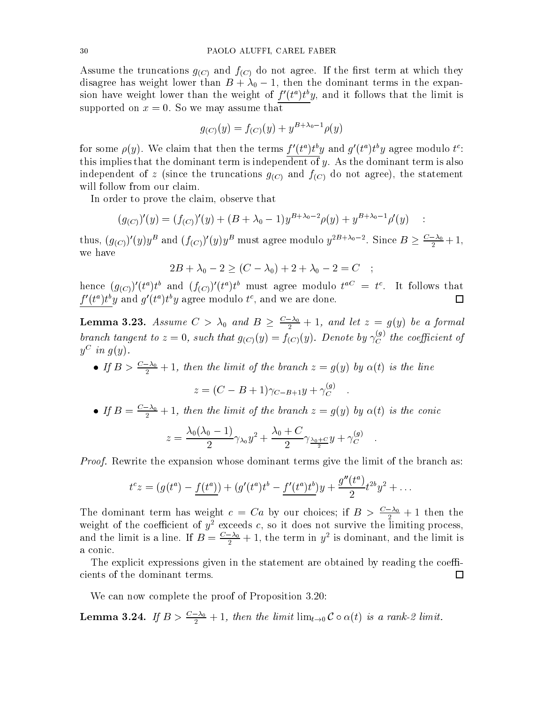Assume the truncations  $g_{(C)}$  and  $f_{(C)}$  do not agree. If the first term at which they disagree has we have the dominant lower than  $B$  then the dominant terms in the expansion of the expansion of the expansion of the expansion of the expansion of the expansion of the expansion of the expansion of the expan sion have weight lower than the weight of  $f(t^*)t^*y$ , and it follows that the limit is supported on  $x = 0$ . So we may assume that

$$
g_{(C)}(y) = f_{(C)}(y) + y^{B + \lambda_0 - 1} \rho(y)
$$

for some  $\rho(y)$ . We claim that then the terms f  $(v^*)vy$  and  $q(v^*)vy$  agree modulo  $t^*$ : this implies that the dominant term is independent of  $y$ . As the dominant term is also independent of z (since the truncations  $g_{(C)}$  and  $f_{(C)}$  do not agree), the statement will follow from our claim.

In order to prove the claim, observe that

$$
(g_{(C)})'(y) = (f_{(C)})'(y) + (B + \lambda_0 - 1)y^{B + \lambda_0 - 2} \rho(y) + y^{B + \lambda_0 - 1} \rho'(y) \quad :
$$

thus,  $(g_{(C)}) (y) y^2$  and  $(f_{(C)}) (y) y^2$  must agree modulo  $y^{2\gamma}$ . Since  $B \geq \frac{\gamma}{2} + 1$ , we have

$$
2B + \lambda_0 - 2 \ge (C - \lambda_0) + 2 + \lambda_0 - 2 = C \quad ;
$$

hence  $(g_{(C)})$  (t )t and  $(f_{(C)})$  (t )t must agree modulo t  $\Xi$  t. It follows that  $\Box$ f to forward and  $q$  to forward modulo t , and we are done.

**Lemma 3.23.** Assume  $C > \lambda_0$  and  $B \geq \frac{\lambda_0}{2} + 1$ , and let  $z = g(y)$  be a formal branch tangent to  $z=0$ , such that  $g_{(C)}(y)=f_{(C)}(y)$ . Denote by  $\gamma_{C}^{\infty\prime}$  the coefficient of  $y \in w \; q(y)$ .

• If  $B > \frac{C_0}{2} + 1$ , then the limit of the branch  $z = g(y)$  by  $\alpha(t)$  is the line  $-$ 

$$
z = (C - B + 1)\gamma_{C-B+1}y + \gamma_C^{(g)}.
$$

 $\bullet$  If  $B = \frac{C_0}{2} + 1$ , then the limit of the branch  $z = g(y)$  by  $\alpha(t)$  is the conic

$$
z = \frac{\lambda_0 (\lambda_0 - 1)}{2} \gamma_{\lambda_0} y^2 + \frac{\lambda_0 + C}{2} \gamma_{\frac{\lambda_0 + C}{2}} y + \gamma_C^{(g)}.
$$

*Proof.* Rewrite the expansion whose dominant terms give the limit of the branch as:

$$
t^{c}z = (g(t^{a}) - \underline{f(t^{a})}) + (g'(t^{a})t^{b} - \underline{f'(t^{a})t^{b}})y + \frac{g''(t^{a})}{2}t^{2b}y^{2} + \dots
$$

The dominant term has weight  $c = Ca$  by our choices; if  $B > \frac{c_0}{2} + 1$  then the weight of the coefficient of  $y^2$  exceeds c, so it does not survive the limiting process, and the limit is a line. If  $B = \frac{Q_0}{2} + 1$ , the term in y<sup>2</sup> is dominant, and the limit is a conic.

The explicit expressions given in the statement are obtained by reading the coeffcients of the dominant terms.  $\Box$ 

We can now complete the proof of Proposition 3.20:

**Lemma 3.24.** If  $B > \frac{20}{2} + 1$ , then the limit  $\lim_{t\to 0} C \circ \alpha(t)$  is a rank-2 limit.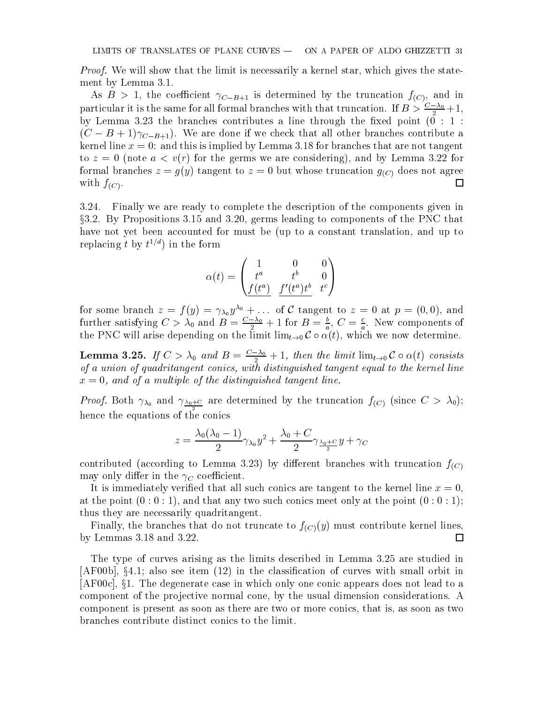*Proof.* We will show that the limit is necessarily a kernel star, which gives the statement by Lemma 3.1.

As  $B > 1$ , the coefficient  $\gamma_{C-B+1}$  is determined by the truncation  $f_{(C)}$ , and in particular it is the same for all formal branches with that truncation. If  $B > \frac{2}{3} + 1$ ,  $\overline{\phantom{0}}$  $\alpha$  ) is the branches contributes a line through the branches  $\alpha$  and the through the point (0 : 1 : 1 : 1 :  $(C - B + 1)\gamma_{C-B+1}$ . We are done if we check that all other branches contribute a kernel line  $x = 0$ : and this is implied by Lemma 3.18 for branches that are not tangent to  $z = 0$  (note  $a < v(r)$  for the germs we are considering), and by Lemma 3.22 for formal branches  $z = g(y)$  tangent to  $z = 0$  but whose truncation  $g_{(C)}$  does not agree with  $f_{(C)}$ .  $\Box$ 

3.24. Finally we are ready to complete the description of the components given in x3.2. By Propositions 3.15 and 3.20, germs leading to components of the PNC that have not yet been accounted for must be (up to a constant translation, and up to replacing  $\iota$  by  $\iota^{\mathscr{A}+}$  in the form

$$
\alpha(t) = \begin{pmatrix} 1 & 0 & 0 \\ t^a & t^b & 0 \\ \frac{f(t^a)}{f(t^a)} & \frac{f'(t^a)t^b}{f(t^a)} & t^c \end{pmatrix}
$$

for some branch  $z = f(y) = \gamma_{\lambda_0} y^{\lambda_0} + \dots$  of C tangent to  $z = 0$  at  $p = (0,0)$ , and further satisfying  $C > \lambda_0$  and  $B = \frac{C_0}{2} + 1$  for  $B = \frac{C_0}{a}$ ,  $C = \frac{C_0}{a}$ . New components of the PNC will arise depending on the limit limt!0 C (t), which we now determine.

**Lemma 3.25.** If  $C > \lambda_0$  and  $B = \frac{\lambda_0}{2} + 1$ , then the limit  $\lim_{t\to 0} C \circ \alpha(t)$  consists of a union of quadritangent conics, with distinguished tangent equal to the kernel line  $x = 0$ , and of a multiple of the distinguished tangent line.

 $P = \frac{P}{Q}$  and  $P = \frac{Q}{Q}$  are determined by the truncation  $f(C)$  (since  $C > 0$ ;  $(0)$ ; hence the equations of the conics

$$
z=\frac{\lambda_0 (\lambda_0-1)}{2}\gamma_{\lambda_0} y^2 + \frac{\lambda_0+C}{2}\gamma_{\frac{\lambda_0+C}{2}} y + \gamma_C
$$

contributed (according to Lemma 3.23) by different branches with truncation  $f_{(C)}$ may only differ in the  $\gamma_C$  coefficient.

It is immediately verified that all such conics are tangent to the kernel line  $x = 0$ , at the point  $(0:0:1)$ , and that any two such conics meet only at the point  $(0:0:1)$ ; thus they are necessarily quadritangent.

Finally, the branches that do not truncate to  $f_{(C)}(y)$  must contribute kernel lines, by Lemmas 3.18 and 3.22.  $\Box$ 

The type of curves arising as the limits described in Lemma 3.25 are studied in  $[AF00b], §4.1; also see item (12) in the classification of curves with small orbit in$  $[AF00c], §1.$  The degenerate case in which only one conic appears does not lead to a component of the projective normal cone, by the usual dimension considerations. A component is present as soon as there are two or more conics, that is, as soon as two branches contribute distinct conics to the limit.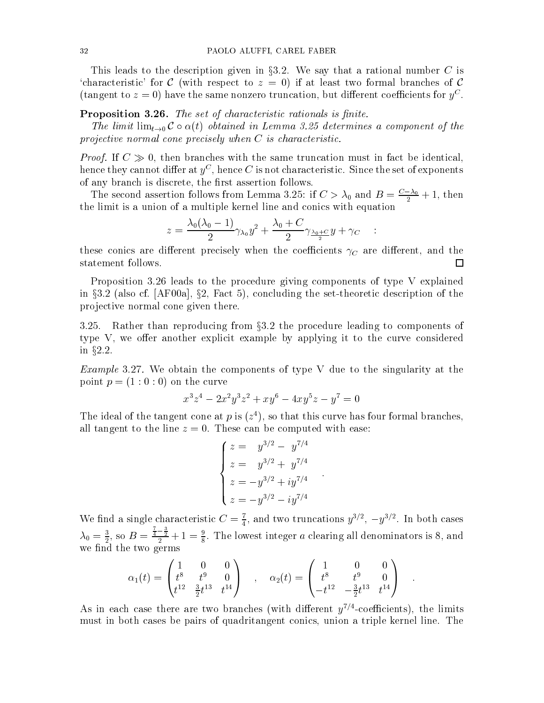This leads to the description given in  $\S 3.2$ . We say that a rational number C is 'characteristic' for C (with respect to  $z = 0$ ) if at least two formal branches of C (tangent to  $z = 0$ ) have the same nonzero truncation, but different coefficients for  $y_{\perp}$ .

# **Proposition 3.26.** The set of characteristic rationals is finite.

The limit  $\lim_{t\to 0} C \circ \alpha(t)$  obtained in Lemma 3.25 determines a component of the projective normal cone precisely when C is characteristic.

*Proof.* If  $C \gg 0$ , then branches with the same truncation must in fact be identical, hence they cannot differ at  $y^\perp$  , hence  $C$  is not characteristic. Since the set of exponents of any branch is discrete, the rst assertion follows.

The second assertion follows from Lemma 3.25: if  $C > \lambda_0$  and  $B = \frac{Q}{2^2} + 1$ , then the limit is a union of a multiple kernel line and conics with equation

$$
z=\frac{\lambda_0(\lambda_0-1)}{2}\gamma_{\lambda_0}y^2+\frac{\lambda_0+C}{2}\gamma_{\frac{\lambda_0+C}{2}}y+\gamma_C\quad:
$$

these conics are different precisely when the coefficients  $\gamma_C$  are different, and the statement follows.  $\Box$ 

Proposition 3.26 leads to the procedure giving components of type V explained in  $\S 3.2$  (also cf. [AF00a],  $\S 2$ , Fact 5), concluding the set-theoretic description of the pro jective normal cone given there.

3.25. Rather than reproducing from  $\S 3.2$  the procedure leading to components of type V, we offer another explicit example by applying it to the curve considered in  $§2.2$ .

*Example* 3.27. We obtain the components of type V due to the singularity at the point  $p = (1:0:0)$  on the curve

$$
x^3z^4 - 2x^2y^3z^2 + xy^6 - 4xy^5z - y^7 = 0
$$

The ideal of the tangent cone at  $p$  is ( $z$ ), so that this curve has four formal branches, all tangent to the line  $z = 0$ . These can be computed with ease:

$$
\begin{cases}\nz = y^{3/2} - y^{7/4} \\
z = y^{3/2} + y^{7/4} \\
z = -y^{3/2} + iy^{7/4} \\
z = -y^{3/2} - iy^{7/4}\n\end{cases}
$$

We find a single characteristic  $C = \frac{1}{4}$ , and two truncations  $y^{\alpha_1}$ ,  $-y^{\alpha_2}$ . In both cases  $\lambda_0 = \frac{1}{2}$ , so  $B = \frac{4}{2} + 1 = \frac{1}{8}$  $\frac{\frac{1}{4}-\frac{1}{2}}{2}+1=\frac{9}{8}$ . The lowest integer a clearing all denominators is 8, and we find the two germs

$$
\alpha_1(t)=\begin{pmatrix} 1 & 0 & 0 \\ t^8 & t^9 & 0 \\ t^{12} & \frac{3}{2}t^{13} & t^{14} \end{pmatrix} \quad , \quad \alpha_2(t)=\begin{pmatrix} 1 & 0 & 0 \\ t^8 & t^9 & 0 \\ -t^{12} & -\frac{3}{2}t^{13} & t^{14} \end{pmatrix} \quad .
$$

As in each case there are two pranches (with different  $y\gamma$  -coefficients), the limits must in both cases be pairs of quadritangent conics, union a triple kernel line. The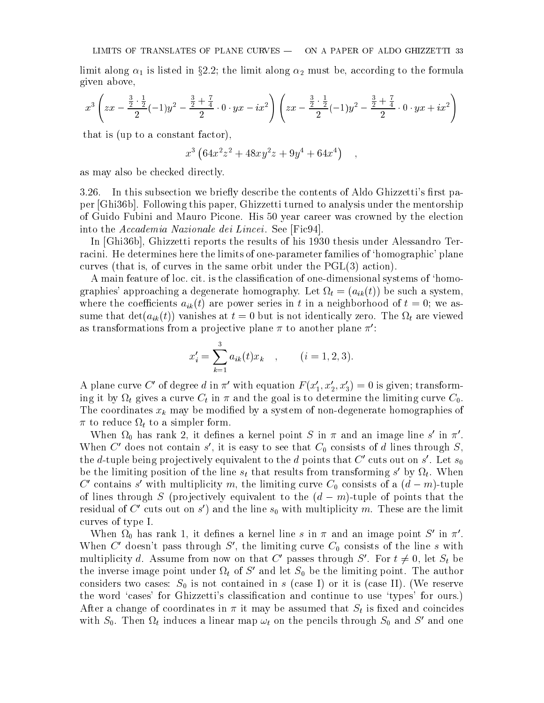limit along 1 is limit along 1 is limit along 2 must be, according to the formula to the formula to the formula given above,

$$
x^3 \left( zx - \frac{\frac{3}{2} \cdot \frac{1}{2}}{2} (-1) y^2 - \frac{\frac{3}{2} + \frac{7}{4}}{2} \cdot 0 \cdot yx - ix^2 \right) \left( zx - \frac{\frac{3}{2} \cdot \frac{1}{2}}{2} (-1) y^2 - \frac{\frac{3}{2} + \frac{7}{4}}{2} \cdot 0 \cdot yx + ix^2 \right)
$$

that is (up to a constant factor),

$$
x^3 \left(64x^2z^2 + 48xy^2z + 9y^4 + 64x^4\right) ,
$$

as may also be checked directly.

3.26. In this subsection we briefly describe the contents of Aldo Ghizzetti's first paper [Ghi36b]. Following this paper, Ghizzetti turned to analysis under the mentorship of Guido Fubini and Mauro Picone. His 50 year career was crowned by the election into the Accademia Nazionale dei Lincei . See [Fic94].

In [Ghi36b], Ghizzetti reports the results of his 1930 thesis under Alessandro Terracini. He determines here the limits of one-parameter families of 'homographic' plane curves (that is, of curves in the same orbit under the PGL(3) action).

A main feature of loc. cit. is the classification of one-dimensional systems of 'homographies' approaching a degenerate homography. Let  $\Omega_t = (a_{ik}(t))$  be such a system, where the coefficients  $a_{ik}(t)$  are power series in t in a neighborhood of  $t = 0$ ; we assume that deterministically deterministically  $\alpha$  but is not identically zero. The  $\alpha$ as transformations from a projective plane  $\pi$  to another plane  $\pi'$ :

$$
x'_{i} = \sum_{k=1}^{3} a_{ik}(t)x_{k} , \qquad (i = 1, 2, 3).
$$

A plane curve C' of degree d in  $\pi'$  with equation  $F(x_1', x_2', x_3') = 0$  is given; transforming it by a curve  $\alpha$  curve Community Community Community Community Community Community Community Community Co The coordinates  $x_k$  may be modified by a system of non-degenerate homographies of to the and the simple form. The simple form and the simple form of the simple simple simple simples of the simple simple simple simples of the simple simple simples of the simple simple simple simples of the simple simple

when  $\Omega_0$  has rank  $2$ , it defines a kernel point  $S$  in  $\pi$  and an image line s in  $\pi$ . when C above not contain s, it is easy to see that  $C_0$  consists of d lines through  $S$ , the a-tuple being projectively equivalent to the a points that  $C_0$  cuts out on s. Let  $s_0$ be the imitung position of the line  $s_t$  that results from transforming s by  $\Omega_t$ . When  $C$  contains s with multiplicity m, the limiting curve  $C_0$  consists of a  $(a-m)$ -tuple of lines through S (projectively equivalent to the  $(d - m)$ -tuple of points that the residual of  $C_0$  cuts out on s ) and the line s<sub>0</sub> with multiplicity m. These are the limit curves of type I.

When  $\Omega_0$  has rank 1, it defines a kernel line s in  $\pi$  and an image point  $S$  in  $\pi$ . When C' doesn't pass through S', the limiting curve  $C_0$  consists of the line s with multiplicity d. Assume from now on that C' passes through S'. For  $t \neq 0$ , let  $S_t$  be the inverse image point under  $\Omega_t$  or  $S$  and let  $S_0$  be the limiting point. The author  $c = 0$  is not contained in section in section in section in section in section in section in section in section in section in section in section in section in section in section in section in section in section in section the word 'cases' for Ghizzetti's classification and continue to use 'types' for ours.) After a change of coordinates in  $\pi$  it may be assumed that  $S_t$  is fixed and coincides with  $S_0$ . Then  $\Omega_t$  induces a linear map  $\omega_t$  on the pencils through  $S_0$  and  $S$  and one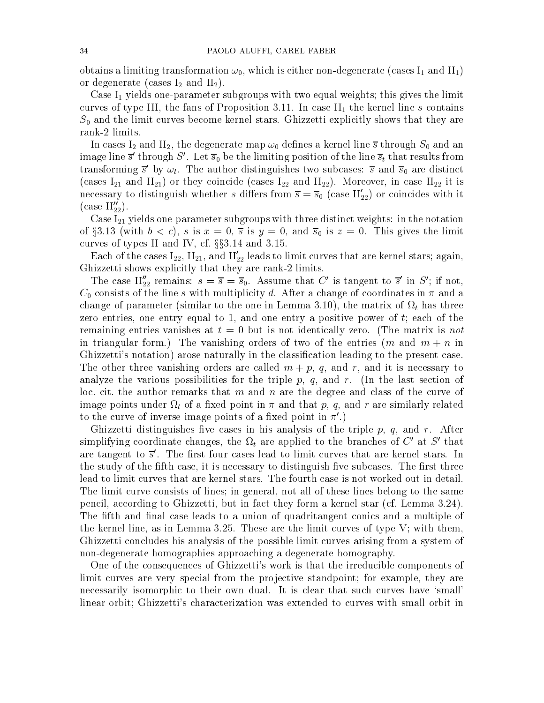obtains a limiting transformation in the interval induced in  $\mathbf{u}_1$  and  $\mathbf{u}_2$  and  $\mathbf{u}_3$  and  $\mathbf{u}_4$ or degenerate (cases I2 and II2).

Case I1 yields one-parameter substitute with the limit two equal weights; the limit of limit weights; this gives curves of type III, the fans of Proposition 3.11. In case II, In case II, In case III the kernel line second S0 and the limit curves become kernel stars. Ghizzetti explicitly shows that they are rank-2 limits.

 $\Delta$  and IV and II2, the degenerate map in the degenerate map in the degenerate map in the degenerate map in the degenerate map in the degenerate map in the degenerate map in the degenerate map in the degenerate map in th image line s  $\,$  through  $\,$   $\,$   $\,$  . Let  $\,s_{0}$  be the limiting position of the line  $s_{t}$  that results from transforming s by  $\omega_t$ . The author distinguishes two subcases: s and  $s_0$  are distinct (case in F21 and II 21) or they, coincide (case in F22 and II 22). Moreover, in the III22 it is is necessary to distinguish whether s differs from  $s = s_0$  (case  $\mathfrak{u}_{22}$ ) or coincides with it  $(\text{case II}_{22}^{\prime\prime}).$ 

Case I21 yields one-parameter subgroups with three distinct weights: in the notation of  $\alpha$  is  $\alpha$  is the contract the limit of  $\alpha$  is  $\alpha$  is  $\alpha$  is  $\alpha$  is the  $\alpha$  is the limit of limit  $\alpha$  is  $\alpha$  is the limit of  $\alpha$  is another limit of  $\alpha$  is  $\alpha$  is  $\alpha$  is another limit of  $\alpha$  is another li curves of types II and IV, cf.  $\S$  $3.14$  and 3.15.

Each of the cases  $\rm I_{22},\, \rm I\,I_{21},\,$  and  $\rm II_{22}$  leads to limit curves that are kernel stars; again, Ghizzetti shows explicitly that they are rank-2 limits.

The case  $\Pi_{22}$  remains:  $s = s = s_0$ . Assume that C is tangent to s in S; if not,  $\sim$  0 consists of the lines of the line s multiplicity d. After a change of coordinates in and a change  $\sim$ change of parameter (similar to the one in Lemman 3.10), the matrix of  $\alpha$  is the matrix  $\alpha$ zero entries, one entry equal to 1, and one entry a positive power of  $t$ ; each of the remaining entries vanishes at  $t = 0$  but is not identically zero. (The matrix is not in triangular form.) The vanishing orders of two of the entries  $(m \text{ and } m + n \text{ in})$ Ghizzetti's notation) arose naturally in the classication leading to the present case. The other three vanishing orders are called  $m + p$ , q, and r, and it is necessary to analyze the various possibilities for the triple  $p, q$ , and r. (In the last section of loc. cit. the author remarks that  $m$  and  $n$  are the degree and class of the curve of image point in the contract point in the point in  $\mathcal{O}$  and related point in the point in  $\mathcal{O}$ to the curve of inverse image points of a fixed point in  $\pi'$ .)

Ghizzetti distinguishes five cases in his analysis of the triple  $p, q$ , and r. After simplifying coordinate changes, the  $\Omega_t$  are applied to the branches of  $C$  at  $S$  that are tangent to  $s$  . The hrst four cases lead to limit curves that are kernel stars. In  $\,$ the study of the fifth case, it is necessary to distinguish five subcases. The first three lead to limit curves that are kernel stars. The fourth case is not worked out in detail. The limit curve consists of lines; in general, not all of these lines belong to the same pencil, according to Ghizzetti, but in fact they form a kernel star (cf. Lemma 3.24). The fifth and final case leads to a union of quadritangent conics and a multiple of the kernel line, as in Lemma 3.25. These are the limit curves of type V; with them, Ghizzetti concludes his analysis of the possible limit curves arising from a system of non-degenerate homographies approaching a degenerate homography.

One of the consequences of Ghizzetti's work is that the irreducible components of limit curves are very special from the projective standpoint; for example, they are necessarily isomorphic to their own dual. It is clear that such curves have 'small' linear orbit; Ghizzetti's characterization was extended to curves with small orbit in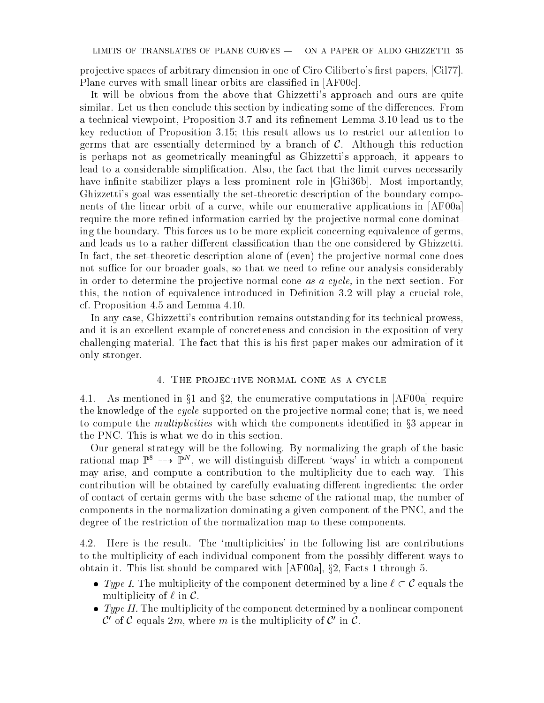projective spaces of arbitrary dimension in one of Ciro Ciliberto's first papers, [Cil77]. Plane curves with small linear orbits are classified in [AF00c].

It will be obvious from the above that Ghizzetti's approach and ours are quite similar. Let us then conclude this section by indicating some of the differences. From a technical viewpoint, Proposition 3.7 and its refinement Lemma 3.10 lead us to the key reduction of Proposition 3.15; this result allows us to restrict our attention to germs that are essentially determined by a branch of  $C$ . Although this reduction is perhaps not as geometrically meaningful as Ghizzetti's approach, it appears to lead to a considerable simplication. Also, the fact that the limit curves necessarily have infinite stabilizer plays a less prominent role in [Ghi36b]. Most importantly, Ghizzetti's goal was essentially the set-theoretic description of the boundary components of the linear orbit of a curve, while our enumerative applications in [AF00a] require the more refined information carried by the projective normal cone dominating the boundary. This forces us to be more explicit concerning equivalence of germs, and leads us to a rather different classification than the one considered by Ghizzetti. In fact, the set-theoretic description alone of (even) the projective normal cone does not suffice for our broader goals, so that we need to refine our analysis considerably in order to determine the projective normal cone as a cycle, in the next section. For this, the notion of equivalence introduced in Definition 3.2 will play a crucial role, cf. Proposition 4.5 and Lemma 4.10.

In any case, Ghizzetti's contribution remains outstanding for its technical prowess, and it is an excellent example of concreteness and concision in the exposition of very challenging material. The fact that this is his first paper makes our admiration of it only stronger.

### 4. The projective normal cone as <sup>a</sup> cycle

4.1. As mentioned in  $\S1$  and  $\S2$ , the enumerative computations in [AF00a] require the knowledge of the *cycle* supported on the projective normal cone; that is, we need to compute the *multiplicities* with which the components identified in  $\S$ 3 appear in the PNC. This is what we do in this section.

Our general strategy will be the following. By normalizing the graph of the basic rational map  $\mathbb{P}^8$  -->  $\mathbb{P}^N$ , we will distinguish different 'ways' in which a component may arise, and compute a contribution to the multiplicity due to each way. This contribution will be obtained by carefully evaluating different ingredients: the order of contact of certain germs with the base scheme of the rational map, the number of components in the normalization dominating a given component of the PNC, and the degree of the restriction of the normalization map to these components.

4.2. Here is the result. The `multiplicities' in the following list are contributions to the multiplicity of each individual component from the possibly different ways to obtain it. This list should be compared with  $[AF00a]$ ,  $\S 2$ , Facts 1 through 5.

- Type I. The multiplicity of the component determined by a line  $\ell \subset \mathcal{C}$  equals the multiplicity of  $\ell$  in  $\mathcal{C}$ .
- $\bullet$  Type II. The multiplicity of the component determined by a nonlinear component  $\mathcal{C}'$  of  $\mathcal{C}$  equals 2m, where m is the multiplicity of  $\mathcal{C}'$  in  $\mathcal{C}$ .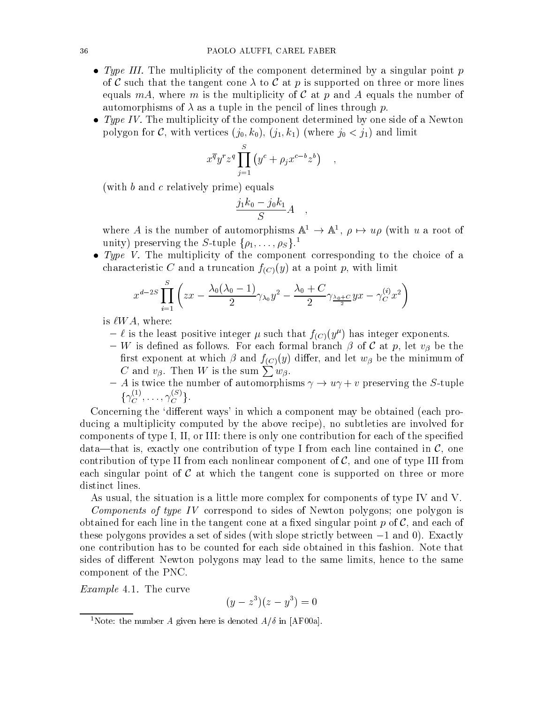- Type III. The multiplicity of the component determined by a singular point  $p$ of C such that the tangent cone  $\lambda$  to C at p is supported on three or more lines equals mA, where m is the multiplicity of C at p and A equals the number of automorphisms of  $\lambda$  as a tuple in the pencil of lines through p.
- $\bullet$  Type IV. The multiplicity of the component determined by one side of a Newton polygon for C, with vertices (j0; k0), (j1; k1) (where j0 < j1) and limit

$$
x^{\overline{q}}y^r z^q \prod_{j=1}^S (y^c + \rho_j x^{c-b} z^b) ,
$$

(with b and c relatively prime) equals

$$
\frac{j_1k_0 - j_0k_1}{S}A \quad ,
$$

where A is the number of automorphisms  $A^* \to A^*$ ,  $\rho \mapsto u\rho$  (with u a root of unity) preserving the S-tuple  $\{\rho_1,\ldots,\rho_S\}$ .<sup>1</sup>

 $\bullet$  Type V. The multiplicity of the component corresponding to the choice of a characteristic C and a truncation  $f_{(C)}(y)$  at a point p, with limit

$$
x^{d-2S} \prod_{i=1}^{S} \left( zx - \frac{\lambda_0 (\lambda_0 - 1)}{2} \gamma_{\lambda_0} y^2 - \frac{\lambda_0 + C}{2} \gamma_{\frac{\lambda_0 + C}{2}} yx - \gamma_C^{(i)} x^2 \right)
$$

is  $\ell WA$ , where:

- $\ell$  is the least positive integer  $\mu$  such that  $f(C)(y^{\mu})$  has integer exponents.
- W is defined as follows. For each formal branch  $\beta$  of C at p, let  $v_{\beta}$  be the first exponent at which  $\beta$  and  $f_{(C)}(y)$  differ, and let  $w_{\beta}$  be the minimum of C and  $v_\beta$ . Then W is the sum  $\sum w_\beta$ .
- A is twice the number of automorphisms  $\gamma \to u\gamma + v$  preserving the S-tuple  $\{\gamma_C^{\sim\prime},\ldots,\gamma_C^{\sim\sim\prime}\}$ .

Concerning the 'different ways' in which a component may be obtained (each producing a multiplicity computed by the above recipe), no subtleties are involved for components of type I, II, or III: there is only one contribution for each of the specied data—that is, exactly one contribution of type I from each line contained in  $\mathcal{C}$ , one contribution of type II from each nonlinear component of  $\mathcal{C}$ , and one of type III from each singular point of  $\mathcal C$  at which the tangent cone is supported on three or more distinct lines.

As usual, the situation is a little more complex for components of type IV and V.

Components of type IV correspond to sides of Newton polygons; one polygon is obtained for each line in the tangent cone at a fixed singular point  $p$  of  $\mathcal{C}$ , and each of these polygons provides a set of sides (with slope strictly between  $-1$  and 0). Exactly one contribution has to be counted for each side obtained in this fashion. Note that sides of different Newton polygons may lead to the same limits, hence to the same component of the PNC.

Example 4.1. The curve

$$
(y - z^3)(z - y^3) = 0
$$

<sup>&</sup>lt;sup>1</sup>Note: the number A given here is denoted  $A/\delta$  in [AF00a].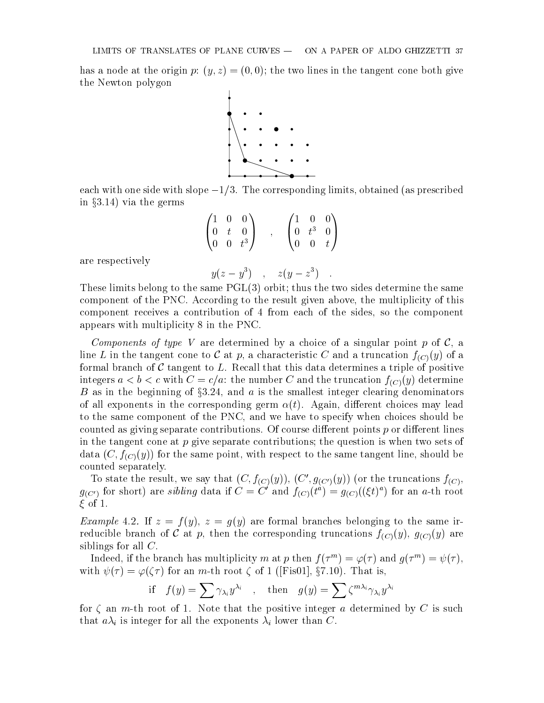has a node at the origin p:  $(y, z) = (0, 0)$ ; the two lines in the tangent cone both give the Newton polygon



each with one side with slope  $-1/3$ . The corresponding limits, obtained (as prescribed in  $\S 3.14$ ) via the germs

$$
\begin{pmatrix}\n1 & 0 & 0 \\
0 & t & 0 \\
0 & 0 & t^3\n\end{pmatrix} , \quad\n\begin{pmatrix}\n1 & 0 & 0 \\
0 & t^3 & 0 \\
0 & 0 & t\n\end{pmatrix}
$$

are respectively

 $y(z-y^*)$ ,  $z(y-z^*)$ .

These limits belong to the same PGL(3) orbit; thus the two sides determine the same component of the PNC. According to the result given above, the multiplicity of this component receives a contribution of 4 from each of the sides, so the component appears with multiplicity 8 in the PNC.

Components of type V are determined by a choice of a singular point p of  $\mathcal{C}$ , a line L in the tangent cone to C at p, a characteristic C and a truncation  $f_{(C)}(y)$  of a formal branch of  $C$  tangent to  $L$ . Recall that this data determines a triple of positive integers  $a < b < c$  with  $C = c/a$ : the number C and the truncation  $f_{(C)}(y)$  determine B as in the beginning of  $\S 3.24$ , and a is the smallest integer clearing denominators of all exponents in the corresponding germ  $\alpha(t)$ . Again, different choices may lead to the same component of the PNC, and we have to specify when choices should be counted as giving separate contributions. Of course different points  $p$  or different lines in the tangent cone at  $p$  give separate contributions; the question is when two sets of data  $(C, f_{(C)}(y))$  for the same point, with respect to the same tangent line, should be counted separately.

To state the result, we say that  $(C, f_{(C)}(y))$ ,  $(C', g_{(C')}(y))$  (or the truncations  $f_{(C)}$ ,  $g_{(C')}$  for short) are *sibuing* data if  $C = C$  and  $f_{(C)}(t^*) = g_{(C)}(\zeta t)^*)$  for an a-th root  $\xi$  of 1.

*Example* 4.2. If  $z = f(y)$ ,  $z = g(y)$  are formal branches belonging to the same irreducible branch of C at p, then the corresponding truncations  $f_{(C)}(y)$ ,  $g_{(C)}(y)$  are siblings for all C.

Indeed, if the branch has multiplicity  $m$  at  $p$  then  $f(\tau^m) = \varphi(\tau)$  and  $g(\tau^m) = \psi(\tau),$ with  $\psi(\tau) = \varphi(\zeta \tau)$  for an m-th root  $\zeta$  of 1 ([Fis01], §7.10). That is,

if 
$$
f(y) = \sum \gamma_{\lambda_i} y^{\lambda_i}
$$
, then  $g(y) = \sum \zeta^{m\lambda_i} \gamma_{\lambda_i} y^{\lambda_i}$ 

for  $\zeta$  an m-th root of 1. Note that the positive integer a determined by C is such that  $a\lambda_i$  is integer for all the exponents  $\lambda_i$  lower than C.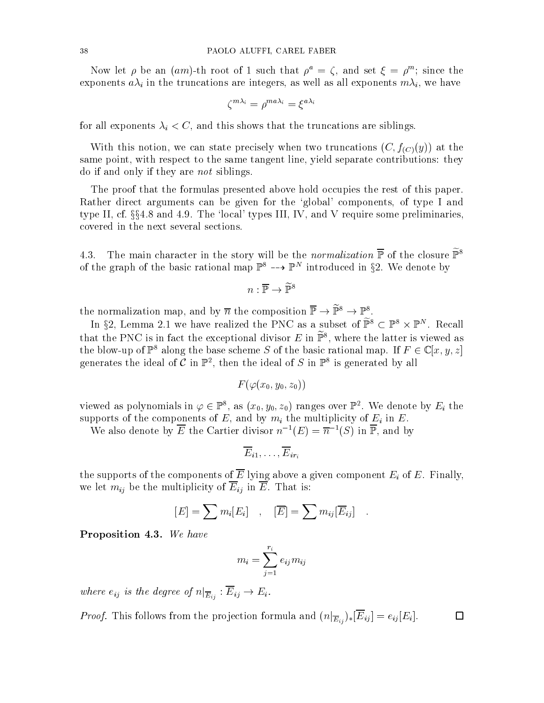Now let  $\rho$  be an (am)-th root of 1 such that  $\rho^* = \zeta$ , and set  $\zeta = \rho^*$ ; since the exponents  $a\lambda_i$  in the truncations are integers, as well as all exponents  $m\lambda_i$ , we have

$$
\zeta^{m\lambda_i}=\rho^{ma\lambda_i}=\xi^{a\lambda_i}
$$

for all exponents  $\lambda_i < C$ , and this shows that the truncations are siblings.

With this notion, we can state precisely when two truncations  $(C, f_{(C)}(y))$  at the same point, with respect to the same tangent line, yield separate contributions: they do if and only if they are not siblings.

The proof that the formulas presented above hold occupies the rest of this paper. Rather direct arguments can be given for the 'global' components, of type I and type II, cf.  $\S$  $\S$ 4.8 and 4.9. The 'local' types III, IV, and V require some preliminaries, covered in the next several sections.

4.3. The main character in the story will be the *normalization*  $\overline{P}$  of the closure  $\widetilde{P}^8$ of the graph of the basic rational map  $\mathbb{P}^2 \dashrightarrow \mathbb{P}^2$  introduced in  $\S{2}$ . We denote by

$$
n:\overline{\mathbb{P}}\to\widetilde{\mathbb{P}}^8
$$

the normalization map, and by n the composition  $\mathbb{F} \to \mathbb{F}^* \to \mathbb{F}^*$ .

In  $32$ , Lemma 2.1 we have realized the PNC as a subset of  $\mathbb{F}^* \subset \mathbb{F}^* \times \mathbb{F}^*$ . Recall that the PNU is in fact the exceptional divisor  $E$  in  $\mathbb{F}^*$ , where the latter is viewed as the blow-up of  $\mathbb{P}^8$  along the base scheme S of the basic rational map. If  $F \in \mathbb{C}[x, y, z]$ generates the ideal of  $C$  in  $\mathbb{F}^2$ , then the ideal of  $S$  in  $\mathbb{F}^2$  is generated by all

$$
F(\varphi(x_0,y_0,z_0))
$$

viewed as polynomials in  $\varphi \in \mathbb{P}^{\circ}$ , as  $(x_0, y_0, z_0)$  ranges over  $\mathbb{P}^{\ast}$  . We denote by  $E_i$  the supports of the components of E, and by  $m_i$  the multiplicity of  $E_i$  in E.

We also denote by  $\overline{E}$  the Cartier divisor  $n^{-1}(E) = \overline{n}^{-1}(S)$  in  $\overline{\mathbb{P}}$ , and by

$$
\overline{E}_{i1},\ldots,\overline{E}_{ir_i}
$$

the supports of the components of  $\overline{E}$  lying above a given component  $E_i$  of E. Finally, we let  $m_{ij}$  be the multiplicity of  $\overline{E}_{ij}$  in  $\overline{E}$ . That is:

$$
[E] = \sum m_i [E_i] , [E] = \sum m_{ij} [E_{ij}].
$$

Proposition 4.3. We have

$$
m_i=\sum_{j=1}^{r_i}e_{ij}m_{ij}
$$

where ein  $e_j$  is the degree of  $e_i$   $E_{ij}$   $\cdots$   $E_{ij}$ 

*Proof.* This follows from the projection formula and  $(n|_{\overline{E}_{ij}})_* [\overline{E}_{ij}] = e_{ij} [E_i].$  $\Box$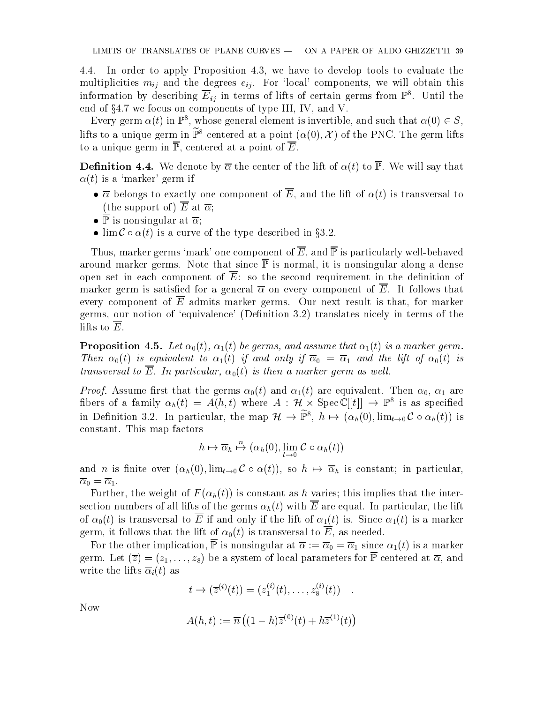4.4. In order to apply Proposition 4.3, we have to develop tools to evaluate the multiplicities  $m_{ij}$  and the degrees  $e_{ij}$ . For 'local' components, we will obtain this information by describing  $E_{ij}$  in terms of lifts of certain germs from  $\mathbb{P}^s$ . Until the end of  $\S 4.7$  we focus on components of type III, IV, and V.

Every germ  $\alpha(t)$  in  $\mathbb{P}^{\ast}$ , whose general element is invertible, and such that  $\alpha(0) \in S,$ lifts to a unique germ in  $\tilde{\mathbb{P}}^8$  centered at a point  $(\alpha(0), \mathcal{X})$  of the PNC. The germ lifts to a unique germ in  $\overline{\mathbb{P}}$ , centered at a point of  $\overline{E}$ .

**Definition 4.4.** We denote by  $\overline{\alpha}$  the center of the lift of  $\alpha(t)$  to  $\overline{\mathbb{P}}$ . We will say that  $\alpha(t)$  is a 'marker' germ if

- $\bullet \overline{\alpha}$  belongs to exactly one component of  $\overline{E}$ , and the lift of  $\alpha(t)$  is transversal to (the support of)  $\overline{E}$  at  $\overline{\alpha}$ ;
- $\bullet \ \overline{\mathbb{P}}$  is nonsingular at  $\overline{\alpha}$ ;
- $\bullet$  lim  $\mathcal{C} \circ \alpha(t)$  is a curve of the type described in §3.2.

Thus, marker germs 'mark' one component of  $\overline{E}$ , and  $\overline{P}$  is particularly well-behaved around marker germs. Note that since  $\overline{P}$  is normal, it is nonsingular along a dense open set in each component of  $\overline{E}$ : so the second requirement in the definition of marker germ is satisfied for a general  $\overline{\alpha}$  on every component of  $\overline{E}$ . It follows that every component of  $\overline{E}$  admits marker germs. Our next result is that, for marker germs, our notion of 'equivalence' (Definition 3.2) translates nicely in terms of the lifts to  $\overline{E}$ .

**Proposition 4.5.** Let  $\alpha_0(t)$ ,  $\alpha_1(t)$  be germs, and assume that  $\alpha_1(t)$  is a marker germ. Then the contract to  $\alpha$  if  $\alpha$  is an only if  $\alpha$  is an analyze if  $\alpha$  is an analyze if  $\alpha$  is a lift of  $\alpha$ transversal to  $\overline{E}$ . In particular,  $\alpha_0(t)$  is then a marker germ as well.

Proof. Assume rst that the germs 0(t) and 1(t) are equivalent. Then 0, 1 are hbers of a family  $\alpha_h(t) = A(n, t)$  where  $A : H \times \text{spec} \cup |\{t\}| \rightarrow \mathbb{F}$  is as specified in Definition 3.2. In particular, the map  $\mathcal{H} \to \mathbb{P}^*, n \mapsto (\alpha_h(0), \lim_{t\to 0}C\circ \alpha_h(t))$  is constant. This map factors

$$
h \mapsto \overline{\alpha}_h \stackrel{n}{\mapsto} (\alpha_h(0), \lim_{t \to 0} \mathcal{C} \circ \alpha_h(t))
$$

and *n* is finite over  $(\alpha_h(0), \lim_{t\to 0} C \circ \alpha(t))$ , so  $h \mapsto \overline{\alpha}_h$  is constant; in particular,  $\sqrt{1}$ 

Further, the weight of  $F(\alpha_h(t))$  is constant as h varies; this implies that the intersection numbers of all lifts of the germs  $\alpha_h(t)$  with  $\overline{E}$  are equal. In particular, the lift of  $\alpha_0(t)$  is transversal to  $\overline{E}$  if and only if the lift of  $\alpha_1(t)$  is. Since  $\alpha_1(t)$  is a marker germ, it follows that the lift of  $\alpha_0(t)$  is transversal to  $\overline{E}$ , as needed.

For the other implication, P is nonsingular at  $\sim$  0  $^{11}$  is a matrix  $\sim$  1 (t) is a matrix  $\sim$ germ. Let  $(\overline{z})=(z_1,\ldots,z_8)$  be a system of local parameters for  $\overline{P}$  centered at  $\overline{\alpha}$ , and write the lifts  $\overline{\alpha}_i(t)$  as

$$
t \to (\overline{z}^{(i)}(t)) = (z_1^{(i)}(t), \ldots, z_8^{(i)}(t)) .
$$

Now

$$
A(h, t) := \overline{n} ((1 - h)\overline{z}^{(0)}(t) + h\overline{z}^{(1)}(t))
$$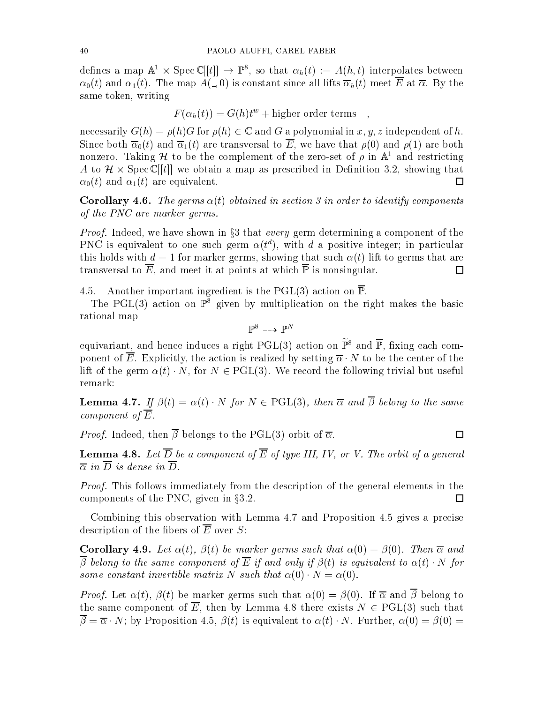defines a map  $A^* \times \text{spec} \cup ||t|| \rightarrow \mathbb{F}^*,$  so that  $\alpha_h(t) := A(n, t)$  interpolates between  $\alpha_0(t)$  and  $\alpha_1(t)$ . The map  $A(\_,0)$  is constant since all lifts  $\overline{\alpha}_h(t)$  meet  $\overline{E}$  at  $\overline{\alpha}$ . By the same token, writing

$$
F(\alpha_h(t)) = G(h)t^w + \text{higher order terms} ,
$$

necessarily  $G(h) = \rho(h)G$  for  $\rho(h) \in \mathbb{C}$  and G a polynomial in x, y, z independent of h. Since both  $\overline{\alpha}_0(t)$  and  $\overline{\alpha}_1(t)$  are transversal to  $\overline{E}$ , we have that  $\rho(0)$  and  $\rho(1)$  are both nonzero. Taking  $\cal H$  to be the complement of the zero-set of  $\rho$  in  ${\mathbb A}^*$  and restricting A to H - Spec C [[t]] we obtain a map asprescribed in Denition 3.2, showing that  $\alpha_0(t)$  and  $\alpha_1(t)$  are equivalent.  $\Box$ 

**Corollary 4.6.** The germs  $\alpha(t)$  obtained in section 3 in order to identify components of the PNC are marker germs.

*Proof.* Indeed, we have shown in  $\S3$  that every germ determining a component of the PNC is equivalent to one such germ  $\alpha(t^d)$ , with d a positive integer; in particular this holds with  $d = 1$  for marker germs, showing that such  $\alpha(t)$  lift to germs that are transversal to  $\overline{E}$ , and meet it at points at which  $\overline{P}$  is nonsingular.  $\Box$ 

4.5. Another important ingredient is the PGL(3) action on  $\overline{\mathbb{P}}$ .

The PGL(3) action on  $\mathbb{P}^8$  given by multiplication on the right makes the basic rational map

 $\mathbb{P}^{\mathbb{P}} \dashrightarrow \mathbb{P}^{\mathbb{P}}$ 

equivariant, and hence induces a right PGL(3) action on  $\tilde{\mathbb{P}}^8$  and  $\overline{\mathbb{P}}$ , fixing each component of  $\overline{E}$ . Explicitly, the action is realized by setting  $\overline{\alpha} \cdot N$  to be the center of the lift of the germ  $\alpha(t) \cdot N$ , for  $N \in \text{PGL}(3)$ . We record the following trivial but useful remark:

**Lemma 4.7.** If  $\beta(t) = \alpha(t) \cdot N$  for  $N \in \text{PGL}(3)$ , then  $\overline{\alpha}$  and  $\overline{\beta}$  belong to the same component of  $\overline{E}$ .

 $\Box$ 

*Proof.* Indeed, then  $\overline{\beta}$  belongs to the PGL(3) orbit of  $\overline{\alpha}$ .

**Lemma 4.8.** Let  $\overline{D}$  be a component of  $\overline{E}$  of type III, IV, or V. The orbit of a general  $\overline{\alpha}$  in  $\overline{D}$  is dense in  $\overline{D}$ .

Proof. This follows immediately from the description of the general elements in the components of the PNC, given in  $\S 3.2$ .  $\Box$ 

Combining this observation with Lemma 4.7 and Proposition 4.5 gives a precise description of the fibers of  $\overline{E}$  over S:

**Corollary 4.9.** Let  $\alpha(t)$ ,  $\beta(t)$  be marker germs such that  $\alpha(0) = \beta(0)$ . Then  $\overline{\alpha}$  and  $\overline{\beta}$  belong to the same component of  $\overline{E}$  if and only if  $\beta(t)$  is equivalent to  $\alpha(t) \cdot N$  for some constant invertible matrix N such that  $\alpha(0) \cdot N = \alpha(0)$ .

*Proof.* Let  $\alpha(t)$ ,  $\beta(t)$  be marker germs such that  $\alpha(0) = \beta(0)$ . If  $\overline{\alpha}$  and  $\overline{\beta}$  belong to the same component of  $\overline{E}$ , then by Lemma 4.8 there exists  $N \in \mathrm{PGL}(3)$  such that  $\overline{\beta} = \overline{\alpha} \cdot N$ ; by Proposition 4.5,  $\beta(t)$  is equivalent to  $\alpha(t) \cdot N$ . Further,  $\alpha(0) = \beta(0) =$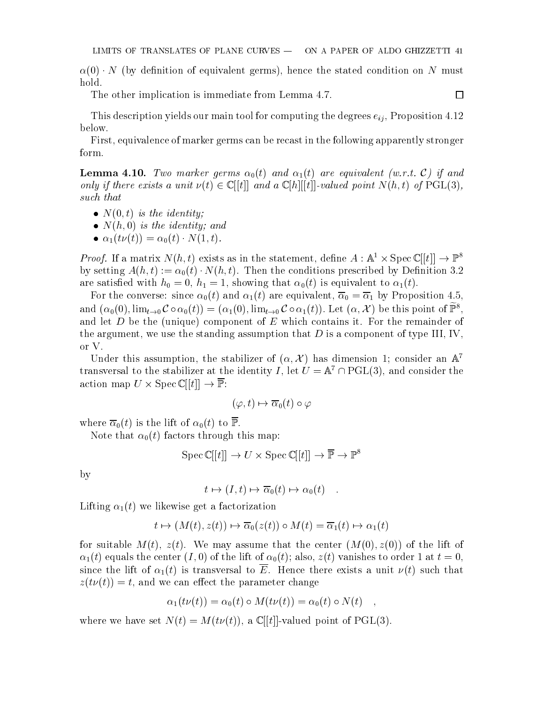口

 $\alpha(0) \cdot N$  (by definition of equivalent germs), hence the stated condition on N must hold.

The other implication is immediate from Lemma 4.7.

This description yields our main tool for computing the degrees  $e_{ii}$ , Proposition 4.12 below.

First, equivalence of marker germs can be recast in the following apparently stronger form.

**Lemma 4.10.** Two marker germs  $\alpha_0(t)$  and  $\alpha_1(t)$  are equivalent (w.r.t. C) if and only if there exists a unit  $\nu(t) \in \mathbb{C}[[t]]$  and a  $\mathbb{C}[h][[t]]$ -valued point  $N(h, t)$  of PGL(3), such that

- $\bullet$  N(0, t) is the identity;
- $N(h, 0)$  is the identity; and
- $\alpha_1(t\nu(t)) = \alpha_0(t) \cdot N(1, t).$

*Proof.* It a matrix  $N(n, t)$  exists as in the statement, define  $A: \mathbb{A}^+ \times \text{Spec} \cup |t| \rightarrow \mathbb{P}^+$ by setting  $A(h, t) := \alpha_0(t) \cdot N(h, t)$ . Then the conditions prescribed by Definition 3.2 are satisfied with the contract with the  $\alpha$  is equivalent to  $1/\alpha$  is equivalent to 1(t).

 $\mathsf{U} \setminus \mathsf{V}$  and 1(t) and 1(t) and 1(t) are equivalent, 0  $\mathsf{U} \setminus \mathsf{V}$  and 1,5, are equivalent, 0  $\mathsf{U}$ and  $(\alpha_0(0), \lim_{t\to 0} C \circ \alpha_0(t)) = (\alpha_1(0), \lim_{t\to 0} C \circ \alpha_1(t))$ . Let  $(\alpha, \mathcal{X})$  be this point of  $\mathbb{P}^8$ . and let  $D$  be the (unique) component of  $E$  which contains it. For the remainder of the argument, we use the standing assumption that  $D$  is a component of type III, IV, or V.

Under this assumption, the stabilizer of  $(\alpha, \lambda)$  has dimension 1; consider an A transversal to the stabilizer at the identity I, let  $U = A + P$ GL(3), and consider the action map U - Special Control of the Control of the Control of the Control of the Control of the Control of t

$$
(\varphi, t) \mapsto \overline{\alpha}_0(t) \circ \varphi
$$

where  $\overline{\alpha}_0(t)$  is the lift of  $\alpha_0(t)$  to  $\overline{\mathbb{P}}$ .

Note that  $\alpha_0(t)$  factors through this map:

$$
\operatorname{Spec} \mathbb{C}[[t]] \to U \times \operatorname{Spec} \mathbb{C}[[t]] \to \overline{\mathbb{P}} \to \mathbb{P}^8
$$

by

$$
t \mapsto (I, t) \mapsto \overline{\alpha}_0(t) \mapsto \alpha_0(t) \quad .
$$

Lifting  $\alpha_1(t)$  we likewise get a factorization

$$
t \mapsto (M(t), z(t)) \mapsto \overline{\alpha}_0(z(t)) \circ M(t) = \overline{\alpha}_1(t) \mapsto \alpha_1(t)
$$

for suitable  $M(t)$ ,  $z(t)$ . We may assume that the center  $(M(0), z(0))$  of the lift of  $\alpha_1(t)$  equals the center  $(I, 0)$  of the lift of  $\alpha_0(t)$ ; also,  $z(t)$  vanishes to order 1 at  $t = 0$ , since the lift of  $\alpha_1(t)$  is transversal to  $\overline{E}$ . Hence there exists a unit  $\nu(t)$  such that  $z(t\nu(t)) = t$ , and we can effect the parameter change

$$
\alpha_1(t\nu(t)) = \alpha_0(t) \circ M(t\nu(t)) = \alpha_0(t) \circ N(t) \quad ,
$$

where we have set  $N(t) = M(t\nu(t))$ , a C[[t]]-valued point of PGL(3).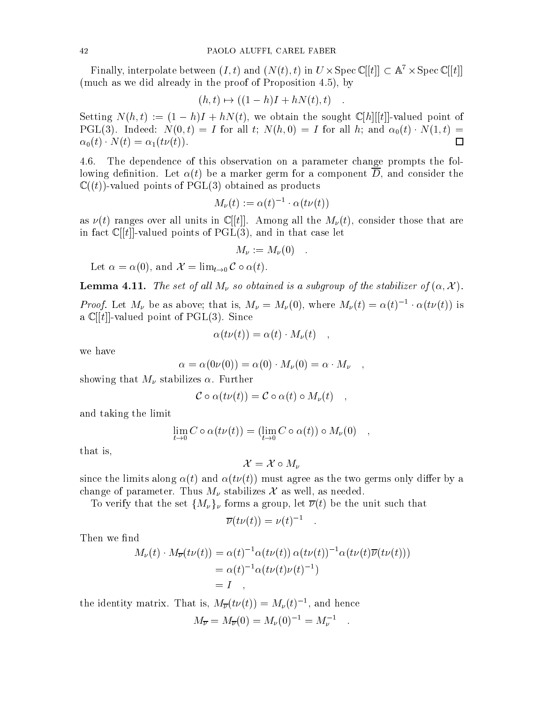Finally, interpolate between  $(I, t)$  and  $(V(t), t)$  in  $U \times Spec$   $\cup$   $[t]$   $\subset$  A  $\cdot \times Spec$   $\cup$   $[t]$ (much as we did already in the proof of Proposition 4.5), by

$$
(h, t) \mapsto ((1 - h)I + hN(t), t) \quad .
$$

Setting  $N(h, t) := (1 - h)I + hN(t)$ , we obtain the sought  $\mathbb{C}[h][[t]]$ -valued point of PGL(3). Indeed:  $N(0,t) = I$  for all t;  $N(h,0) = I$  for all h; and  $\alpha_0(t) \cdot N(1,t) =$  $\alpha_0(t) \cdot N(t) = \alpha_1(t\nu(t)).$ 口

4.6. The dependence of this observation on a parameter change prompts the following definition. Let  $\alpha(t)$  be a marker germ for a component D, and consider the  $\mathbb{C}((t))$ -valued points of PGL(3) obtained as products

$$
M_{\nu}(t) := \alpha(t)^{-1} \cdot \alpha(t\nu(t))
$$

as  $\nu(t)$  ranges over all units in C[[t]]. Among all the  $M_{\nu}(t)$ , consider those that are in fact  $\mathbb{C}[[t]]$ -valued points of PGL(3), and in that case let

$$
M_{\nu} := M_{\nu}(0) .
$$

Let  $\alpha = \alpha(0)$ , and  $\mathcal{X} = \lim_{t \to 0} C \circ \alpha(t)$ .

**Lemma 4.11.** The set of all  $M_{\nu}$  so obtained is a subgroup of the stabilizer of  $(\alpha, \mathcal{X})$ .

*Proof.* Let  $M_{\nu}$  be as above; that is,  $M_{\nu} = M_{\nu}(0)$ , where  $M_{\nu}(t) = \alpha(t)^{-1} \cdot \alpha(t \nu(t))$  is a  $\mathbb{C}[[t]]$ -valued point of PGL(3). Since

$$
\alpha(t\nu(t)) = \alpha(t) \cdot M_{\nu}(t) \quad ,
$$

we have

$$
\alpha = \alpha(0\nu(0)) = \alpha(0) \cdot M_{\nu}(0) = \alpha \cdot M_{\nu} \quad ,
$$

showing that  $M_{\nu}$  stabilizes  $\alpha$ . Further

$$
\mathcal{C} \circ \alpha(t\nu(t)) = \mathcal{C} \circ \alpha(t) \circ M_{\nu}(t) ,
$$

and taking the limit

$$
\lim_{t \to 0} C \circ \alpha(t\nu(t)) = (\lim_{t \to 0} C \circ \alpha(t)) \circ M_{\nu}(0) ,
$$

that is,

$$
\mathcal{X}=\mathcal{X}\circ M_{\nu}
$$

since the limits along  $\alpha(t)$  and  $\alpha(t\nu(t))$  must agree as the two germs only differ by a change of parameter. Thus  $M_{\nu}$  stabilizes X as well, as needed.

To verify that the set  $\{M_{\nu}\}_{\nu}$  forms a group, let  $\overline{\nu}(t)$  be the unit such that

$$
\overline{\nu}(t\nu(t)) = \nu(t)^{-1} .
$$

Then we find

$$
M_{\nu}(t) \cdot M_{\overline{\nu}}(t\nu(t)) = \alpha(t)^{-1} \alpha(t\nu(t)) \alpha(t\nu(t))^{-1} \alpha(t\nu(t)\overline{\nu}(t\nu(t)))
$$
  
=  $\alpha(t)^{-1} \alpha(t\nu(t)\nu(t)^{-1})$   
= I

the identity matrix. That is,  $M_{\overline{\nu}}(t\nu(t)) = M_{\nu}(t)$ , and hence

$$
M_{\overline{\nu}} = M_{\overline{\nu}}(0) = M_{\nu}(0)^{-1} = M_{\nu}^{-1} .
$$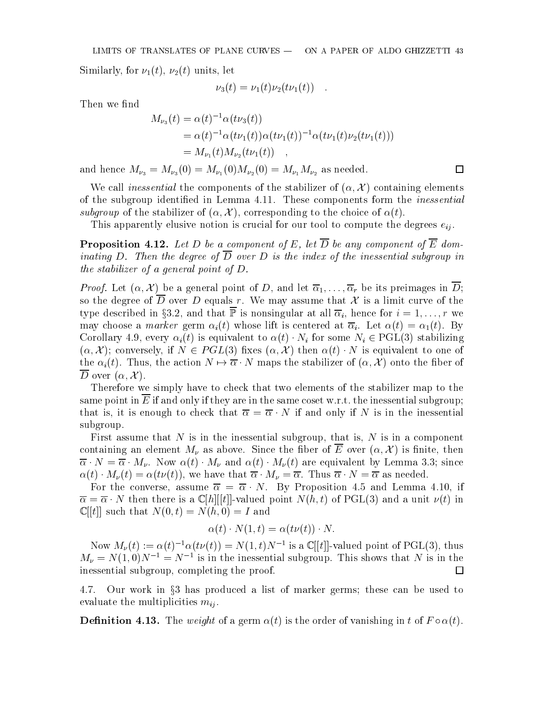Similarly, for  $\nu_1(t)$ ,  $\nu_2(t)$  units, let

$$
\nu_3(t) = \nu_1(t)\nu_2(t\nu_1(t)) .
$$

Then we find

$$
M_{\nu_3}(t) = \alpha(t)^{-1} \alpha(t\nu_3(t))
$$
  
=  $\alpha(t)^{-1} \alpha(t\nu_1(t)) \alpha(t\nu_1(t))^{-1} \alpha(t\nu_1(t)\nu_2(t\nu_1(t)))$   
=  $M_{\nu_1}(t) M_{\nu_2}(t\nu_1(t))$ ,

and hence  $M_{\nu_3} = M_{\nu_3}(0) = M_{\nu_1}(0)M_{\nu_2}(0) = M_{\nu_1}M_{\nu_2}$  as needed.

We call inessential the components of the stabilizer of  $(\alpha, \mathcal{X})$  containing elements of the subgroup identied in Lemma 4.11. These components form the inessential subgroup of the stabilizer of  $(\alpha, \mathcal{X})$ , corresponding to the choice of  $\alpha(t)$ .

 $\Box$ 

This apparently elusive notion is crucial for our tool to compute the degrees  $e_{ij}$ .

**Proposition 4.12.** Let D be a component of E, let  $\overline{D}$  be any component of  $\overline{E}$  dominating D. Then the degree of  $\overline{D}$  over D is the index of the inessential subgroup in the stabilizer of a general point of D.

*Proof.* Let  $(\alpha, \mathcal{X})$  be a general point of D, and let  $\overline{\alpha}_1, \ldots, \overline{\alpha}_r$  be its preimages in  $\overline{D}$ ; so the degree of D over D equals r. We may assume that  $\mathcal X$  is a limit curve of the type described in §3.2, and that  $\overline{P}$  is nonsingular at all  $\overline{\alpha}_i$ , hence for  $i = 1, \ldots, r$  we may choose a *marker* germ  $\alpha_i(t)$  whose lift is centered at  $\overline{\alpha}_i$ . Let  $\alpha(t) = \alpha_1(t)$ . By Corollary 4.9, every  $\alpha_i(t)$  is equivalent to  $\alpha(t) \cdot N_i$  for some  $N_i \in \text{PGL}(3)$  stabilizing  $(\alpha, \mathcal{X})$ ; conversely, if  $N \in PGL(3)$  fixes  $(\alpha, \mathcal{X})$  then  $\alpha(t) \cdot N$  is equivalent to one of the  $\alpha_i(t)$ . Thus, the action  $N \mapsto \overline{\alpha} \cdot N$  maps the stabilizer of  $(\alpha, \mathcal{X})$  onto the fiber of  $\overline{D}$  over  $(\alpha, \mathcal{X})$ .

Therefore we simply have to check that two elements of the stabilizer map to the same point in  $E$  if and only if they are in the same coset w.r.t. the inessential subgroup; that is, it is enough to check that  $\overline{\alpha} = \overline{\alpha} \cdot N$  if and only if N is in the inessential subgroup.

First assume that N is in the inessential subgroup, that is, N is in a component containing an element  $M_{\nu}$  as above. Since the fiber of  $\overline{E}$  over  $(\alpha, \mathcal{X})$  is finite, then  $\overline{\alpha} \cdot N = \overline{\alpha} \cdot M_{\nu}$ . Now  $\alpha(t) \cdot M_{\nu}$  and  $\alpha(t) \cdot M_{\nu}(t)$  are equivalent by Lemma 3.3; since  $\alpha(t) \cdot M_{\nu}(t) = \alpha(t\nu(t)),$  we have that  $\overline{\alpha} \cdot M_{\nu} = \overline{\alpha}$ . Thus  $\overline{\alpha} \cdot N = \overline{\alpha}$  as needed.

For the converse, assume  $\overline{\alpha} = \overline{\alpha} \cdot N$ . By Proposition 4.5 and Lemma 4.10, if  $\overline{\alpha} = \overline{\alpha} \cdot N$  then there is a  $\mathbb{C}[h][[t]]$ -valued point  $N(h, t)$  of PGL(3) and a unit  $\nu(t)$  in  $\mathbb{C}[[t]]$  such that  $N(0, t) = N(h, 0) = I$  and

$$
\alpha(t) \cdot N(1, t) = \alpha(t\nu(t)) \cdot N.
$$

Now  $M_{\nu}(t) := \alpha(t)^{-1}\alpha(t\nu(t)) = N(1,t)N^{-1}$  is a  $\mathbb{C}[[t]]$ -valued point of PGL(3), thus  $M_{\nu} = N(1,0)N^{-1} = N^{-1}$  is in the inessential subgroup. This shows that N is in the inessential subgroup, completing the proof.  $\Box$ 

4.7. Our work in  $\S$ 3 has produced a list of marker germs; these can be used to evaluate the multiplicities  $m_{ij}$ .

**Definition 4.13.** The weight of a germ  $\alpha(t)$  is the order of vanishing in t of  $F \circ \alpha(t)$ .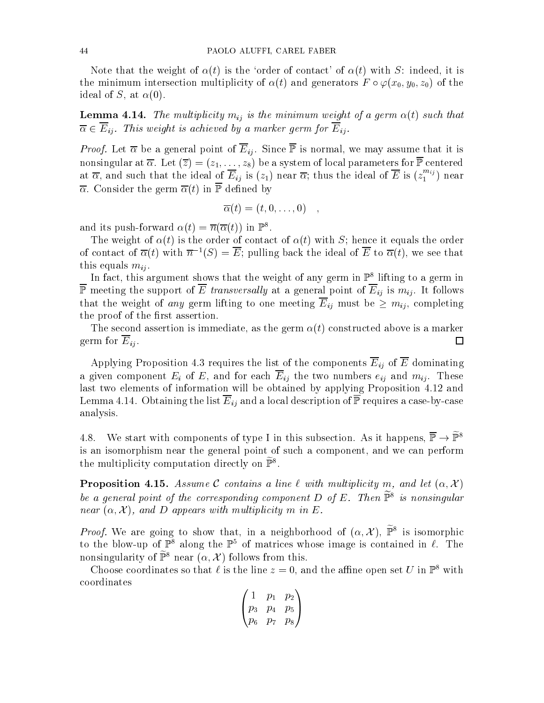Note that the weight of  $\alpha(t)$  is the 'order of contact' of  $\alpha(t)$  with S: indeed, it is the minimum intersection multiplicity of  $\alpha(t)$  and generators  $F \circ \varphi(x_0, y_0, z_0)$  of the ideal of S, at  $\alpha(0)$ .

**Lemma 4.14.** The multiplicity  $m_{ij}$  is the minimum weight of a germ  $\alpha(t)$  such that  $\overline{\alpha} \in \overline{E}_{ij}$ . This weight is achieved by a marker germ for  $\overline{E}_{ij}$ .

*Proof.* Let  $\overline{\alpha}$  be a general point of  $\overline{E}_{ij}$ . Since  $\overline{\mathbb{P}}$  is normal, we may assume that it is nonsingular at  $\overline{\alpha}$ . Let  $(\overline{z})=(z_1,\ldots,z_8)$  be a system of local parameters for  $\overline{\mathbb{P}}$  centered at  $\alpha,$  and such that the ideal of  $E_{ij}$  is ( $z_1$ ) near  $\alpha;$  thus the ideal of  $E$  is ( $z_1$   $^\circ$ ) near  $\overline{\alpha}$ . Consider the germ  $\overline{\alpha}(t)$  in  $\overline{\mathbb{P}}$  defined by

$$
\overline{\alpha}(t)=(t,0,\ldots,0)\quad,
$$

and its push-forward  $\alpha(t) = n(\alpha(t))$  in F.

The weight of  $\alpha(t)$  is the order of contact of  $\alpha(t)$  with S; hence it equals the order of contact of  $\overline{\alpha}(t)$  with  $\overline{n}^{-1}(S) = \overline{E}$ ; pulling back the ideal of  $\overline{E}$  to  $\overline{\alpha}(t)$ , we see that this equals  $m_{ij}$ .

In fact, this argument shows that the weight of any germ in P8 lifting to a germ in  $\overline{\mathbb{P}}$  meeting the support of  $\overline{E}$  transversally at a general point of  $\overline{E}_{ij}$  is  $m_{ij}$ . It follows that the weight of any germ lifting to one meeting  $\overline{E}_{ij}$  must be  $\geq m_{ij}$ , completing the proof of the first assertion.

The second assertion is immediate, as the germ  $\alpha(t)$  constructed above is a marker germ for  $E_{ij}$ .  $\Box$ 

Applying Proposition 4.3 requires the list of the components  $\overline{E}_{ij}$  of  $\overline{E}$  dominating a given component  $E_i$  of  $E$ , and for each  $\overline{E}_{ij}$  the two numbers  $e_{ij}$  and  $m_{ij}$ . These last two elements of information will be obtained by applying Proposition 4.12 and Lemma 4.14. Obtaining the list  $\overline{E}_{ij}$  and a local description of  $\overline{P}$  requires a case-by-case analysis.

4.8. We start with components of type I in this subsection. As it happens,  $\overline{\mathbb{P}} \to \widetilde{\mathbb{P}}^8$ is an isomorphism near the general point of such a component, and we can perform the multiplicity computation directly on  $\tilde{\mathbb{P}}^8$ .

**Proposition 4.15.** Assume C contains a line  $\ell$  with multiplicity m, and let  $(\alpha, \mathcal{X})$ be a general point of the corresponding component  $D$  of  $E$ . Then  $\mathbb{P}^+$  is nonsingular near  $(\alpha, \mathcal{X})$ , and D appears with multiplicity m in E.

*Proof.* We are going to snow that, in a neighborhood of  $(\alpha, \lambda)$ ,  $\mathbb{P}^{\circ}$  is isomorphic to the blow-up of  $\mathbb{P}^8$  along the  $\mathbb{P}^5$  of matrices whose image is contained in  $\ell$ . The nonsingularity of  $\widetilde{\mathbb{P}}^8$  near  $(\alpha, \mathcal{X})$  follows from this.

Choose coordinates so that  $\ell$  is the line  $z = 0$ , and the affine open set U in  $\mathbb{P}^8$  with coordinates

$$
\begin{pmatrix} 1 & p_1 & p_2 \\ p_3 & p_4 & p_5 \\ p_6 & p_7 & p_8 \end{pmatrix}
$$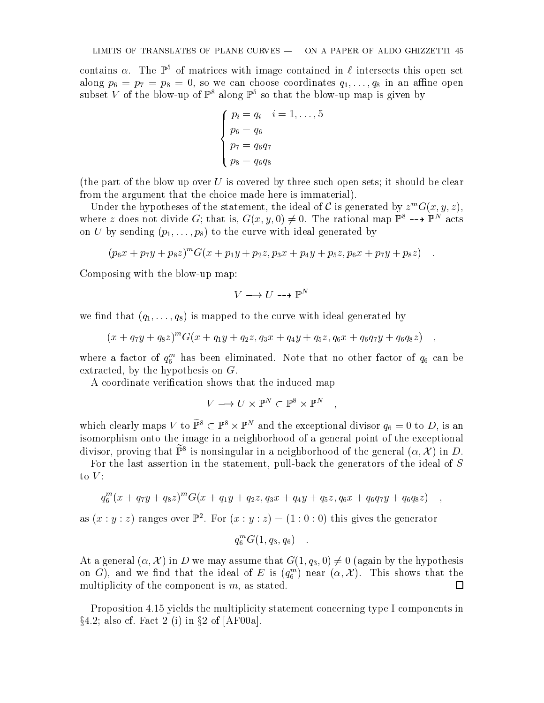contains  $\alpha$ . The  $\mathbb{P}^5$  of matrices with image contained in  $\ell$  intersects this open set along p6  $p$  in an angle  $p$ 8  $p$ 8 in angle coordinates  $p$  in an angle coordinates  $p$  in an angle  $p$ subset V of the blow-up of  $\mathbb{P}^8$  along  $\mathbb{P}^5$  so that the blow-up map is given by

$$
\begin{cases}\np_i = q_i & i = 1, \dots, 5 \\
p_6 = q_6 \\
p_7 = q_6 q_7 \\
p_8 = q_6 q_8\n\end{cases}
$$

(the part of the blow-up over U is covered by three such open sets; it should be clear from the argument that the choice made here is immaterial).

Under the hypotheses of the statement, the ideal of C is generated by  $z^m G(x, y, z)$ , where z does not divide G; that is,  $G(x, y, 0) \neq 0$ . The rational map  $\mathbb{P}^2 \dashrightarrow \mathbb{P}^2$  acts on U by sending  $(p_1,\ldots,p_8)$  to the curve with ideal generated by

$$
(p_6x + p_7y + p_8z)^m G(x + p_1y + p_2z, p_3x + p_4y + p_5z, p_6x + p_7y + p_8z) \quad .
$$

Composing with the blow-up map:

$$
V \longrightarrow U \dashrightarrow \mathbb{P}^N
$$

we find that  $(q_1,\ldots,q_8)$  is mapped to the curve with ideal generated by

$$
(x+q_7y+q_8z)^mG(x+q_1y+q_2z,q_3x+q_4y+q_5z,q_6x+q_6q_7y+q_6q_8z),
$$

where a factor of  $q_6^{\,\,\pi}$  has been eliminated. Note that no other factor of  $q_6$  can be extracted, by the hypothesis on G.

A coordinate verification shows that the induced map

$$
V \longrightarrow U \times \mathbb{P}^N \subset \mathbb{P}^8 \times \mathbb{P}^N \quad ,
$$

which clearly maps V to  $\mathbb{P}^s \subset \mathbb{P}^s \times \mathbb{P}^s$  and the exceptional divisor  $q_6 = 0$  to D, is an isomorphism onto the image in a neighborhood of a general point of the exceptional divisor, proving that  $\mathbb{P}^+$  is nonsingular in a neighborhood of the general ( $\alpha,\mathcal{A}$  ) in  $D.$ 

For the last assertion in the statement, pull-back the generators of the ideal of S to  $V$ :

$$
q_6^m(x+q_7y+q_8z)^mG(x+q_1y+q_2z,q_3x+q_4y+q_5z,q_6x+q_6q_7y+q_6q_8z) ,
$$

as  $(x : y : z)$  ranges over  $\mathbb{F}^2$ . For  $(x : y : z) = (1 : 0 : 0)$  this gives the generator

$$
q_6^m G(1, q_3, q_6) \quad .
$$

At a general  $(\alpha, \mathcal{X})$  in D we may assume that  $G(1, q_3, 0) \neq 0$  (again by the hypothesis on  $\mathbf{G}$ ), and we find that the ideal of E is  $(q_6^{x})$  hear  $(\alpha, \mathcal{A})$ . This shows that the  $$ multiplicity of the component is  $m$ , as stated.  $\Box$ 

Proposition 4.15 yields the multiplicity statement concerning type I components in  $\S 4.2$ ; also cf. Fact 2 (i) in  $\S 2$  of [AF00a].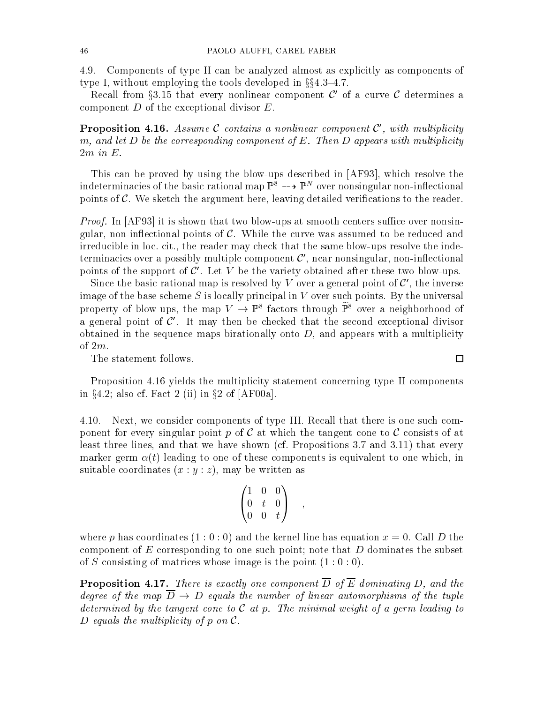4.9. Components of type II can be analyzed almost as explicitly as components of type I, without employing the tools developed in  $\S$ §4.3-4.7.

Recall from §3.15 that every nonlinear component  $\mathcal{C}'$  of a curve  $\mathcal{C}$  determines a component  $D$  of the exceptional divisor  $E$ .

**Proposition 4.16.** Assume C contains a nonlinear component  $\mathcal{C}'$ , with multiplicity m, and let  $D$  be the corresponding component of  $E$ . Then  $D$  appears with multiplicity

This can be proved by using the blow-ups described in [AF93], which resolve the indeterminacies of the basic rational map  $\mathbb{P}^{\ast}$  -->  $\mathbb{P}^{\ast}$  over nonsingular non-innectional points of  $\mathcal C$ . We sketch the argument here, leaving detailed verifications to the reader.

*Proof.* In  $[AF93]$  it is shown that two blow-ups at smooth centers suffice over nonsingular, non-inflectional points of  $\mathcal{C}$ . While the curve was assumed to be reduced and irreducible in loc. cit., the reader may check that the same blow-ups resolve the indeterminacies over a possibly multiple component  $\mathcal{C}'$ , near nonsingular, non-inflectional points of the support of  $\mathcal{C}'$ . Let V be the variety obtained after these two blow-ups.

Since the basic rational map is resolved by V over a general point of  $\mathcal{C}'$ , the inverse image of the base scheme  $S$  is locally principal in  $V$  over such points. By the universal property of plow-ups, the map  $V \to \mathbb{P}^\circ$  factors through  $\mathbb{P}^\circ$  over a neighborhood of a general point of  $\mathcal{C}'$ . It may then be checked that the second exceptional divisor obtained in the sequence maps birationally onto  $D$ , and appears with a multiplicity of 2m.

The statement follows.

Proposition 4.16 yields the multiplicity statement concerning type II components in  $\S 4.2$ ; also cf. Fact 2 (ii) in  $\S 2$  of [AF00a].

4.10. Next, we consider components of type III. Recall that there is one such component for every singular point p of  $\mathcal C$  at which the tangent cone to  $\mathcal C$  consists of at least three lines, and that we have shown (cf. Propositions 3.7 and 3.11) that every marker germ  $\alpha(t)$  leading to one of these components is equivalent to one which, in suitable coordinates  $(x : y : z)$ , may be written as

$$
\begin{pmatrix} 1 & 0 & 0 \\ 0 & t & 0 \\ 0 & 0 & t \end{pmatrix} ,
$$

where p has coordinates  $(1:0:0)$  and the kernel line has equation  $x=0$ . Call D the component of E corresponding to one such point; note that  $D$  dominates the subset of S consisting of matrices whose image is the point  $(1:0:0)$ .

**Proposition 4.17.** There is exactly one component  $\overline{D}$  of  $\overline{E}$  dominating D, and the degree of the map  $\overline{D} \rightarrow D$  equals the number of linear automorphisms of the tuple determined by the tangent cone to  $\mathcal C$  at p. The minimal weight of a germ leading to D equals the multiplicity of  $p$  on  $\mathcal{C}$ .

 $\Box$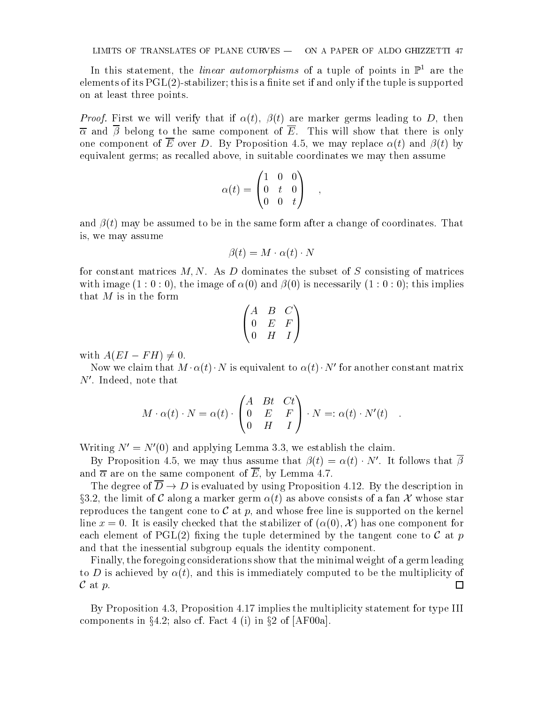In this statement, the *linear automorphisms* of a tuple of points in  $\mathbb{P}^1$  are the elements of its  $PGL(2)$ -stabilizer; this is a finite set if and only if the tuple is supported on at least three points.

*Proof.* First we will verify that if  $\alpha(t)$ ,  $\beta(t)$  are marker germs leading to D, then  $\overline{\alpha}$  and  $\overline{\beta}$  belong to the same component of  $\overline{E}$ . This will show that there is only one component of  $\overline{E}$  over D. By Proposition 4.5, we may replace  $\alpha(t)$  and  $\beta(t)$  by equivalent germs; as recalled above, in suitable coordinates we may then assume

$$
\alpha(t) = \begin{pmatrix} 1 & 0 & 0 \\ 0 & t & 0 \\ 0 & 0 & t \end{pmatrix} ,
$$

;

and  $\beta(t)$  may be assumed to be in the same form after a change of coordinates. That is, we may assume

$$
\beta(t) = M \cdot \alpha(t) \cdot N
$$

for constant matrices  $M, N$ . As  $D$  dominates the subset of  $S$  consisting of matrices with image  $(1:0:0)$ , the image of  $\alpha(0)$  and  $\beta(0)$  is necessarily  $(1:0:0)$ ; this implies that  $M$  is in the form

$$
\begin{pmatrix} A & B & C \\ 0 & E & F \\ 0 & H & I \end{pmatrix}
$$

with  $A(EI - FH) \neq 0$ .

Now we claim that  $M \cdot \alpha(t) \cdot N$  is equivalent to  $\alpha(t) \cdot N'$  for another constant matrix  $N'$ . Indeed, note that

$$
M \cdot \alpha(t) \cdot N = \alpha(t) \cdot \begin{pmatrix} A & Bt & Ct \\ 0 & E & F \\ 0 & H & I \end{pmatrix} \cdot N =: \alpha(t) \cdot N'(t) .
$$

Writing  $N' = N'(0)$  and applying Lemma 3.3, we establish the claim.

By Proposition 4.5, we may thus assume that  $\beta(t) = \alpha(t) \cdot N'$ . It follows that  $\overline{\beta}$ and  $\overline{\alpha}$  are on the same component of  $\overline{E}$ , by Lemma 4.7.

The degree of  $\overline{D} \to D$  is evaluated by using Proposition 4.12. By the description in §3.2, the limit of C along a marker germ  $\alpha(t)$  as above consists of a fan X whose star reproduces the tangent cone to  $\mathcal C$  at p, and whose free line is supported on the kernel line  $x = 0$ . It is easily checked that the stabilizer of  $(\alpha(0), \mathcal{X})$  has one component for each element of PGL(2) fixing the tuple determined by the tangent cone to  $\mathcal C$  at p and that the inessential subgroup equals the identity component.

Finally, the foregoing considerations show that the minimal weight of a germ leading to D is achieved by  $\alpha(t)$ , and this is immediately computed to be the multiplicity of  $\mathcal C$  at  $p$ . □

By Proposition 4.3, Proposition 4.17 implies the multiplicity statement for type III components in  $\S 4.2$ ; also cf. Fact 4 (i) in  $\S 2$  of [AF00a].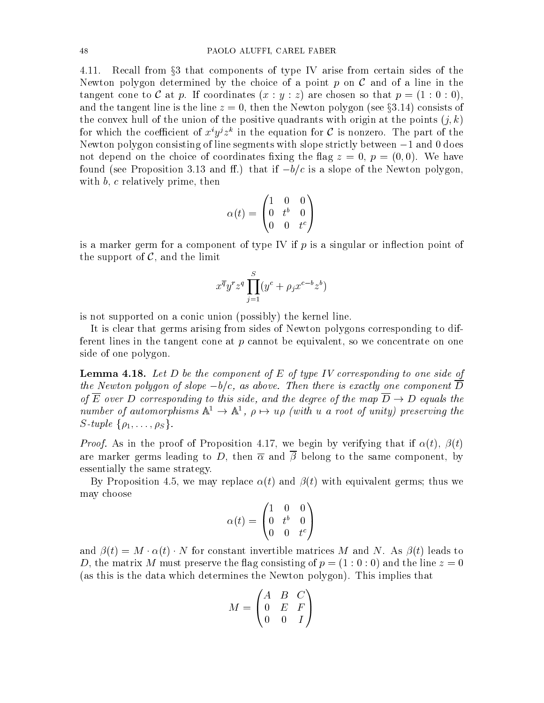4.11. Recall from §3 that components of type IV arise from certain sides of the Newton polygon determined by the choice of a point  $p$  on  $\mathcal C$  and of a line in the tangent cone to C at p. If coordinates  $(x : y : z)$  are chosen so that  $p = (1 : 0 : 0)$ , and the tangent line is the line  $z = 0$ , then the Newton polygon (see §3.14) consists of the convex hull of the union of the positive quadrants with origin at the points  $(j, k)$ for which the coefficient of  $x \ y \ z^+$  in the equation for  $C$  is nonzero. The part of the Newton polygon consisting of line segments with slope strictly between  $-1$  and 0 does not depend on the choice of coordinates fixing the flag  $z = 0, p = (0,0)$ . We have found (see Proposition 3.13 and ff.) that if  $-b/c$  is a slope of the Newton polygon, with  $b, c$  relatively prime, then

$$
\alpha(t) = \begin{pmatrix} 1 & 0 & 0 \\ 0 & t^b & 0 \\ 0 & 0 & t^c \end{pmatrix}
$$

is a marker germ for a component of type IV if  $p$  is a singular or inflection point of the support of  $\mathcal{C}$ , and the limit

$$
x^{\overline{q}}y^r z^q \prod_{j=1}^S (y^c + \rho_j x^{c-b} z^b)
$$

is not supported on a conic union (possibly) the kernel line.

It is clear that germs arising from sides of Newton polygons corresponding to different lines in the tangent cone at p cannot be equivalent, so we concentrate on one side of one polygon.

**Lemma 4.18.** Let D be the component of E of type IV corresponding to one side of the Newton polygon of slope  $-b/c$ , as above. Then there is exactly one component  $\overline{D}$ of  $\overline{E}$  over D corresponding to this side, and the degree of the map  $\overline{D} \to D$  equals the number of automorphisms  $A^* \to A^*$ ,  $\rho \mapsto u\rho$  (with  $u$  a root of unity) preserving the S-tuple  $\{\rho_1,\ldots,\rho_S\}$ .

*Proof.* As in the proof of Proposition 4.17, we begin by verifying that if  $\alpha(t)$ ,  $\beta(t)$ are marker germs leading to D, then  $\overline{\alpha}$  and  $\overline{\beta}$  belong to the same component, by essentially the same strategy.

By Proposition 4.5, we may replace  $\alpha(t)$  and  $\beta(t)$  with equivalent germs; thus we may choose

$$
\alpha(t)=\begin{pmatrix}1&0&0\\0&t^b&0\\0&0&t^c\end{pmatrix}
$$

and  $\beta(t) = M \cdot \alpha(t) \cdot N$  for constant invertible matrices M and N. As  $\beta(t)$  leads to D, the matrix M must preserve the flag consisting of  $p = (1:0:0)$  and the line  $z = 0$ (as this is the data which determines the Newton polygon). This implies that

 $\mathbf{1}$ 

$$
M = \begin{pmatrix} A & B & C \\ 0 & E & F \\ 0 & 0 & I \end{pmatrix}
$$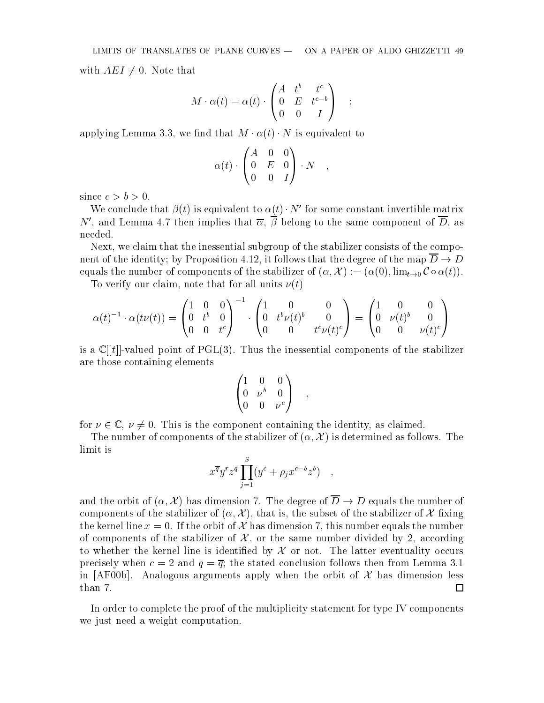with  $AEI \neq 0$ . Note that

$$
M \cdot \alpha(t) = \alpha(t) \cdot \begin{pmatrix} A & t^b & t^c \\ 0 & E & t^{c-b} \\ 0 & 0 & I \end{pmatrix} ;
$$

applying Lemma 3.3, we find that  $M \cdot \alpha(t) \cdot N$  is equivalent to

$$
\alpha(t)\cdot \begin{pmatrix} A & 0 & 0 \\ 0 & E & 0 \\ 0 & 0 & I \end{pmatrix}\cdot N\quad ,
$$

since  $c > b > 0$ .

We conclude that  $\beta(t)$  is equivalent to  $\alpha(t) \cdot N'$  for some constant invertible matrix N', and Lemma 4.7 then implies that  $\overline{\alpha}$ ,  $\overline{\beta}$  belong to the same component of  $\overline{D}$ , as needed.

Next, we claim that the inessential subgroup of the stabilizer consists of the component of the identity; by Proposition 4.12, it follows that the degree of the map  $D \to D$ equals the number of components of the stabilizer of  $(\alpha, \mathcal{X}) := (\alpha(0), \lim_{t \to 0} C \circ \alpha(t)).$ 

To verify our claim, note that for all units  $\nu(t)$ 

$$
\alpha(t)^{-1} \cdot \alpha(t\nu(t)) = \begin{pmatrix} 1 & 0 & 0 \\ 0 & t^b & 0 \\ 0 & 0 & t^c \end{pmatrix}^{-1} \cdot \begin{pmatrix} 1 & 0 & 0 \\ 0 & t^b \nu(t)^b & 0 \\ 0 & 0 & t^c \nu(t)^c \end{pmatrix} = \begin{pmatrix} 1 & 0 & 0 \\ 0 & \nu(t)^b & 0 \\ 0 & 0 & \nu(t)^c \end{pmatrix}
$$

is a  $\mathbb{C}[[t]]$ -valued point of PGL(3). Thus the inessential components of the stabilizer are those containing elements

$$
\begin{pmatrix}\n1 & 0 & 0 \\
0 & \nu^b & 0 \\
0 & 0 & \nu^c\n\end{pmatrix} ,
$$

;

for  $\nu \in \mathbb{C}$ ,  $\nu \neq 0$ . This is the component containing the identity, as claimed.

The number of components of the stabilizer of  $(\alpha, \mathcal{X})$  is determined as follows. The limit is

$$
x^{\overline{q}}y^r z^q \prod_{j=1}^S (y^c + \rho_j x^{c-b} z^b) ,
$$

and the orbit of  $(\alpha, \mathcal{X})$  has dimension 7. The degree of  $\overline{D} \to D$  equals the number of components of the stabilizer of  $(\alpha, \mathcal{X})$ , that is, the subset of the stabilizer of X fixing the kernel line  $x = 0$ . If the orbit of X has dimension 7, this number equals the number of components of the stabilizer of  $X$ , or the same number divided by 2, according to whether the kernel line is identified by  $\mathcal X$  or not. The latter eventuality occurs precisely when  $c = 2$  and  $q = \overline{q}$ ; the stated conclusion follows then from Lemma 3.1 in [AF00b]. Analogous arguments apply when the orbit of  $\mathcal X$  has dimension less □

In order to complete the proof of the multiplicity statement for type IV components we just need a weight computation.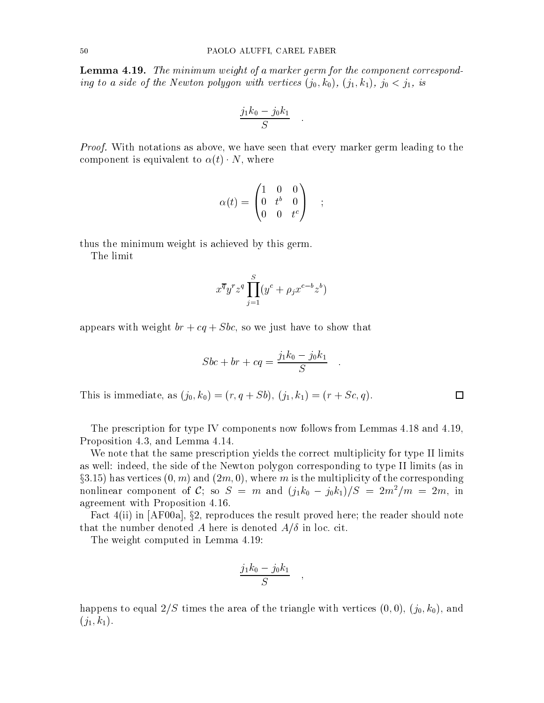**Lemma 4.19.** The minimum weight of a marker germ for the component corresponding to a single of the Newton polygon polygon with vertices  $(i,j)$  and  $j$  is in its set of  $j$  is in its set of  $j$  is in its set of  $j$  is in its set of  $j$  is in its set of  $j$  is in its set of  $j$  is in its set of  $j$ 

$$
\frac{j_1k_0 - j_0k_1}{S} \quad .
$$

:

*Proof.* With notations as above, we have seen that every marker germ leading to the component is equivalent to  $\alpha(t) \cdot N$ , where

$$
\alpha(t) = \begin{pmatrix} 1 & 0 & 0 \\ 0 & t^b & 0 \\ 0 & 0 & t^c \end{pmatrix} \quad ; \quad
$$

thus the minimum weight is achieved by this germ.

The limit

$$
x^{\overline{q}}y^r z^q \prod_{j=1}^S (y^c + \rho_j x^{c-b} z^b)
$$

appears with weight  $br + cq + Sbc$ , so we just have to show that

$$
Sbc + br + cq = \frac{j_1k_0 - j_0k_1}{S} .
$$

:

This is immediate, as  $(j_0, k_0)=(r, q + Sb), (j_1, k_1)=(r + Sc, q).$ 

The prescription for type IV components now follows from Lemmas 4.18 and 4.19, Proposition 4.3, and Lemma 4.14.

We note that the same prescription yields the correct multiplicity for type II limits as well: indeed, the side of the Newton polygon corresponding to type II limits (as in  $\S3.15$ ) has vertices  $(0, m)$  and  $(2m, 0)$ , where m is the multiplicity of the corresponding nonlinear component of C; so  $S = m$  and  $(j_1k_0-j_0k_1)/S = 2m/m = 2m$ , in agreement with Proposition 4.16.

Fact  $4(ii)$  in [AF00a], §2, reproduces the result proved here; the reader should note that the number denoted A here is denoted  $A/\delta$  in loc. cit.

The weight computed in Lemma 4.19:

$$
\frac{j_1k_0-j_0k_1}{S} \quad ,
$$

;

happens to equal  $2/S$  times the area of the triangle with vertices  $(0, 0), (j_0, k_0)$ , and  $(j_1, k_1).$ 

 $\Box$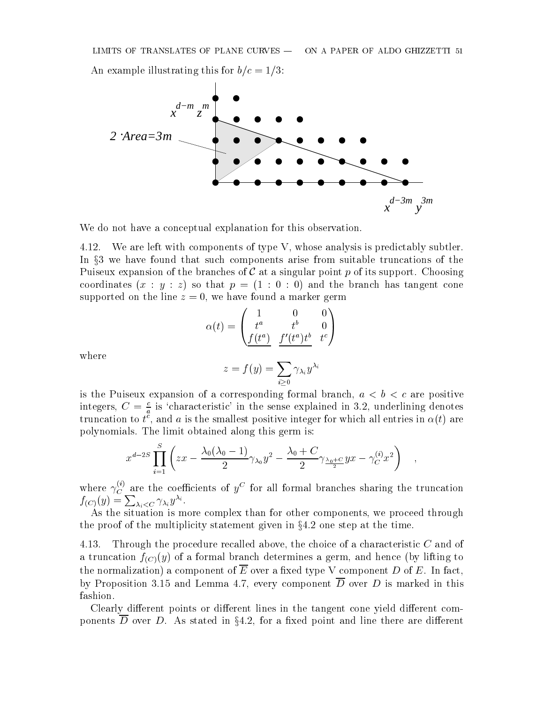

We do not have a conceptual explanation for this observation.

4.12. We are left with components of type V, whose analysis is predictably subtler. In x3 we have found that such components arise from suitable truncations of the Puiseux expansion of the branches of  $\mathcal C$  at a singular point p of its support. Choosing coordinates  $(x : y : z)$  so that  $p = (1 : 0 : 0)$  and the branch has tangent cone supported on the line  $z = 0$ , we have found a marker germ

$$
\alpha(t) = \begin{pmatrix} 1 & 0 & 0 \\ t^a & t^b & 0 \\ \frac{f(t^a)}{f(t^a)} & \frac{f'(t^a)t^b}{f(t^a)} & t^c \end{pmatrix}
$$

where

$$
z=f(y)=\sum_{i\geq 0}\gamma_{\lambda_i}y^{\lambda_i}
$$

is the Puiseux expansion of a corresponding formal branch,  $a < b < c$  are positive integers,  $C = \frac{c}{a}$  is 'characteristic' in the sense explained in 3.2, underlining denotes truncation to  $\iota$  , and  $a$  is the smallest positive integer for which all entries in  $\alpha(\iota)$  are polynomials. The limit obtained along this germ is:

$$
x^{d-2S} \prod_{i=1}^{S} \left( zx - \frac{\lambda_0 (\lambda_0 - 1)}{2} \gamma_{\lambda_0} y^2 - \frac{\lambda_0 + C}{2} \gamma_{\frac{\lambda_0 + C}{2}} yx - \gamma_C^{(i)} x^2 \right) ,
$$

where  $\gamma_C^{\sim}$  are the coefficients of  $y^{\sim}$  for all formal branches sharing the truncation  $f_{(C)}(y) = \sum_{\lambda_i < C} \gamma_{\lambda_i} y^{\lambda_i}.$ 

As the situation is more complex than for other components, we proceed through the proof of the multiplicity statement given in  $\S 4.2$  one step at the time.

4.13. Through the procedure recalled above, the choice of a characteristic  $C$  and of a truncation  $f_{(C)}(y)$  of a formal branch determines a germ, and hence (by lifting to the normalization) a component of  $\overline{E}$  over a fixed type V component D of E. In fact, by Proposition 3.15 and Lemma 4.7, every component  $\overline{D}$  over D is marked in this fashion.

Clearly different points or different lines in the tangent cone yield different components D over D. As stated in  $\S 4.2$ , for a fixed point and line there are different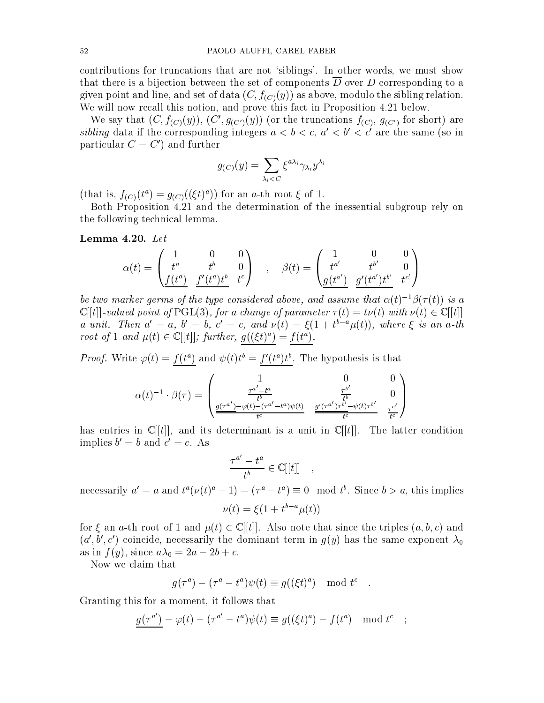contributions for truncations that are not `siblings'. In other words, we must show that there is a bijection between the set of components  $\overline{D}$  over D corresponding to a given point and line, and set of data  $(C, f_{(C)}(y))$  as above, modulo the sibling relation. We will now recall this notion, and prove this fact in Proposition 4.21 below.

We say that  $(C, f_{(C)}(y)), (C', g_{(C')}(y))$  (or the truncations  $f_{(C)}, g_{(C')}$  for short) are sibling data if the corresponding integers  $a < b < c$ ,  $a' < b' < c'$  are the same (so in particular  $C = C'$  and further

$$
g_{(C)}(y) = \sum_{\lambda_i < C} \xi^{a \lambda_i} \gamma_{\lambda_i} y^{\lambda_i}
$$

(that is,  $f(C)(t) = g(C)(\xi t)$ ) for an a-th root  $\xi$  of 1.

Both Proposition 4.21 and the determination of the inessential subgroup rely on the following technical lemma.

Lemma 4.20. Let

$$
\alpha(t) = \begin{pmatrix} 1 & 0 & 0 \\ t^a & t^b & 0 \\ \frac{f(t^a)}{f'(t^a)} & \frac{f'(t^a)t^b}{f'(t^a)^b} & t^c \end{pmatrix} \quad , \quad \beta(t) = \begin{pmatrix} 1 & 0 & 0 \\ t^{a'} & t^{b'} & 0 \\ \frac{g(t^{a'})}{g'(t^{a'})t^{b'}} & \frac{g'(t^{a'})t^{b'}}{f^{c'}} \end{pmatrix}
$$

be two marker germs of the type considered above, and assume that  $\alpha(t)^{-1}\beta(\tau(t))$  is a  $\mathbb{C}[[t]]$ -valued point of PGL(3), for a change of parameter  $\tau(t) = t\nu(t)$  with  $\nu(t) \in \mathbb{C}[[t]]$ a unit. Inen  $a_0 = a$ ,  $b_1 = b$ ,  $c_2 = c$ , and  $\nu(t) = \zeta(1+t_1 - \mu(t))$ , where  $\zeta$  is an a-th Toot of 1 and  $\mu(t) \in \mathbb{C}[[t]]$ ; further,  $q((\xi t)^{-}) = f(t^{-})$ .

*Proof.* Write  $\varphi(t) = f(t^*)$  and  $\psi(t)t^* = f'(t^*)t^*$ . The hypothesis is that

$$
\alpha(t)^{-1} \cdot \beta(\tau) = \begin{pmatrix} 1 & 0 & 0 \\ \frac{\tau^{a'} - t^a}{t^b} & \frac{\tau^{b'}}{t^b} & 0 \\ \frac{g(\tau^{a'}) - \varphi(t) - (\tau^{a'} - t^a)\psi(t)}{t^c} & \frac{g'(\tau^{a'})\tau^{b'} - \psi(t)\tau^{b'}}{t^c} & \frac{\tau^{c'}}{t^c} \end{pmatrix}
$$

has entries in  $\mathbb{C}[[t]]$ , and its determinant is a unit in  $\mathbb{C}[[t]]$ . The latter condition implies  $v = v$  and  $c = c$ . As

$$
\frac{\tau^{a'}-t^a}{t^b}\in\mathbb C[[t]]\quad,
$$

necessarily  $a = a$  and  $t(y(t) - 1) = (t - t) = 0$  mod t. Since  $0 > a$ , this implies

$$
\nu(t) = \xi(1 + t^{b-a}\mu(t))
$$

for  $\xi$  an a-th root of 1 and  $\mu(t) \in \mathbb{C}[[t]]$ . Also note that since the triples  $(a, b, c)$  and  $(a', b', c')$  coincide, necessarily the dominant term in  $g(y)$  has the same exponent  $\lambda_0$ as in f (y), since a construction and in f c. (y) and in f c. (y) in f c. (y) in f c. (y) in f c. (y) in f c. (

Now we claim that

$$
g(\tau^a) - (\tau^a - t^a) \psi(t) \equiv g((\xi t)^a) \mod t^c.
$$

Granting this for a moment, it follows that

$$
g(\tau^{a'}) - \varphi(t) - (\tau^{a'} - t^a)\psi(t) \equiv g((\xi t)^a) - f(t^a) \mod t^c \quad ;
$$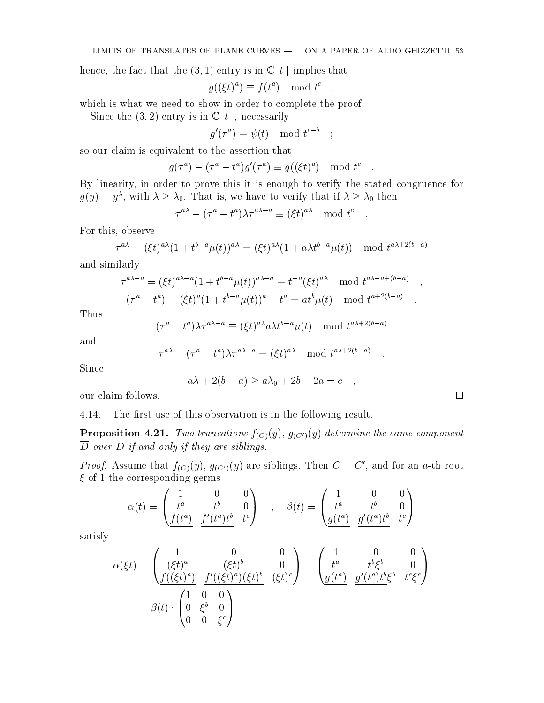hence, the fact that the  $(3,1)$  entry is in  $\mathbb{C}[[t]]$  implies that

$$
g((\xi t)^a) \equiv f(t^a) \mod t^c \quad ,
$$

which is what we need to show in order to complete the proof.

Since the  $(3, 2)$  entry is in  $\mathbb{C}[[t]],$  necessarily

$$
g'(\tau^a) \equiv \psi(t) \mod t^{c-b} \quad ;
$$

so our claim is equivalent to the assertion that

$$
g(\tau^a) - (\tau^a - t^a)g'(\tau^a) \equiv g((\xi t)^a) \mod t^c.
$$

By linearity, in order to prove this it is enough to verify the stated congruence for  $g(y) \equiv y^{\alpha}$ , with  $\lambda \geq \lambda_0$ . That is, we have to verify that if  $\lambda \geq \lambda_0$  then

$$
\tau^{a\lambda} - (\tau^a - t^a)\lambda \tau^{a\lambda - a} \equiv (\xi t)^{a\lambda} \mod t^c
$$

For this, observe

$$
\tau^{a\lambda} = (\xi t)^{a\lambda} (1 + t^{b-a}\mu(t))^{a\lambda} \equiv (\xi t)^{a\lambda} (1 + a\lambda t^{b-a}\mu(t)) \mod t^{a\lambda + 2(b-a)}
$$

and similarly

$$
\tau^{a\lambda-a} = (\xi t)^{a\lambda-a} (1 + t^{b-a}\mu(t))^{a\lambda-a} \equiv t^{-a} (\xi t)^{a\lambda} \mod t^{a\lambda-a+(b-a)},
$$
  

$$
(\tau^a - t^a) = (\xi t)^a (1 + t^{b-a}\mu(t))^a - t^a \equiv a t^b \mu(t) \mod t^{a+2(b-a)}.
$$

Thus

$$
(\tau^a - t^a)\lambda \tau^{a\lambda - a} \equiv (\xi t)^{a\lambda} a \lambda t^{b-a} \mu(t) \mod t^{a\lambda + 2(b-a)}
$$

and

$$
\tau^{a\lambda} - (\tau^a - t^a)\lambda \tau^{a\lambda - a} \equiv (\xi t)^{a\lambda} \mod t^{a\lambda + 2(b-a)}.
$$

Since

$$
a\lambda + 2(b - a) \ge a\lambda_0 + 2b - 2a = c \quad ,
$$

 $\Box$ 

our claim follows.

4.14. The first use of this observation is in the following result.

**Proposition 4.21.** Two truncations  $f_{(C)}(y)$ ,  $g_{(C')}(y)$  determine the same component  $\overline{D}$  over D if and only if they are siblings.

*Proof.* Assume that  $f_{(C)}(y)$ ,  $g_{(C')}(y)$  are siblings. Then  $C = C'$ , and for an a-th root  $\xi$  of 1 the corresponding germs

$$
\alpha(t) = \begin{pmatrix} 1 & 0 & 0 \\ t^a & t^b & 0 \\ \frac{f(t^a)}{f(t^a)} & \frac{f'(t^a)t^b}{f(t^a)} & t^c \end{pmatrix} , \quad \beta(t) = \begin{pmatrix} 1 & 0 & 0 \\ t^a & t^b & 0 \\ \frac{g(t^a)}{f(t^a)} & \frac{g'(t^a)t^b}{f(t^a)} & t^c \end{pmatrix}
$$

satisfy

$$
\alpha(\xi t) = \begin{pmatrix} 1 & 0 & 0 \\ (\xi t)^a & (\xi t)^b & 0 \\ \frac{f((\xi t)^a)}{(\xi t)^a} & \frac{f'((\xi t)^a)(\xi t)^b}{(\xi t)^c} & (\xi t)^c \end{pmatrix} = \begin{pmatrix} 1 & 0 & 0 \\ t^a & t^b \xi^b & 0 \\ \frac{g(t^a)}{(\xi t)^a} & \frac{g'(t^a)t^b \xi^b}{(\xi t)^c} & \xi^c \xi^c \end{pmatrix}
$$

$$
= \beta(t) \cdot \begin{pmatrix} 1 & 0 & 0 \\ 0 & \xi^b & 0 \\ 0 & 0 & \xi^c \end{pmatrix}
$$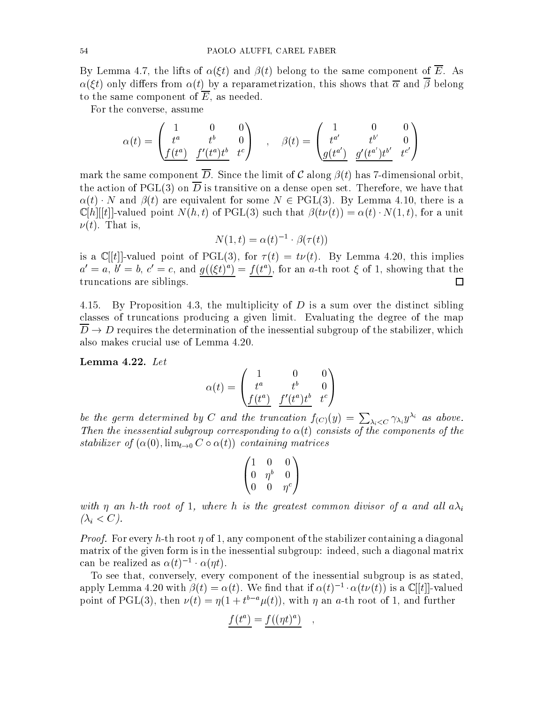By Lemma 4.7, the lifts of  $\alpha(\xi t)$  and  $\beta(t)$  belong to the same component of  $\overline{E}$ . As  $\alpha(\xi t)$  only differs from  $\alpha(t)$  by a reparametrization, this shows that  $\overline{\alpha}$  and  $\overline{\beta}$  belong to the same component of  $\overline{E}$ , as needed.

For the converse, assume

$$
\alpha(t) = \begin{pmatrix} 1 & 0 & 0 \\ t^a & t^b & 0 \\ \frac{f(t^a)}{b} & \frac{f'(t^a)t^b}{c} & t^c \end{pmatrix} , \quad \beta(t) = \begin{pmatrix} 1 & 0 & 0 \\ t^{a'} & t^{b'} & 0 \\ \frac{g(t^{a'})}{c} & \frac{g'(t^{a'})t^{b'}}{c} & t^{c'} \end{pmatrix}
$$

mark the same component  $\overline{D}$ . Since the limit of C along  $\beta(t)$  has 7-dimensional orbit, the action of PGL(3) on  $\overline{D}$  is transitive on a dense open set. Therefore, we have that  $\alpha(t) \cdot N$  and  $\beta(t)$  are equivalent for some  $N \in \mathrm{PGL}(3)$ . By Lemma 4.10, there is a  $\mathbb{C}[h][[t]]$ -valued point  $N(h,t)$  of PGL(3) such that  $\beta(t\nu(t)) = \alpha(t) \cdot N(1,t)$ , for a unit  $\nu(t)$ . That is,

$$
N(1,t) = \alpha(t)^{-1} \cdot \beta(\tau(t))
$$

is a  $\mathbb{C}[[t]]$ -valued point of PGL(3), for  $\tau(t) = t\nu(t)$ . By Lemma 4.20, this implies  $a_0 = a, b_0 = b, c_1 = c,$  and  $q(\zeta(t)^*) = f(t^*)$ , for an a-th root  $\zeta$  of 1, showing that the truncations are siblings.  $\Box$ 

4.15. By Proposition 4.3, the multiplicity of  $D$  is a sum over the distinct sibling classes of truncations producing a given limit. Evaluating the degree of the map  $D \rightarrow D$  requires the determination of the inessential subgroup of the stabilizer, which also makes crucial use of Lemma 4.20.

Lemma 4.22. Let

$$
\alpha(t)=\begin{pmatrix} 1 & 0 & 0 \\ t^a & t^b & 0 \\ \frac{f(t^a)}{b} & \frac{f'(t^a)t^b}{b} & t^c \end{pmatrix}
$$

be the germ determined by C and the truncation  $f_{(C)}(y) = \sum_{\lambda_i < C} \gamma_{\lambda_i} y^{\lambda_i}$  as above. Then the inessential subgroup corresponding to  $\alpha(t)$  consists of the components of the stabilizer of  $(\alpha(0), \lim_{t\to 0} C \circ \alpha(t))$  containing matrices

$$
\begin{pmatrix} 1 & 0 & 0 \\ 0 & \eta^b & 0 \\ 0 & 0 & \eta^c \end{pmatrix}
$$

with  $\eta$  an h-th root of 1, where h is the greatest common divisor of a and all  $a\lambda_i$  $(\lambda_i < C)$ .

*Proof.* For every h-th root  $\eta$  of 1, any component of the stabilizer containing a diagonal matrix of the given form is in the inessential subgroup: indeed, such a diagonal matrix can be realized as  $\alpha(t) \rightarrow \alpha(\eta t)$ .

To see that, conversely, every component of the inessential subgroup is as stated, apply Lemma 4.20 with  $\rho(t) = \alpha(t)$ . We find that if  $\alpha(t) = \alpha(t \nu(t))$  is a  $\cup |t|$ -valued point of PGL(3), then  $\nu(t) = \eta(1 + t - \mu(t))$ , with  $\eta$  an a-th root of 1, and further

$$
f(t^a) = f((\eta t)^a) \quad ,
$$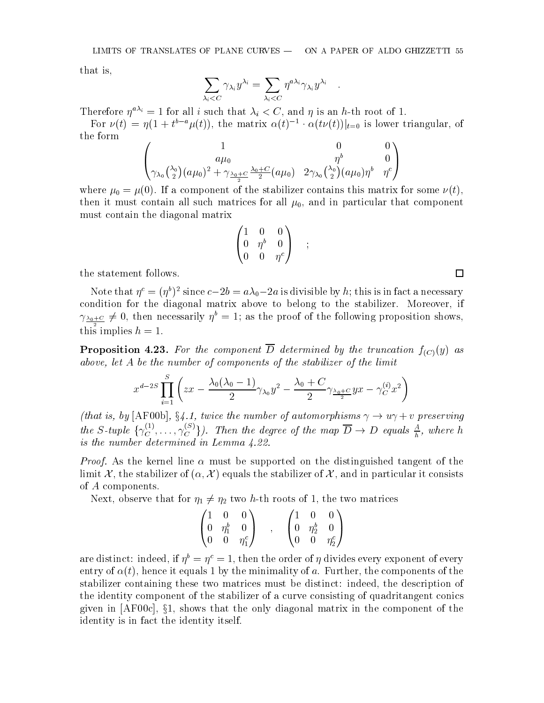that is,

$$
\sum_{\lambda_i < C} \gamma_{\lambda_i} y^{\lambda_i} = \sum_{\lambda_i < C} \eta^{a\lambda_i} \gamma_{\lambda_i} y^{\lambda_i} \quad .
$$

Therefore  $\eta^{a\lambda_i} = 1$  for all i such that  $\lambda_i < C$ , and  $\eta$  is an h-th root of 1.

For  $\nu(t) = \eta(1 + t^2 \alpha \mu(t))$ , the matrix  $\alpha(t)^{-1} \alpha(t\nu(t))|_{t=0}$  is lower triangular, of the form

$$
\begin{pmatrix} 1 & 0 & 0 \\ a\mu_0 & \eta^b & 0 \\ \gamma_{\lambda_0} \binom{\lambda_0}{2} (a\mu_0)^2 + \gamma_{\frac{\lambda_0 + C}{2}} \frac{\lambda_0 + C}{2} (a\mu_0) & 2\gamma_{\lambda_0} \binom{\lambda_0}{2} (a\mu_0) \eta^b & \eta^c \end{pmatrix}
$$

where  $\alpha$  ,  $\alpha$  ,  $\alpha$  , and the state state contains the stabilizer contains the stabilizer contains the some (t),  $\alpha$ then it must contain all such matrices for all  $\mu_0$ , and in particular that component must contain the diagonal matrix

$$
\begin{pmatrix}\n1 & 0 & 0 \\
0 & \eta^b & 0 \\
0 & 0 & \eta^c\n\end{pmatrix} ;
$$

;

the statement follows.

Note that  $\eta^* = (\eta^*)^2$  since  $c - z_0 = a\lambda_0 - za$  is divisible by  $n$ ; this is in fact a necessary condition for the diagonal matrix above to belong to the stabilizer. Moreover, if  $\gamma_{\frac{\lambda_{0}+C}{2}} \neq 0$ , then necessarily  $\eta^* = 1$ ; as the proof of the following proposition shows, this implies  $h = 1$ .

**Proposition 4.23.** For the component  $\overline{D}$  determined by the truncation  $f_{(C)}(y)$  as above, let A be the number of components of the stabilizer of the limit

$$
x^{d-2S}\prod_{i=1}^S\left(zx-\frac{\lambda_0(\lambda_0-1)}{2}\gamma_{\lambda_0}y^2-\frac{\lambda_0+C}{2}\gamma_{\frac{\lambda_0+C}{2}}yx-\gamma_C^{(i)}x^2\right)
$$

(that is, by [AF00b], §4.1, twice the number of automorphisms  $\gamma \to u\gamma + v$  preserving the S-tuple  $\{\gamma_C^{\sim\prime},\ldots,\gamma_C^{\sim\prime}\}\)$ . Then the degree of the map  $D\to D$  equals  $\frac{\alpha}{b}$ , where h is the number determined in Lemma 4.22.

*Proof.* As the kernel line  $\alpha$  must be supported on the distinguished tangent of the limit X, the stabilizer of  $(\alpha, \mathcal{X})$  equals the stabilizer of X, and in particular it consists of A components.

next, observe that for 1, 1 7 th roots of the two matrix of two matrices of the two matrices.

$$
\begin{pmatrix} 1 & 0 & 0 \\ 0 & \eta_1^b & 0 \\ 0 & 0 & \eta_1^c \end{pmatrix} \quad , \quad \begin{pmatrix} 1 & 0 & 0 \\ 0 & \eta_2^b & 0 \\ 0 & 0 & \eta_2^c \end{pmatrix}
$$

are distinct: indeed, if  $\eta^* = \eta^* = 1$ , then the order of  $\eta$  divides every exponent of every entry of  $\alpha(t)$ , hence it equals 1 by the minimality of a. Further, the components of the stabilizer containing these two matrices must be distinct: indeed, the description of the identity component of the stabilizer of a curve consisting of quadritangent conics given in  $[AF00c]$ ,  $§1$ , shows that the only diagonal matrix in the component of the identity is in fact the identity itself.

 $\Box$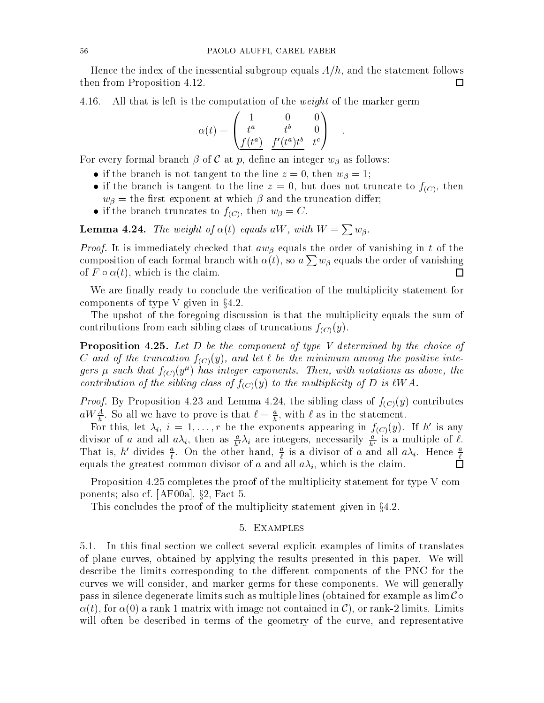Hence the index of the inessential subgroup equals  $A/h$ , and the statement follows then from Proposition 4.12. □

4.16. All that is left is the computation of the *weight* of the marker germ

$$
\alpha(t) = \begin{pmatrix} 1 & 0 & 0 \\ t^a & t^b & 0 \\ \frac{f(t^a)}{f(t^a)} & \frac{f'(t^a)t^b}{f(t^a)} & t^c \end{pmatrix} .
$$

For every formal branch  $\beta$  of C at p, define an integer  $w_{\beta}$  as follows:

- if the branch is not tangent to the line  $z = 0$ , then  $w_{\beta} = 1$ ;
- if the branch is tangent to the line  $z = 0$ , but does not truncate to  $f_{(C)}$ , then  $w_{\beta}$  = the first exponent at which  $\beta$  and the truncation differ;
- if the branch truncates to  $f_{(C)}$ , then  $w_{\beta} = C$ .

**Lemma 4.24.** The weight of  $\alpha(t)$  equals aW, with  $W = \sum w_{\beta}$ .

*Proof.* It is immediately checked that  $aw_{\beta}$  equals the order of vanishing in t of the composition of each formal branch with  $\alpha(t)$ , so  $a\sum w_\beta$  equals the order of vanishing of  $F \circ \alpha(t)$ , which is the claim.  $\Box$ 

We are finally ready to conclude the verification of the multiplicity statement for components of type V given in  $\S 4.2$ .

The upshot of the foregoing discussion is that the multiplicity equals the sum of contributions from each sibling class of truncations  $f_{(C)}(y)$ .

Proposition 4.25. Let D be the component of type V determined by the choice of C and of the truncation  $f_{(C)}(y)$ , and let  $\ell$  be the minimum among the positive integers  $\mu$  such that  $f(C)(y^{\mu})$  has integer exponents. Then, with notations as above, the contribution of the sibling class of  $f_{(C)}(y)$  to the multiplicity of D is  $\ell WA$ .

*Proof.* By Proposition 4.23 and Lemma 4.24, the sibling class of  $f_{(C)}(y)$  contributes  $a_{W}$   $\frac{1}{h}$ . So all we have to prove is that  $\ell = \frac{1}{h}$ , with  $\ell$  as in the statement.

For this, let  $\lambda_i$ ,  $i = 1, \ldots, r$  be the exponents appearing in  $f_{(C)}(y)$ . If h' is any divisor of a and all  $a\lambda_i$ , then as  $\frac{a}{h'}\lambda_i$  are integers, necessarily  $\frac{a}{h'}$  is a multiple of  $\ell$ . That is, h divides  $\frac{1}{\ell}$ . On the other hand,  $\frac{1}{\ell}$  is a divisor of a and all  $a\lambda_i$ . Hence  $\frac{1}{\ell}$  $\Box$ equals the greatest common divisor of and all aids and all all ai, which is the common

Proposition 4.25 completes the proof of the multiplicity statement for type V components; also cf. [AF00a],  $\S$ 2, Fact 5.

This concludes the proof of the multiplicity statement given in  $\S 4.2$ .

### 5. Examples

5.1. In this final section we collect several explicit examples of limits of translates of plane curves, obtained by applying the results presented in this paper. We will describe the limits corresponding to the different components of the PNC for the curves we will consider, and marker germs for these components. We will generally pass in silence degenerate limits such as multiple lines (obtained for example as  $\lim \mathcal{C} \circ$  $\alpha(t)$ , for  $\alpha(0)$  a rank 1 matrix with image not contained in C), or rank-2 limits. Limits will often be described in terms of the geometry of the curve, and representative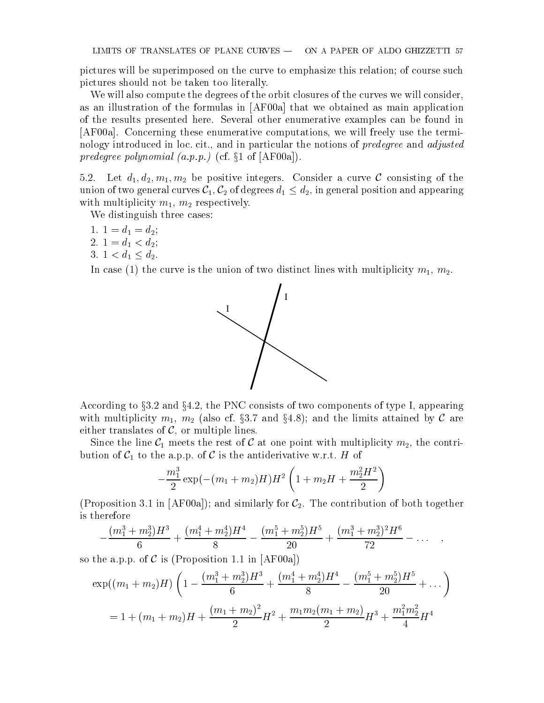pictures will be superimposed on the curve to emphasize this relation; of course such pictures should not be taken too literally.

We will also compute the degrees of the orbit closures of the curves we will consider, as an illustration of the formulas in [AF00a] that we obtained as main application of the results presented here. Several other enumerative examples can be found in [AF00a]. Concerning these enumerative computations, we will freely use the terminology introduced in loc. cit., and in particular the notions of *predegree* and *adjusted* predegree polynomial  $(a, p, p)$  (cf.  $\S1$  of [AF00a]).

5.2. Let d1; d2; m1; m2 be positive integers. Consider <sup>a</sup> curve <sup>C</sup> consisting of the union of two general curves curves  $\mathcal{L}_1$  , C2 of diagonal position and appearing position and appearing co with multiplicity matrix multiplicity multiplicity multiplicity multiplicity multiplicity multiplicity. The second

We distinguish three cases:

- 1. 1 = d1 <sup>=</sup> d2;
- 2. 1 de 10. 1 de 10. 1 de 10. 1 de 10. 1 de 10. 1 de 10. 1 de 10. 1 de 10. 1 de 10. 1 de 10. 1 de 10. 1 de 10.
- 3. 1 **1 d2.** 1 d2. 1 d2. 1 d2. 1 d2. 1 d2. 1 d2. 1 d2. 1 d2. 1 d2. 1 d2. 1 d2. 1 d2. 1 d2. 1 d2. 1 d2. 1 d2. 1

In case (1) the curve is the union of two distinct lines with multiplicity  $m_1, m_2$ .



According to  $\S 3.2$  and  $\S 4.2$ , the PNC consists of two components of type I, appearing with multiplicity matrix matrix matrix  $\mathcal{A}$ .  $\mathcal{A}$ either translates of  $C$ , or multiple lines.

Since the line C1 meets the rest of C1 meets the rest of C1 meets the rest of  $\Delta T$ bution of C1 to the a.p.p.p. of C1 to the a.p.p. of C1 to the anti-

$$
-\frac{m_1^3}{2}\exp(-(m_1+m_2)H)H^2\left(1+m_2H+\frac{m_2^2H^2}{2}\right)
$$

(Proposition 3.1 in [AF00a]); and similarly for  $C_2$ . The contribution of both together is therefore

$$
-\frac{(m_1^3+m_2^3)H^3}{6}+\frac{(m_1^4+m_2^4)H^4}{8}-\frac{(m_1^5+m_2^5)H^5}{20}+\frac{(m_1^3+m_2^3)^2H^6}{72}-\ldots
$$

so the a.p.p. of  $\mathcal C$  is (Proposition 1.1 in [AF00a])

$$
\exp((m_1 + m_2)H)\left(1 - \frac{(m_1^3 + m_2^3)H^3}{6} + \frac{(m_1^4 + m_2^4)H^4}{8} - \frac{(m_1^5 + m_2^5)H^5}{20} + \dots\right)
$$
  
= 1 + (m\_1 + m\_2)H +  $\frac{(m_1 + m_2)^2}{2}H^2 + \frac{m_1m_2(m_1 + m_2)}{2}H^3 + \frac{m_1^2m_2^2}{4}H^4$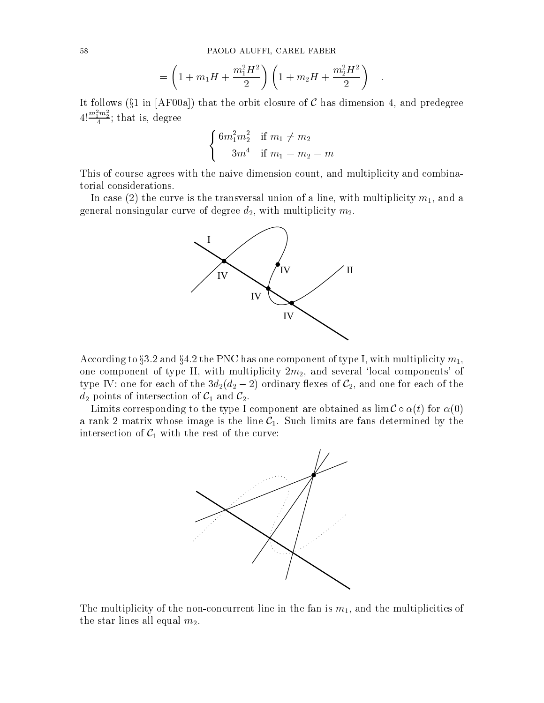$$
= \left(1 + m_1 H + \frac{m_1^2 H^2}{2}\right) \left(1 + m_2 H + \frac{m_2^2 H^2}{2}\right) .
$$

It follows ( $\S1$  in [AF00a]) that the orbit closure of C has dimension 4, and predegree  $4!\frac{m_1m_2}{4}$ ; that is, degree

$$
\begin{cases} 6m_1^2m_2^2 & \text{if } m_1 \neq m_2 \\ 3m^4 & \text{if } m_1 = m_2 = m \end{cases}
$$

This of course agrees with the naive dimension count, and multiplicity and combinatorial considerations.

In case (2) the curve is the transversal union of a line, with multiplicity  $m_1$ , and a general nonsingular curve of degree  $d_2$ , with multiplicity  $m_2$ .



According to §3.2 and §4.2 the PNC has one component of type I, with multiplicity  $m_1$ , one component of type II, with multiplicity  $2m_2$ , and several 'local components' of type IV: one for each of the 3d2(d2 2) ordinary 
exes of C2, and one for each of the d2 points of intersection of C1 and C2.

Limits corresponding to the type I component are obtained as  $\lim \mathcal{C} \circ \alpha(t)$  for  $\alpha(0)$ a rank-2 matrix whose image is the line  $C_1$ . Such limits are fans determined by the intersection of C1 with the rest of the curve: the rest of the curve: the curve: the curve: the curve: the curv



The multiplicity of the non-concurrent line in the fan is  $m_1$ , and the multiplicities of the star lines all equal  $m_2$ .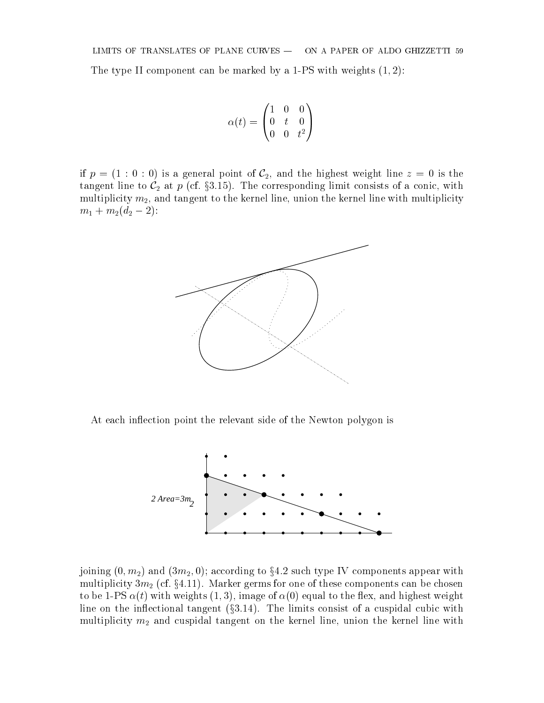The type II component can be marked by a 1-PS with weights  $(1, 2)$ :

$$
\alpha(t)=\begin{pmatrix}1&0&0\\0&t&0\\0&0&t^2\end{pmatrix}
$$

if  $p = (1 : 0 : 0)$  is a general point of  $C_2$ , and the highest weight line  $z = 0$  is the tangent line to C2 at <sup>p</sup> (cf. x3.15). The corresponding limit consists of <sup>a</sup> conic, with multiplicity  $m_2$ , and tangent to the kernel line, union the kernel line with multiplicity  $\blacksquare$  is a contract to  $\blacksquare$ 



At each inflection point the relevant side of the Newton polygon is



joining  $(0, m_2)$  and  $(3m_2, 0)$ ; according to §4.2 such type IV components appear with multiplicity 3m2 (cf. x4.11). Marker germs for one of these components can be chosen to be 1-PS  $\alpha(t)$  with weights (1,3), image of  $\alpha(0)$  equal to the flex, and highest weight line on the inflectional tangent  $(\S 3.14)$ . The limits consist of a cuspidal cubic with multiplicity m2 and cuspidal tangent on the kernel line, union the kernel line with the the kernel minion and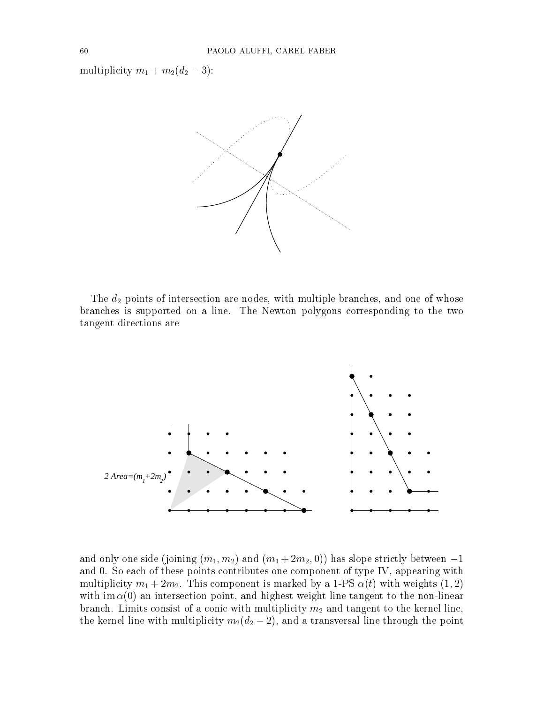multiplicity m1 <sup>+</sup> m2(d2 3):



The d2 points of intersection are nodes, with multiple branches, with multiple branches, and one of whose of whose of whose of whose  $\mu$ branches is supported on a line. The Newton polygons corresponding to the two tangent directions are



and only one side (joining (m1; m2) and (m1; m2) and (m2)) has slope strictly between 10  $\pm$ and 0. So each of these points contributes one component of type IV, appearing with multiplicity m1 + 2m2. This component is marked by a 1-PS (t) with weights (1; 2) with im  $\alpha(0)$  an intersection point, and highest weight line tangent to the non-linear branches. Limits consist of a conic with multiplicity  $\mu$  with  $\mu$  and tangent to the kernel line,  $\mu$ the kernel line with multiplicity m2(d2  $2$ ), and a transversal line through the point  $\gamma$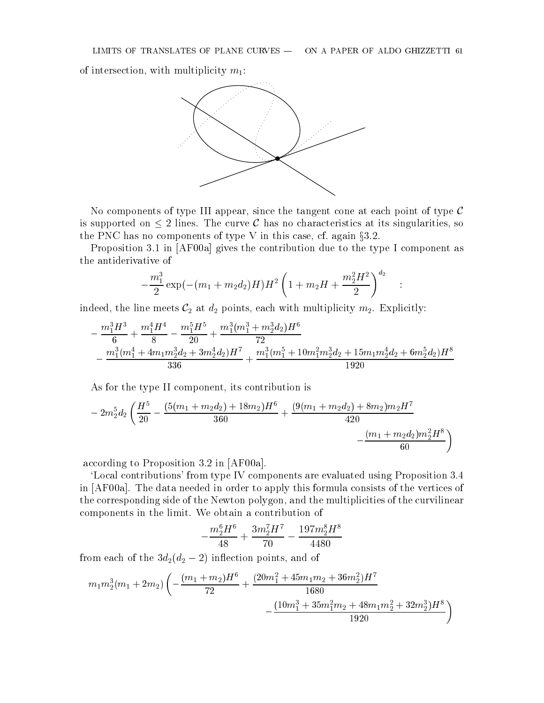of intersection, with multiplicity  $m_1$ :



No components of type III appear, since the tangent cone at each point of type  $\mathcal C$ is supported on  $\leq 2$  lines. The curve C has no characteristics at its singularities, so the PNC has no components of type V in this case, cf. again  $\S 3.2$ .

Proposition 3.1 in [AF00a] gives the contribution due to the type I component as the antiderivative of

$$
-\frac{m_1^3}{2}\exp(-(m_1+m_2d_2)H)H^2\left(1+m_2H+\frac{m_2^2H^2}{2}\right)^{d_2}~~.
$$

indeed, the line meets C2 at d2 points, each with multiplicity m2. Explicitly:

$$
-\frac{m_1^3H^3}{6}+\frac{m_1^4H^4}{8}-\frac{m_1^5H^5}{20}+\frac{m_1^3(m_1^3+m_2^3d_2)H^6}{72}\\-\frac{m_1^3(m_1^4+4m_1m_2^3d_2+3m_2^4d_2)H^7}{336}+\frac{m_1^3(m_1^5+10m_1^2m_2^3d_2+15m_1m_2^4d_2+6m_2^5d_2)H^8}{1920}
$$

As for the type II component, its contribution is

$$
-\,2m_2^5d_2\left(\frac{H^5}{20}-\frac{(5(m_1+m_2d_2)+18m_2)H^6}{360}+\frac{(9(m_1+m_2d_2)+8m_2)m_2H^7}{420}\\-\frac{(m_1+m_2d_2)m_2^2H^8}{60}\right)
$$

according to Proposition 3.2 in [AF00a].

`Local contributions' from type IV components are evaluated using Proposition 3.4 in [AF00a]. The data needed in order to apply this formula consists of the vertices of the corresponding side of the Newton polygon, and the multiplicities of the curvilinear components in the limit. We obtain a contribution of

$$
-\frac{m_2^6H^6}{48}+\frac{3m_2^7H^7}{70}-\frac{197m_2^8H^8}{4480}
$$

from each of the 3d2(d2 2) in
ection points, and of

$$
m_1m_2^3(m_1+2m_2)\left(-\frac{(m_1+m_2)H^6}{72}+\frac{(20m_1^2+45m_1m_2+36m_2^2)H^7}{1680}-\frac{(10m_1^3+35m_1^2m_2+48m_1m_2^2+32m_2^3)H^8}{1920}\right)
$$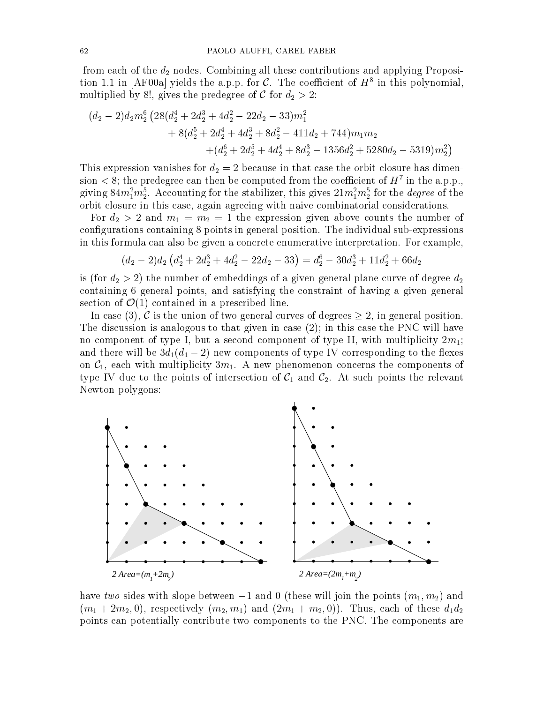from each of the d2 nodes. Combining all these contributions and applying Proposition 1.1 in  $|\text{Ar} \, \text{val}|$  yields the a.p.p. for C. The coefficient of  $H^s$  in this polynomial, multiplied by 8:1 (1) and the predegree of C for d2  $\alpha$  = 2:

$$
(d_2 - 2)d_2m_2^6 \left(28(d_2^4 + 2d_2^3 + 4d_2^2 - 22d_2 - 33)m_1^2 + 8(d_2^5 + 2d_2^4 + 4d_2^3 + 8d_2^2 - 411d_2 + 744)m_1m_2 + (d_2^6 + 2d_2^5 + 4d_2^4 + 8d_2^3 - 1356d_2^2 + 5280d_2 - 5319)m_2^2\right)
$$

This expression vanishes for d $\Delta$   $=$  $\sin \theta < \delta$ ; the predegree can then be computed from the coefficient of  $H^+$  in the a.p.p., giving  $84m_1^2m_2^2$ . Accounting for the stabilizer, this gives  $21m_1^2m_2^2$  for the *degree* of the  $\overline{\phantom{a}}$ orbit closure in this case, again agreeing with naive combinatorial considerations.

 $\mathcal{L}$  ,  $\mathcal{L}$  ,  $\mathcal{L}$  and matrix the expression given above counts the number of  $\mathcal{L}$  and  $\mathcal{L}$ configurations containing 8 points in general position. The individual sub-expressions in this formula can also be given a concrete enumerative interpretation. For example,

$$
(d_2 - 2)d_2 \left(d_2^4 + 2d_2^3 + 4d_2^2 - 22d_2 - 33\right) = d_2^6 - 30d_2^3 + 11d_2^2 + 66d_2
$$

is (for d2  $\sim$  2) the multiple of embeddings of a given general plane curve of a given  $\alpha$ containing 6 general points, and satisfying the constraint of having a given general section of  $\mathcal{O}(1)$  contained in a prescribed line.

In case (3), C is the union of two general curves of degrees  $\geq 2$ , in general position. The discussion is analogous to that given in case (2); in this case the PNC will have no component of type I, but a second component of type II, with multiplicity  $2m_1$ ; and there is new components of the 3d new components of type IV corresponding to the there is the the the the on  $C_1$ , each with multiplicity  $3m_1$ . A new phenomenon concerns the components of type IV due to the points of intersection of C1 and C2. At such points the relevant Newton polygons:



have two sides with slope between  $-1$  and 0 (these will join the points  $(m_1, m_2)$  and  $(1\cdot 1 + 2\cdot 1 + 2\cdot 1)$  , respectively (1),  $(2\cdot 1 + 1)$  and  $(2\cdot 1 + 1)$  and  $(2\cdot 1 + 1)$ . Thus, each of the set of the  $\Delta$ points can potentially contribute two components to the PNC. The components are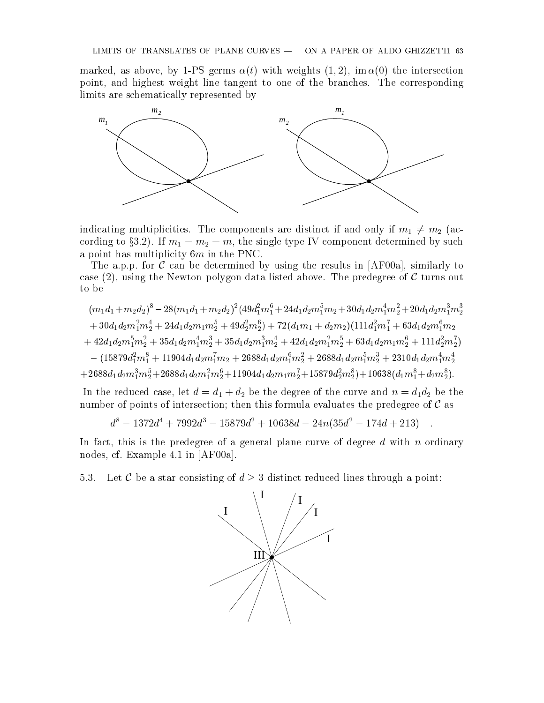marked, as above, by 1-PS germs  $\alpha(t)$  with weights  $(1, 2)$ , im  $\alpha(0)$  the intersection point, and highest weight line tangent to one of the branches. The corresponding limits are schematically represented by



indicating multiplicities. The components are distinct if and only if  $\mathcal{A}=\mathcal{A}$ cording to x3.2). If m1 <sup>=</sup> m2 <sup>=</sup> m, the single type IV component determined by such a point has multiplicity 6m in the PNC.

The a.p.p. for C can be determined by using the results in [AF00a], similarly to case  $(2)$ , using the Newton polygon data listed above. The predegree of C turns out to be

$$
(m_1d_1 + m_2d_2)^8 - 28(m_1d_1 + m_2d_2)^2(49d_1^2m_1^6 + 24d_1d_2m_1^5m_2 + 30d_1d_2m_1^4m_2^2 + 20d_1d_2m_1^3m_2^3 + 30d_1d_2m_1^2m_2^4 + 24d_1d_2m_1m_2^5 + 49d_2^2m_2^6) + 72(d_1m_1 + d_2m_2)(111d_1^2m_1^7 + 63d_1d_2m_1^6m_2 + 42d_1d_2m_1^5m_2^2 + 35d_1d_2m_1^4m_2^3 + 35d_1d_2m_1^3m_2^4 + 42d_1d_2m_1^2m_2^5 + 63d_1d_2m_1m_2^6 + 111d_2^2m_2^7) - (15879d_1^2m_1^8 + 11904d_1d_2m_1^7m_2 + 2688d_1d_2m_1^6m_2^2 + 2688d_1d_2m_1^5m_2^3 + 2310d_1d_2m_1^4m_2^4 + 2688d_1d_2m_1^3m_2^5 + 2688d_1d_2m_1^2m_2^6 + 11904d_1d_2m_1m_2^7 + 15879d_2^2m_2^8) + 10638(d_1m_1^8 + d_2m_2^8).
$$

In the reduced case, let d  $\sim$  d2 bethe degree of the curve and n  $\sim$  1.4 bethe curve and n  $\sim$ number of points of intersection; then this formula evaluates the predegree of  $\mathcal C$  as

$$
d^8 - 1372d^4 + 7992d^3 - 15879d^2 + 10638d - 24n(35d^2 - 174d + 213)
$$

In fact, this is the predegree of a general plane curve of degree  $d$  with  $n$  ordinary nodes, cf. Example 4.1 in [AF00a].

5.3. Let C be a star consisting of  $d \geq 3$  distinct reduced lines through a point:

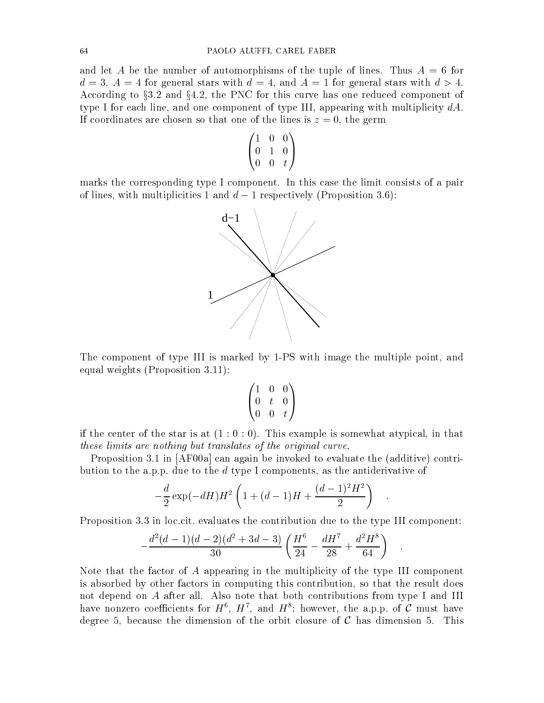and let A be the number of automorphisms of the tuple of lines. Thus  $A = 6$  for  $d = 3, A = 4$  for general stars with  $d = 4$ , and  $A = 1$  for general stars with  $d > 4$ . According to  $\S 3.2$  and  $\S 4.2$ , the PNC for this curve has one reduced component of type I for each line, and one component of type III, appearing with multiplicity  $dA$ . If coordinates are chosen so that one of the lines is  $z = 0$ , the germ

$$
\begin{pmatrix}\n1 & 0 & 0 \\
0 & 1 & 0 \\
0 & 0 & t\n\end{pmatrix}
$$

 $\overline{\phantom{a}}$ 

 $\mathbf{1}$ 

marks the corresponding type I component. In this case the limit consists of a pair of lines, with multiplicities 1 and  $d-1$  respectively (Proposition 3.6):



The component of type III is marked by 1-PS with image the multiple point, and equal weights (Proposition 3.11):

$$
\begin{pmatrix}\n1 & 0 & 0 \\
0 & t & 0 \\
0 & 0 & t\n\end{pmatrix}
$$

if the center of the star is at  $(1:0:0)$ . This example is somewhat atypical, in that these limits are nothing but translates of the original curve.

Proposition 3.1 in [AF00a] can again be invoked to evaluate the (additive) contribution to the a.p.p. due to the d type I components, as the antiderivative of

$$
-\frac{d}{2}\exp(-dH)H^2\left(1+(d-1)H+\frac{(d-1)^2H^2}{2}\right) .
$$

Proposition 3.3 in loc.cit. evaluates the contribution due to the type III component:

$$
-\frac{d^2(d-1)(d-2)(d^2+3d-3)}{30}\left(\frac{H^6}{24}-\frac{dH^7}{28}+\frac{d^2H^8}{64}\right) \quad .
$$

Note that the factor of A appearing in the multiplicity of the type III component is absorbed by other factors in computing this contribution, so that the result does not depend on A after all. Also note that both contributions from type I and III have nonzero coefficients for  $H^{\times}$ ,  $H^{\times}$ , and  $H^{\times}$ ; however, the a.p.p. of  ${\mathcal{C}}$  must have degree 5, because the dimension of the orbit closure of C has dimension 5. This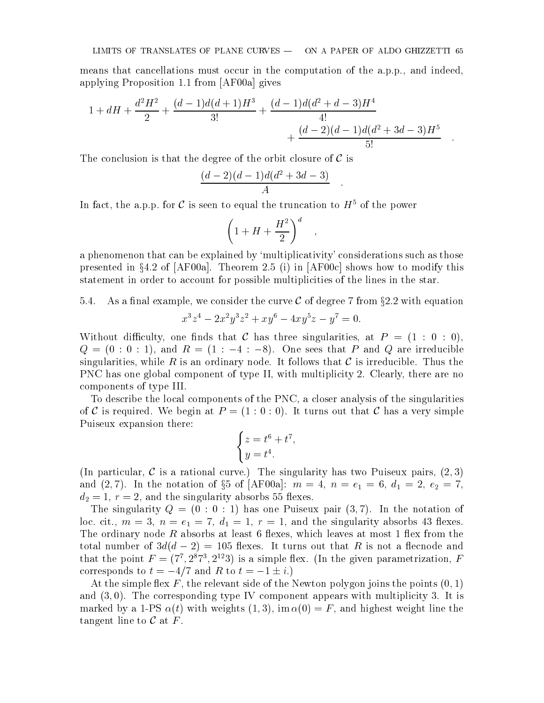means that cancellations must occur in the computation of the a.p.p., and indeed, applying Proposition 1.1 from [AF00a] gives

$$
1 + dH + \frac{d^{2}H^{2}}{2} + \frac{(d-1)d(d+1)H^{3}}{3!} + \frac{(d-1)d(d^{2}+d-3)H^{4}}{4!} + \frac{(d-2)(d-1)d(d^{2}+3d-3)H^{5}}{5!}.
$$

The conclusion is that the degree of the orbit closure of  $\mathcal C$  is

$$
\frac{(d-2)(d-1)d(d^2+3d-3)}{A}.
$$

In fact, the a.p.p. for C is seen to equal the truncation to  $H^5$  of the power

$$
\left(1+H+\frac{H^2}{2}\right)^d\quad,
$$

a phenomenon that can be explained by `multiplicativity' considerations such as those presented in  $\S 4.2$  of  $[AF00a]$ . Theorem 2.5 (i) in  $[AF00c]$  shows how to modify this statement in order to account for possible multiplicities of the lines in the star.

 $5.4.$ As a final example, we consider the curve C of degree 7 from  $\S 2.2$  with equation

$$
x^3z^4 - 2x^2y^3z^2 + xy^6 - 4xy^5z - y^7 = 0.
$$

Without difficulty, one finds that C has three singularities, at  $P = (1 : 0 : 0)$ ,  $Q = (0 : 0 : 1)$ , and  $R = (1 : -4 : -8)$ . One sees that P and Q are irreducible singularities, while R is an ordinary node. It follows that C is irreducible. Thus the PNC has one global component of type II, with multiplicity 2. Clearly, there are no components of type III.

To describe the local components of the PNC, a closer analysis of the singularities of C is required. We begin at  $P = (1:0:0)$ . It turns out that C has a very simple Puiseux expansion there:

$$
\begin{cases}\nz = t^6 + t^7, \\
y = t^4.\n\end{cases}
$$

(In particular, C is a rational curve.) The singularity has two Puiseux pairs,  $(2,3)$ and (2). In the notation of  $\mathbf{d}^{\pi}$  of  $\mathbf{d}^{\pi}$  of  $\mathbf{d}^{\pi}$  of  $\mathbf{d}^{\pi}$  , and  $\mathbf{d}^{\pi}$  is  $\mathbf{d}^{\pi}$  and  $\mathbf{d}^{\pi}$  and  $\mathbf{d}^{\pi}$  and  $\mathbf{d}^{\pi}$  and  $\mathbf{d}^{\pi}$  and  $\mathbf{d}^{\pi}$  and  $\mathbf{d}^$ d2 = 2, r = 2, and the singularity absorbs 55 contracts.

The singularity  $Q = (0 : 0 : 1)$  has one Puiseux pair  $(3, 7)$ . In the notation of loc. cit., m = 3, n = e1 <sup>=</sup> 7, d1 <sup>=</sup> 1, <sup>r</sup> <sup>=</sup> 1, and the singularity absorbs <sup>43</sup> exes. The ordinary node R absorbs at least 6 flexes, which leaves at most 1 flex from the total number of  $3d(d-2) = 105$  flexes. It turns out that R is not a flecnode and that the point  $F = (T, Z^T, Z^{T-3})$  is a simple fiex. (In the given parametrization,  $F$ corresponds to  $t = -4/7$  and R to  $t = -1 \pm i$ .)

At the simple flex F, the relevant side of the Newton polygon joins the points  $(0,1)$ and  $(3,0)$ . The corresponding type IV component appears with multiplicity 3. It is marked by a 1-PS  $\alpha(t)$  with weights  $(1, 3)$ , im  $\alpha(0) = F$ , and highest weight line the tangent line to  $\mathcal C$  at  $F$ .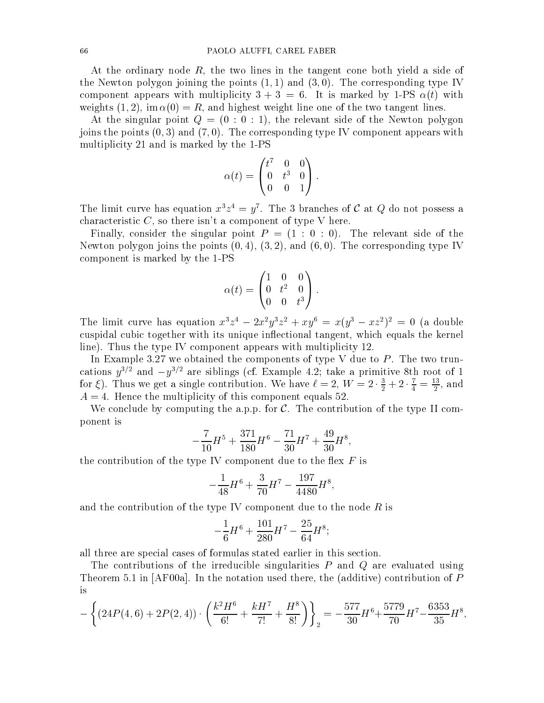At the ordinary node  $R$ , the two lines in the tangent cone both yield a side of the Newton polygon joining the points  $(1, 1)$  and  $(3, 0)$ . The corresponding type IV component appears with multiplicity  $3+3 = 6$ . It is marked by 1-PS  $\alpha(t)$  with weights (1, 2), im  $\alpha(0) = R$ , and highest weight line one of the two tangent lines.

At the singular point  $Q = (0 : 0 : 1)$ , the relevant side of the Newton polygon joins the points  $(0, 3)$  and  $(7, 0)$ . The corresponding type IV component appears with multiplicity 21 and is marked by the 1-PS

$$
\alpha(t) = \begin{pmatrix} t^7 & 0 & 0 \\ 0 & t^3 & 0 \\ 0 & 0 & 1 \end{pmatrix}.
$$

The limit curve has equation  $x \cdot z \cdot y$ . The 3 branches of C at Q do not possess a characteristic  $C$ , so there isn't a component of type V here.

Finally, consider the singular point  $P = (1 : 0 : 0)$ . The relevant side of the Newton polygon joins the points  $(0, 4)$ ,  $(3, 2)$ , and  $(6, 0)$ . The corresponding type IV component is marked by the 1-PS

$$
\alpha(t) = \begin{pmatrix} 1 & 0 & 0 \\ 0 & t^2 & 0 \\ 0 & 0 & t^3 \end{pmatrix}.
$$

The limit curve has equation  $x^2z^2 - 2x^2y^2z^2 + xy^3 = x(y^2 - xz^2)^2 = 0$  (a double cuspidal cubic together with its unique inflectional tangent, which equals the kernel line). Thus the type IV component appears with multiplicity 12.

In Example 3.27 we obtained the components of type V due to  $P$ . The two truncations  $y^{3/2}$  and  $-y^{3/2}$  are siblings (cf. Example 4.2; take a primitive 8th root of 1 for  $\xi$ ). Thus we get a single contribution. We have  $\ell = 2, W = 2 \cdot \frac{1}{2} + 2 \cdot \frac{1}{4} = \frac{13}{2}$ , and  $A = 4$ . Hence the multiplicity of this component equals 52.

We conclude by computing the a.p.p. for  $C$ . The contribution of the type II component is

$$
-\frac{7}{10}H^5+\frac{371}{180}H^6-\frac{71}{30}H^7+\frac{49}{30}H^8,
$$

the contribution of the type IV component due to the flex  $F$  is

$$
-\frac{1}{48}H^6 + \frac{3}{70}H^7 - \frac{197}{4480}H^8,
$$

and the contribution of the type IV component due to the node  $R$  is

$$
-\frac{1}{6}H^6 + \frac{101}{280}H^7 - \frac{25}{64}H^8;
$$

all three are special cases of formulas stated earlier in this section.

The contributions of the irreducible singularities  $P$  and  $Q$  are evaluated using Theorem 5.1 in  $[AF00a]$ . In the notation used there, the (additive) contribution of P

$$
-\left\{(24P(4,6)+2P(2,4))\cdot \left(\frac{k^2H^6}{6!}+\frac{kH^7}{7!}+\frac{H^8}{8!}\right)\right\}_2=-\frac{577}{30}H^6+\frac{5779}{70}H^7-\frac{6353}{35}H^8,
$$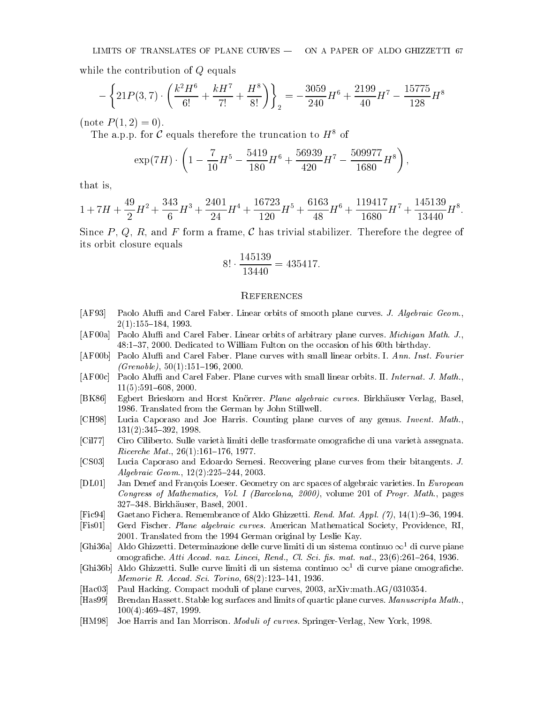while the contribution of Q equals

$$
-\left\{21P(3,7)\cdot\left(\frac{k^2H^6}{6!}+\frac{kH^7}{7!}+\frac{H^8}{8!}\right)\right\}_2=-\frac{3059}{240}H^6+\frac{2199}{40}H^7-\frac{15775}{128}H^8
$$

(note  $P(1,2) = 0$ ).

The a.p.p. for C equals therefore the truncation to  $H^8$  of

$$
\exp(7H) \cdot \left(1 - \frac{7}{10}H^5 - \frac{5419}{180}H^6 + \frac{56939}{420}H^7 - \frac{509977}{1680}H^8\right),\,
$$

that is,

$$
1+7H+\frac{49}{2}H^2+\frac{343}{6}H^3+\frac{2401}{24}H^4+\frac{16723}{120}H^5+\frac{6163}{48}H^6+\frac{119417}{1680}H^7+\frac{145139}{13440}H^8.
$$

Since P, Q, R, and F form a frame, C has trivial stabilizer. Therefore the degree of its orbit closure equals

$$
8! \cdot \frac{145139}{13440} = 435417.
$$

#### **REFERENCES**

- [AF93] Paolo Aluffi and Carel Faber. Linear orbits of smooth plane curves. J. Algebraic Geom.,  $2(1):155{-}184, 1993.$
- [AF00a] Paolo Aluffi and Carel Faber. Linear orbits of arbitrary plane curves. *Michigan Math. J.*, 48:1{37, 2000. Dedicated to William Fulton on the occasion of his 60th birthday.
- [AF00b] Paolo Aluffi and Carel Faber. Plane curves with small linear orbits. I. Ann. Inst. Fourier  $(Grenoble)$ , 50(1):151-196, 2000.
- [AF00c] Paolo Aluffi and Carel Faber. Plane curves with small linear orbits. II. Internat. J. Math.,  $11(5):591{-}608, 2000.$
- [BK86] Egbert Brieskorn and Horst Knörrer. Plane algebraic curves. Birkhäuser Verlag, Basel, 1986. Translated from the German by John Stillwell.
- [CH98] Lucia Caporaso and Joe Harris. Counting plane curves of any genus. Invent. Math., 131(2):345-392, 1998.
- [Cil77] Ciro Ciliberto. Sulle varietà limiti delle trasformate omografiche di una varietà assegnata.  $Ricerche Mat., 26(1):161–176, 1977.$
- [CS03] Lucia Caporaso and Edoardo Sernesi. Recovering plane curves from their bitangents. J. Algebraic Geom.,  $12(2):225{-}244, 2003$ .
- [DL01] Jan Denef and Francois Loeser. Geometry on arc spaces of algebraic varieties. In European Congress of Mathematics, Vol. I (Barcelona, 2000), volume 201 of Progr. Math., pages 327-348. Birkhäuser, Basel, 2001.
- $[Fe94]$  Gaetano Fichera. Remembrance of Aldo Ghizzetti. Rend. Mat. Appl. (7), 14(1):9-36, 1994.
- [Fis01] Gerd Fischer. Plane algebraic curves. American Mathematical Society, Providence, RI, 2001. Translated from the 1994 German original by Leslie Kay.
- [Ghi36a] Aldo Ghizzetti. Determinazione delle curve limiti di un sistema continuo  $\infty^1$  di curve piane omografiche. Atti Accad. naz. Lincei, Rend., Cl. Sci. fis. mat. nat., 23(6):261-264, 1936.
- [Ghi36b] Aldo Ghizzetti. Sulle curve limiti di un sistema continuo  $\infty$ <sup>1</sup> di curve piane omografiche. *Memorie R. Accad. Sci. Torino*,  $68(2):123{-}141, 1936$ .
- [Hac03] Paul Hacking. Compact moduli of plane curves, 2003, arXiv:math.AG/0310354.
- [Has99] Brendan Hassett. Stable log surfaces and limits of quartic plane curves. Manuscripta Math.,  $100(4):469-487, 1999.$
- [HM98] Joe Harris and Ian Morrison. Moduli of curves. Springer-Verlag, New York, 1998.